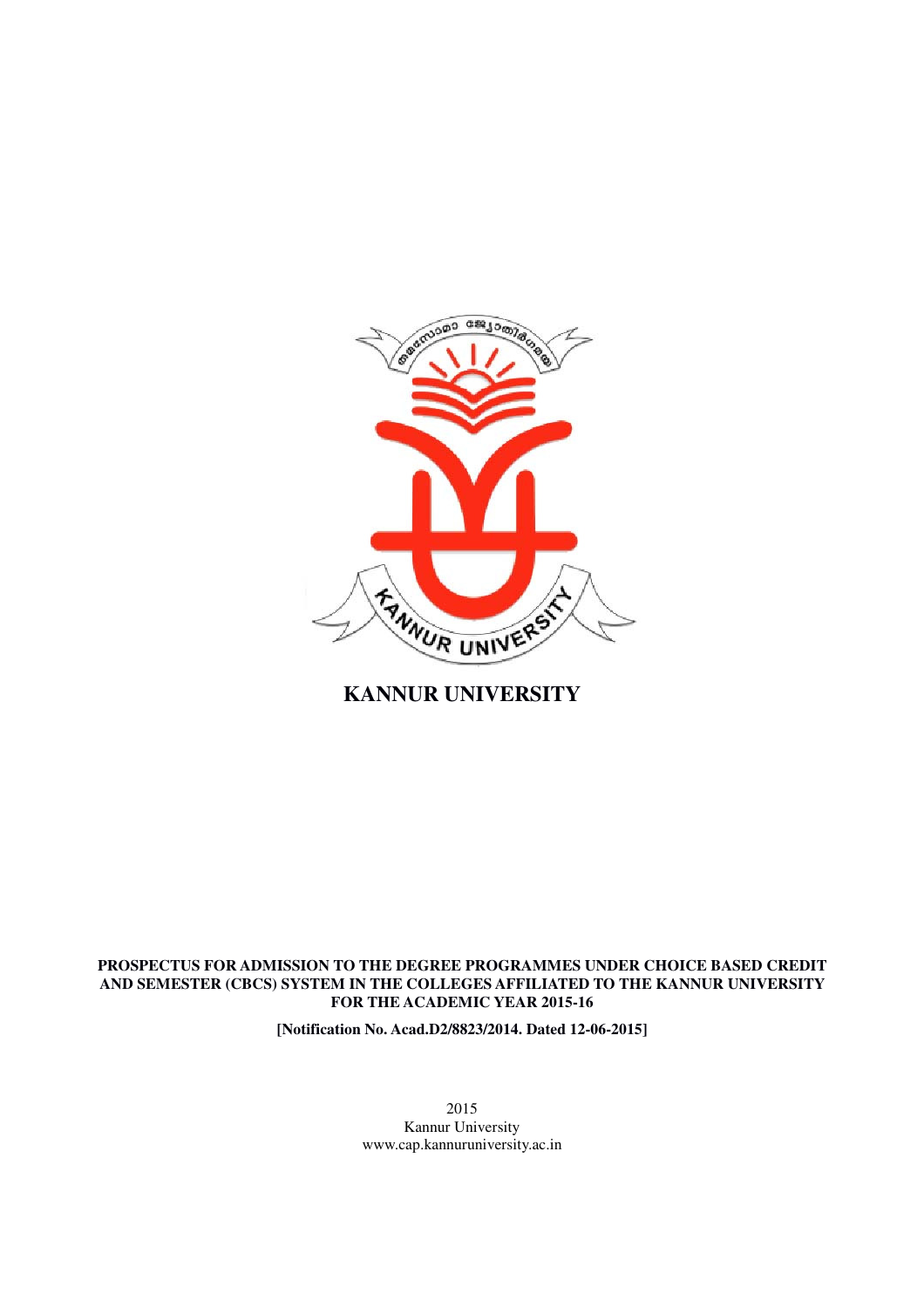

**KANNUR UNIVERSITY**

# **PROSPECTUS FOR ADMISSION TO THE DEGREE PROGRAMMES UNDER CHOICE BASED CREDIT AND SEMESTER (CBCS) SYSTEM IN THE COLLEGES AFFILIATED TO THE KANNUR UNIVERSITY FOR THE ACADEMIC YEAR 2015-16**

**[Notification No. Acad.D2/8823/2014. Dated 12-06-2015]** 

2015 Kannur University www.cap.kannuruniversity.ac.in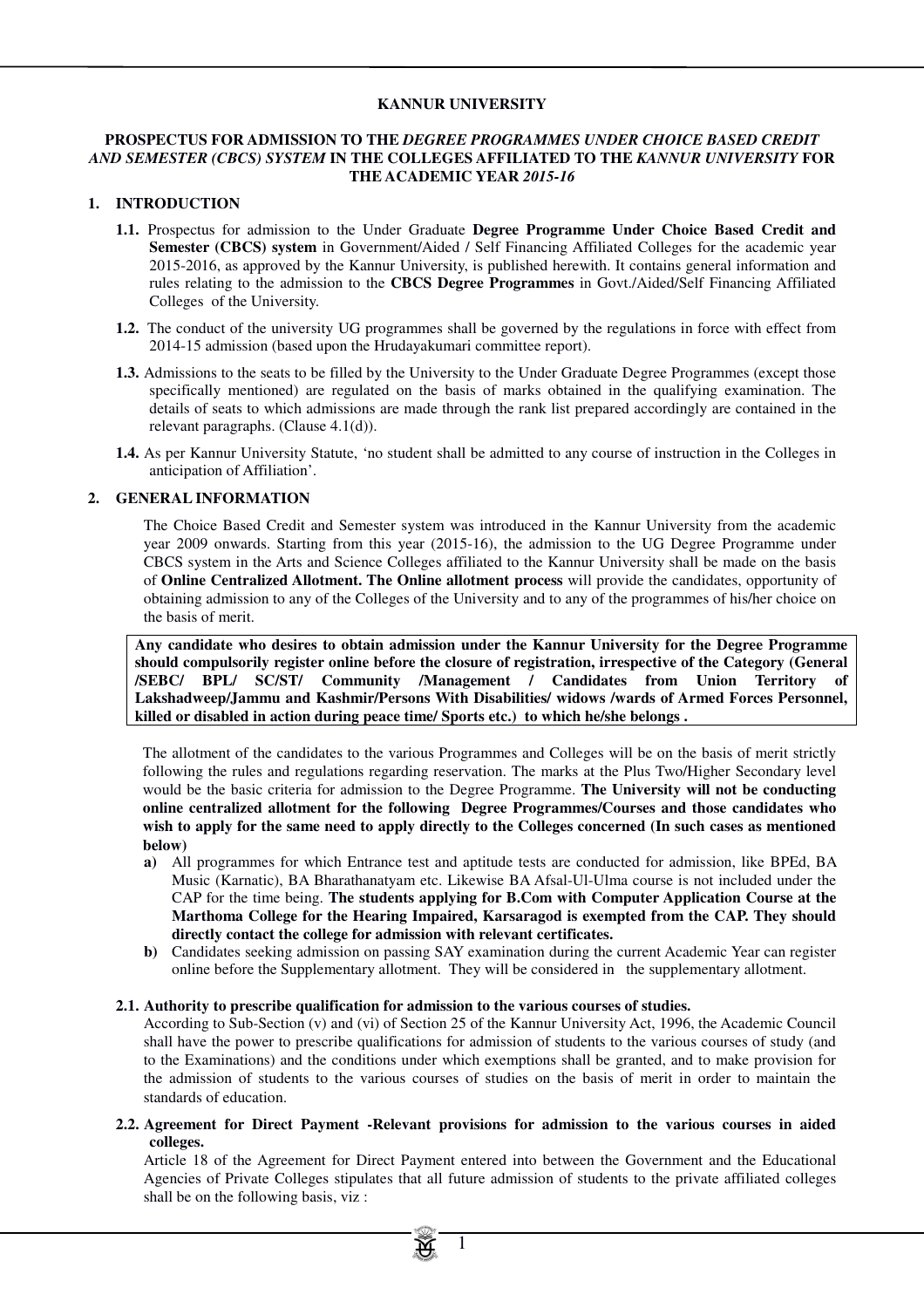#### **KANNUR UNIVERSITY**

#### **PROSPECTUS FOR ADMISSION TO THE** *DEGREE PROGRAMMES UNDER CHOICE BASED CREDIT AND SEMESTER (CBCS) SYSTEM* **IN THE COLLEGES AFFILIATED TO THE** *KANNUR UNIVERSITY* **FOR THE ACADEMIC YEAR** *2015-16*

#### **1. INTRODUCTION**

- **1.1.** Prospectus for admission to the Under Graduate **Degree Programme Under Choice Based Credit and Semester (CBCS) system** in Government/Aided / Self Financing Affiliated Colleges for the academic year 2015-2016, as approved by the Kannur University, is published herewith. It contains general information and rules relating to the admission to the **CBCS Degree Programmes** in Govt./Aided/Self Financing Affiliated Colleges of the University.
- **1.2.** The conduct of the university UG programmes shall be governed by the regulations in force with effect from 2014-15 admission (based upon the Hrudayakumari committee report).
- **1.3.** Admissions to the seats to be filled by the University to the Under Graduate Degree Programmes (except those specifically mentioned) are regulated on the basis of marks obtained in the qualifying examination. The details of seats to which admissions are made through the rank list prepared accordingly are contained in the relevant paragraphs. (Clause 4.1(d)).
- **1.4.** As per Kannur University Statute, 'no student shall be admitted to any course of instruction in the Colleges in anticipation of Affiliation'.

#### **2. GENERAL INFORMATION**

The Choice Based Credit and Semester system was introduced in the Kannur University from the academic year 2009 onwards. Starting from this year (2015-16), the admission to the UG Degree Programme under CBCS system in the Arts and Science Colleges affiliated to the Kannur University shall be made on the basis of **Online Centralized Allotment. The Online allotment process** will provide the candidates, opportunity of obtaining admission to any of the Colleges of the University and to any of the programmes of his/her choice on the basis of merit.

**Any candidate who desires to obtain admission under the Kannur University for the Degree Programme should compulsorily register online before the closure of registration, irrespective of the Category (General /SEBC/ BPL/ SC/ST/ Community /Management / Candidates from Union Territory of Lakshadweep/Jammu and Kashmir/Persons With Disabilities/ widows /wards of Armed Forces Personnel, killed or disabled in action during peace time/ Sports etc.) to which he/she belongs .**

The allotment of the candidates to the various Programmes and Colleges will be on the basis of merit strictly following the rules and regulations regarding reservation. The marks at the Plus Two/Higher Secondary level would be the basic criteria for admission to the Degree Programme. **The University will not be conducting online centralized allotment for the following Degree Programmes/Courses and those candidates who wish to apply for the same need to apply directly to the Colleges concerned (In such cases as mentioned below)**

- **a)** All programmes for which Entrance test and aptitude tests are conducted for admission, like BPEd, BA Music (Karnatic), BA Bharathanatyam etc. Likewise BA Afsal-Ul-Ulma course is not included under the CAP for the time being. **The students applying for B.Com with Computer Application Course at the Marthoma College for the Hearing Impaired, Karsaragod is exempted from the CAP. They should directly contact the college for admission with relevant certificates.**
- **b)** Candidates seeking admission on passing SAY examination during the current Academic Year can register online before the Supplementary allotment. They will be considered in the supplementary allotment.

#### **2.1. Authority to prescribe qualification for admission to the various courses of studies.**

According to Sub-Section (v) and (vi) of Section 25 of the Kannur University Act, 1996, the Academic Council shall have the power to prescribe qualifications for admission of students to the various courses of study (and to the Examinations) and the conditions under which exemptions shall be granted, and to make provision for the admission of students to the various courses of studies on the basis of merit in order to maintain the standards of education.

**2.2. Agreement for Direct Payment -Relevant provisions for admission to the various courses in aided colleges.** 

Article 18 of the Agreement for Direct Payment entered into between the Government and the Educational Agencies of Private Colleges stipulates that all future admission of students to the private affiliated colleges shall be on the following basis, viz :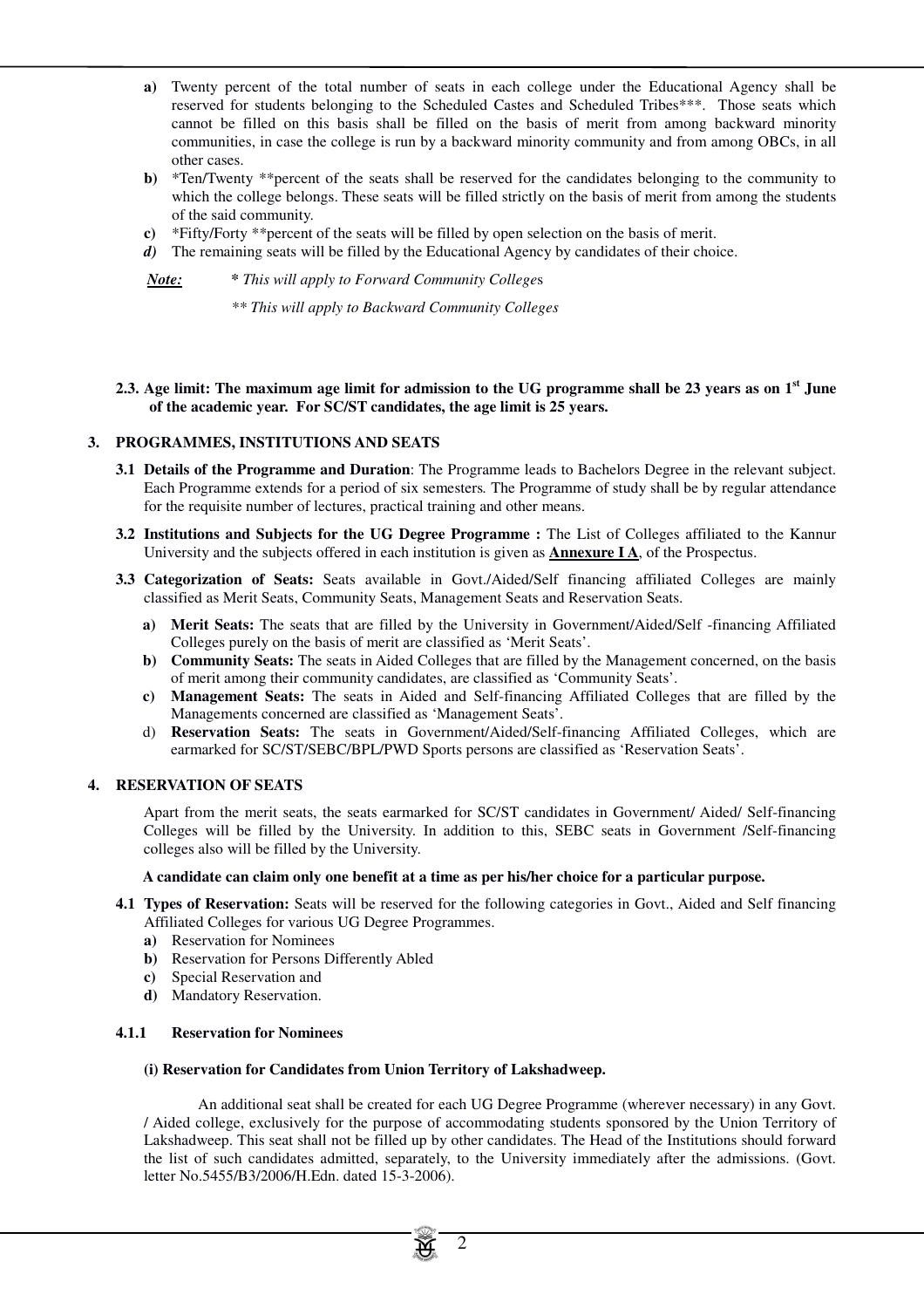- **a)** Twenty percent of the total number of seats in each college under the Educational Agency shall be reserved for students belonging to the Scheduled Castes and Scheduled Tribes\*\*\*. Those seats which cannot be filled on this basis shall be filled on the basis of merit from among backward minority communities, in case the college is run by a backward minority community and from among OBCs, in all other cases.
- **b)** \*Ten/Twenty \*\*percent of the seats shall be reserved for the candidates belonging to the community to which the college belongs. These seats will be filled strictly on the basis of merit from among the students of the said community.
- **c)** \*Fifty/Forty \*\*percent of the seats will be filled by open selection on the basis of merit.
- *d*) The remaining seats will be filled by the Educational Agency by candidates of their choice.

*Note: \* This will apply to Forward Community College*s

*\*\* This will apply to Backward Community Colleges* 

**2.3. Age limit: The maximum age limit for admission to the UG programme shall be 23 years as on 1st June of the academic year. For SC/ST candidates, the age limit is 25 years.** 

#### **3. PROGRAMMES, INSTITUTIONS AND SEATS**

- **3.1 Details of the Programme and Duration**: The Programme leads to Bachelors Degree in the relevant subject. Each Programme extends for a period of six semesters*.* The Programme of study shall be by regular attendance for the requisite number of lectures, practical training and other means.
- **3.2 Institutions and Subjects for the UG Degree Programme :** The List of Colleges affiliated to the Kannur University and the subjects offered in each institution is given as **Annexure I A**, of the Prospectus.
- **3.3 Categorization of Seats:** Seats available in Govt./Aided/Self financing affiliated Colleges are mainly classified as Merit Seats, Community Seats, Management Seats and Reservation Seats.
	- **a) Merit Seats:** The seats that are filled by the University in Government/Aided/Self -financing Affiliated Colleges purely on the basis of merit are classified as 'Merit Seats'.
	- **b) Community Seats:** The seats in Aided Colleges that are filled by the Management concerned, on the basis of merit among their community candidates, are classified as 'Community Seats'.
	- **c) Management Seats:** The seats in Aided and Self-financing Affiliated Colleges that are filled by the Managements concerned are classified as 'Management Seats'.
	- d) **Reservation Seats:** The seats in Government/Aided/Self-financing Affiliated Colleges, which are earmarked for SC/ST/SEBC/BPL/PWD Sports persons are classified as 'Reservation Seats'.

#### **4. RESERVATION OF SEATS**

Apart from the merit seats, the seats earmarked for SC/ST candidates in Government/ Aided/ Self-financing Colleges will be filled by the University. In addition to this, SEBC seats in Government /Self-financing colleges also will be filled by the University.

#### **A candidate can claim only one benefit at a time as per his/her choice for a particular purpose.**

- **4.1 Types of Reservation:** Seats will be reserved for the following categories in Govt., Aided and Self financing Affiliated Colleges for various UG Degree Programmes.
	- **a)** Reservation for Nominees
	- **b)** Reservation for Persons Differently Abled
	- **c)** Special Reservation and
	- **d)** Mandatory Reservation.

#### **4.1.1 Reservation for Nominees**

#### **(i) Reservation for Candidates from Union Territory of Lakshadweep.**

 An additional seat shall be created for each UG Degree Programme (wherever necessary) in any Govt. / Aided college, exclusively for the purpose of accommodating students sponsored by the Union Territory of Lakshadweep. This seat shall not be filled up by other candidates. The Head of the Institutions should forward the list of such candidates admitted, separately, to the University immediately after the admissions. (Govt. letter No.5455/B3/2006/H.Edn. dated 15-3-2006).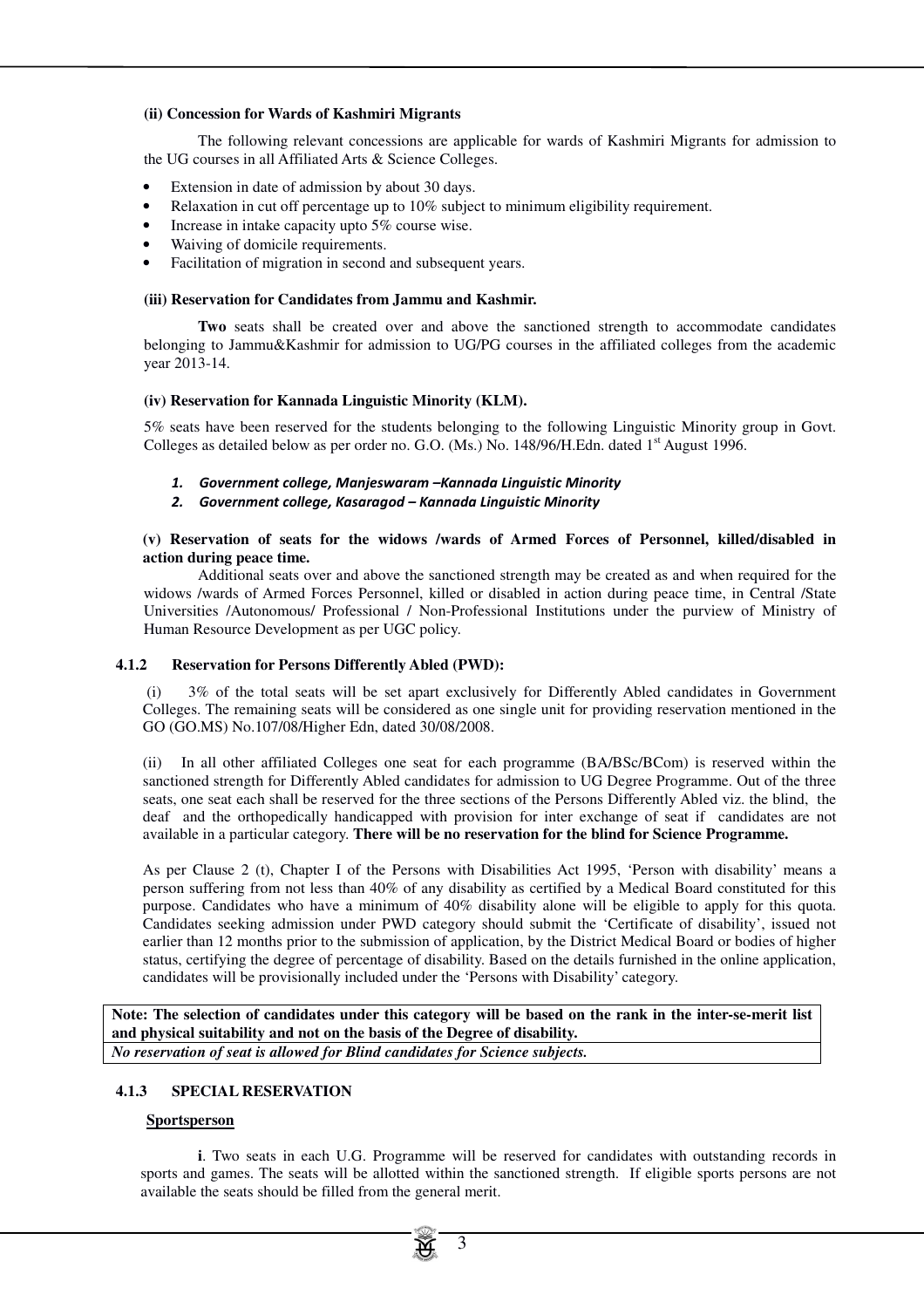#### **(ii) Concession for Wards of Kashmiri Migrants**

 The following relevant concessions are applicable for wards of Kashmiri Migrants for admission to the UG courses in all Affiliated Arts & Science Colleges.

- Extension in date of admission by about 30 days.
- Relaxation in cut off percentage up to 10% subject to minimum eligibility requirement.
- Increase in intake capacity upto 5% course wise.
- Waiving of domicile requirements.
- Facilitation of migration in second and subsequent years.

#### **(iii) Reservation for Candidates from Jammu and Kashmir.**

 **Two** seats shall be created over and above the sanctioned strength to accommodate candidates belonging to Jammu&Kashmir for admission to UG/PG courses in the affiliated colleges from the academic year 2013-14.

#### **(iv) Reservation for Kannada Linguistic Minority (KLM).**

5% seats have been reserved for the students belonging to the following Linguistic Minority group in Govt. Colleges as detailed below as per order no. G.O. (Ms.) No. 148/96/H.Edn. dated 1<sup>st</sup> August 1996.

- 1. Government college, Manjeswaram –Kannada Linguistic Minority
- 2. Government college, Kasaragod Kannada Linguistic Minority

#### **(v) Reservation of seats for the widows /wards of Armed Forces of Personnel, killed/disabled in action during peace time.**

 Additional seats over and above the sanctioned strength may be created as and when required for the widows /wards of Armed Forces Personnel, killed or disabled in action during peace time, in Central /State Universities /Autonomous/ Professional / Non-Professional Institutions under the purview of Ministry of Human Resource Development as per UGC policy.

#### **4.1.2 Reservation for Persons Differently Abled (PWD):**

 (i) 3% of the total seats will be set apart exclusively for Differently Abled candidates in Government Colleges. The remaining seats will be considered as one single unit for providing reservation mentioned in the GO (GO.MS) No.107/08/Higher Edn, dated 30/08/2008.

(ii) In all other affiliated Colleges one seat for each programme (BA/BSc/BCom) is reserved within the sanctioned strength for Differently Abled candidates for admission to UG Degree Programme. Out of the three seats, one seat each shall be reserved for the three sections of the Persons Differently Abled viz. the blind, the deaf and the orthopedically handicapped with provision for inter exchange of seat if candidates are not available in a particular category. **There will be no reservation for the blind for Science Programme.**

As per Clause 2 (t), Chapter I of the Persons with Disabilities Act 1995, 'Person with disability' means a person suffering from not less than 40% of any disability as certified by a Medical Board constituted for this purpose. Candidates who have a minimum of 40% disability alone will be eligible to apply for this quota. Candidates seeking admission under PWD category should submit the 'Certificate of disability', issued not earlier than 12 months prior to the submission of application, by the District Medical Board or bodies of higher status, certifying the degree of percentage of disability. Based on the details furnished in the online application, candidates will be provisionally included under the 'Persons with Disability' category.

**Note: The selection of candidates under this category will be based on the rank in the inter-se-merit list and physical suitability and not on the basis of the Degree of disability.** *No reservation of seat is allowed for Blind candidates for Science subjects.*

#### **4.1.3 SPECIAL RESERVATION**

#### **Sportsperson**

 **i**. Two seats in each U.G. Programme will be reserved for candidates with outstanding records in sports and games. The seats will be allotted within the sanctioned strength. If eligible sports persons are not available the seats should be filled from the general merit.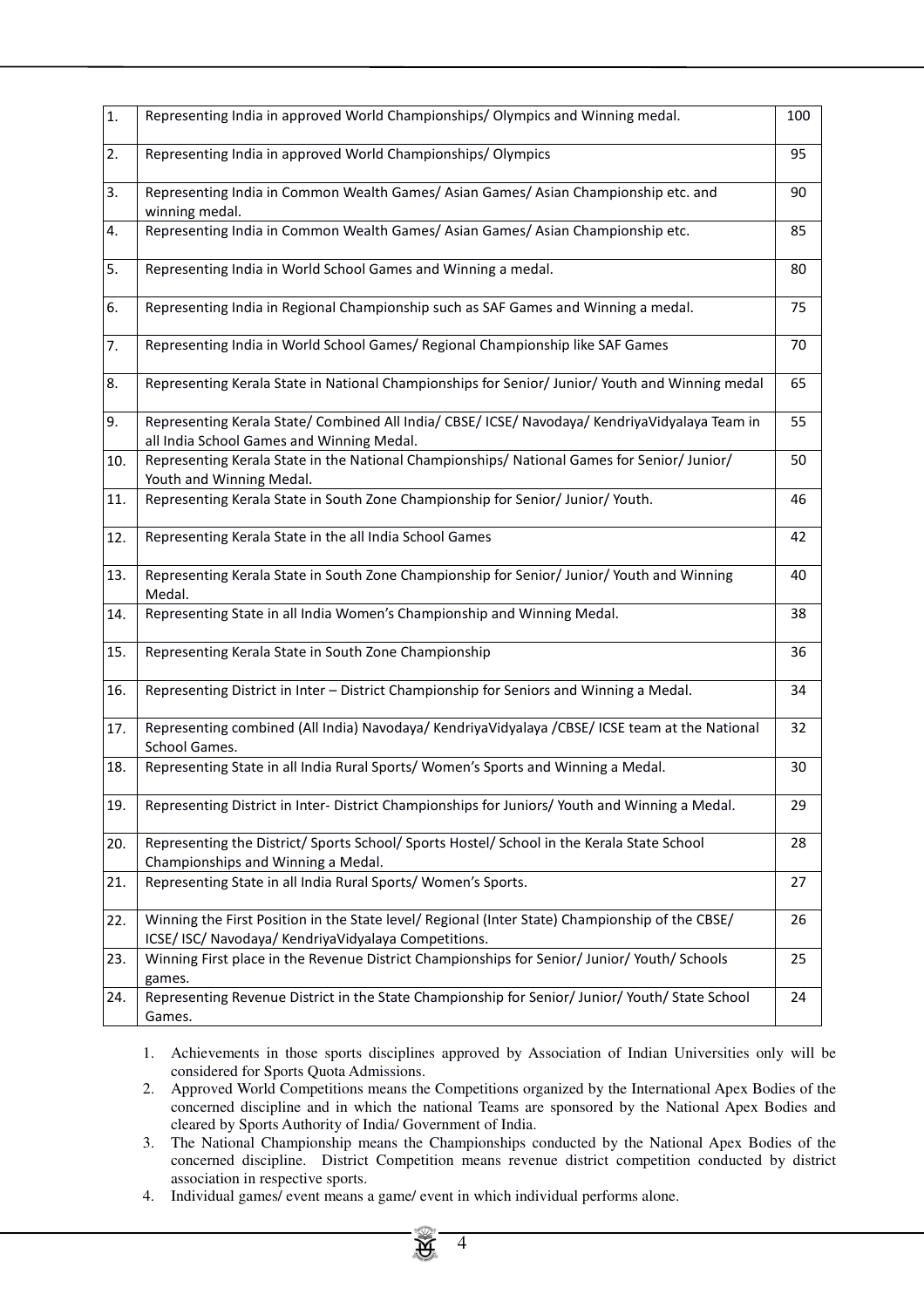| 1.  | Representing India in approved World Championships/Olympics and Winning medal.                                                                          | 100 |
|-----|---------------------------------------------------------------------------------------------------------------------------------------------------------|-----|
| 2.  | Representing India in approved World Championships/Olympics                                                                                             | 95  |
| 3.  | Representing India in Common Wealth Games/ Asian Games/ Asian Championship etc. and<br>winning medal.                                                   | 90  |
| 4.  | Representing India in Common Wealth Games/ Asian Games/ Asian Championship etc.                                                                         | 85  |
| 5.  | Representing India in World School Games and Winning a medal.                                                                                           | 80  |
| 6.  | Representing India in Regional Championship such as SAF Games and Winning a medal.                                                                      | 75  |
| 7.  | Representing India in World School Games/ Regional Championship like SAF Games                                                                          | 70  |
| 8.  | Representing Kerala State in National Championships for Senior/ Junior/ Youth and Winning medal                                                         | 65  |
| 9.  | Representing Kerala State/ Combined All India/ CBSE/ ICSE/ Navodaya/ KendriyaVidyalaya Team in<br>all India School Games and Winning Medal.             | 55  |
| 10. | Representing Kerala State in the National Championships/ National Games for Senior/ Junior/<br>Youth and Winning Medal.                                 | 50  |
| 11. | Representing Kerala State in South Zone Championship for Senior/ Junior/ Youth.                                                                         | 46  |
| 12. | Representing Kerala State in the all India School Games                                                                                                 | 42  |
| 13. | Representing Kerala State in South Zone Championship for Senior/ Junior/ Youth and Winning<br>Medal.                                                    | 40  |
| 14. | Representing State in all India Women's Championship and Winning Medal.                                                                                 | 38  |
| 15. | Representing Kerala State in South Zone Championship                                                                                                    | 36  |
| 16. | Representing District in Inter - District Championship for Seniors and Winning a Medal.                                                                 | 34  |
| 17. | Representing combined (All India) Navodaya/ KendriyaVidyalaya /CBSE/ ICSE team at the National<br>School Games.                                         | 32  |
| 18. | Representing State in all India Rural Sports/ Women's Sports and Winning a Medal.                                                                       | 30  |
| 19. | Representing District in Inter- District Championships for Juniors/Youth and Winning a Medal.                                                           | 29  |
| 20. | Representing the District/ Sports School/ Sports Hostel/ School in the Kerala State School<br>Championships and Winning a Medal.                        | 28  |
| 21. | Representing State in all India Rural Sports/Women's Sports.                                                                                            | 27  |
| 22. | Winning the First Position in the State level/ Regional (Inter State) Championship of the CBSE/<br>ICSE/ ISC/ Navodaya/ KendriyaVidyalaya Competitions. | 26  |
| 23. | Winning First place in the Revenue District Championships for Senior/ Junior/ Youth/ Schools<br>games.                                                  | 25  |
| 24. | Representing Revenue District in the State Championship for Senior/ Junior/ Youth/ State School<br>Games.                                               | 24  |

1. Achievements in those sports disciplines approved by Association of Indian Universities only will be considered for Sports Quota Admissions.

2. Approved World Competitions means the Competitions organized by the International Apex Bodies of the concerned discipline and in which the national Teams are sponsored by the National Apex Bodies and cleared by Sports Authority of India/ Government of India.

3. The National Championship means the Championships conducted by the National Apex Bodies of the concerned discipline. District Competition means revenue district competition conducted by district association in respective sports.

4. Individual games/ event means a game/ event in which individual performs alone.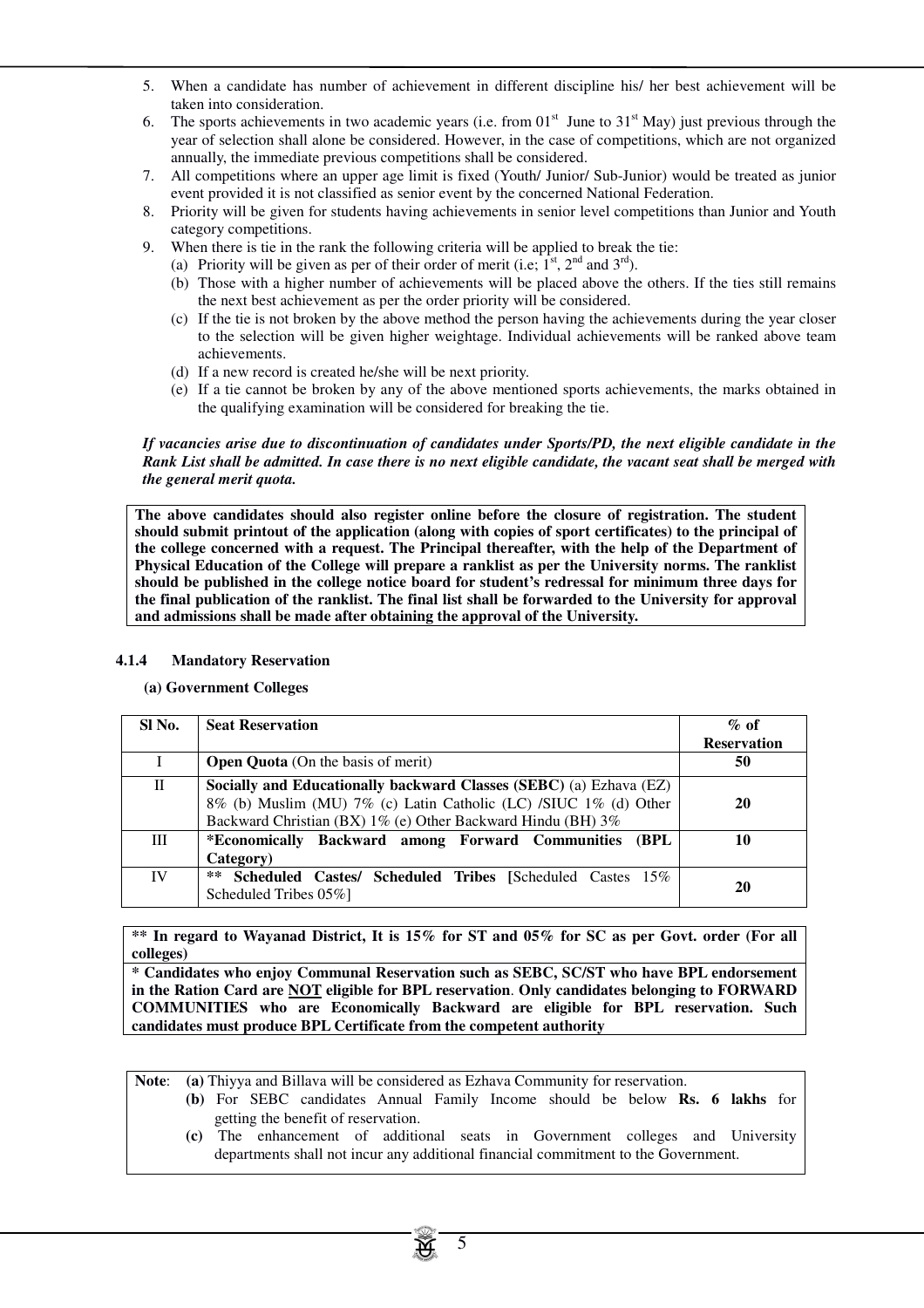- 5. When a candidate has number of achievement in different discipline his/ her best achievement will be taken into consideration.
- 6. The sports achievements in two academic years (i.e. from  $01<sup>st</sup>$  June to  $31<sup>st</sup>$  May) just previous through the year of selection shall alone be considered. However, in the case of competitions, which are not organized annually, the immediate previous competitions shall be considered.
- 7. All competitions where an upper age limit is fixed (Youth/ Junior/ Sub-Junior) would be treated as junior event provided it is not classified as senior event by the concerned National Federation.
- 8. Priority will be given for students having achievements in senior level competitions than Junior and Youth category competitions.
- 9. When there is tie in the rank the following criteria will be applied to break the tie:
	- (a) Priority will be given as per of their order of merit (i.e;  $1<sup>st</sup>$ ,  $2<sup>nd</sup>$  and  $3<sup>rd</sup>$ ).
	- (b) Those with a higher number of achievements will be placed above the others. If the ties still remains the next best achievement as per the order priority will be considered.
	- (c) If the tie is not broken by the above method the person having the achievements during the year closer to the selection will be given higher weightage. Individual achievements will be ranked above team achievements.
	- (d) If a new record is created he/she will be next priority.
	- (e) If a tie cannot be broken by any of the above mentioned sports achievements, the marks obtained in the qualifying examination will be considered for breaking the tie.

#### *If vacancies arise due to discontinuation of candidates under Sports/PD, the next eligible candidate in the Rank List shall be admitted. In case there is no next eligible candidate, the vacant seat shall be merged with the general merit quota.*

**The above candidates should also register online before the closure of registration. The student should submit printout of the application (along with copies of sport certificates) to the principal of the college concerned with a request. The Principal thereafter, with the help of the Department of Physical Education of the College will prepare a ranklist as per the University norms. The ranklist should be published in the college notice board for student's redressal for minimum three days for the final publication of the ranklist. The final list shall be forwarded to the University for approval and admissions shall be made after obtaining the approval of the University.**

# **4.1.4 Mandatory Reservation**

**(a) Government Colleges**

| SI No.       | <b>Seat Reservation</b>                                                                                                                                                                               | $\%$ of            |
|--------------|-------------------------------------------------------------------------------------------------------------------------------------------------------------------------------------------------------|--------------------|
|              |                                                                                                                                                                                                       | <b>Reservation</b> |
|              | <b>Open Quota</b> (On the basis of merit)                                                                                                                                                             | 50                 |
| $\mathbf{H}$ | Socially and Educationally backward Classes (SEBC) (a) Ezhava (EZ)<br>8% (b) Muslim (MU) 7% (c) Latin Catholic (LC) /SIUC 1% (d) Other<br>Backward Christian (BX) 1% (e) Other Backward Hindu (BH) 3% | 20                 |
| Ш            | *Economically Backward among Forward Communities<br><b>(BPL)</b><br>Category)                                                                                                                         | 10                 |
| IV           | <b>Scheduled Castes/ Scheduled Tribes [Scheduled Castes 15%</b><br>$***$<br>Scheduled Tribes 05%                                                                                                      | 20                 |

**\*\* In regard to Wayanad District, It is 15% for ST and 05% for SC as per Govt. order (For all colleges)** 

**\* Candidates who enjoy Communal Reservation such as SEBC, SC/ST who have BPL endorsement in the Ration Card are NOT eligible for BPL reservation**. **Only candidates belonging to FORWARD COMMUNITIES who are Economically Backward are eligible for BPL reservation. Such candidates must produce BPL Certificate from the competent authority**

**Note**: **(a)** Thiyya and Billava will be considered as Ezhava Community for reservation.

- **(b)** For SEBC candidates Annual Family Income should be below **Rs. 6 lakhs** for getting the benefit of reservation.
	- **(c)** The enhancement of additional seats in Government colleges and University departments shall not incur any additional financial commitment to the Government.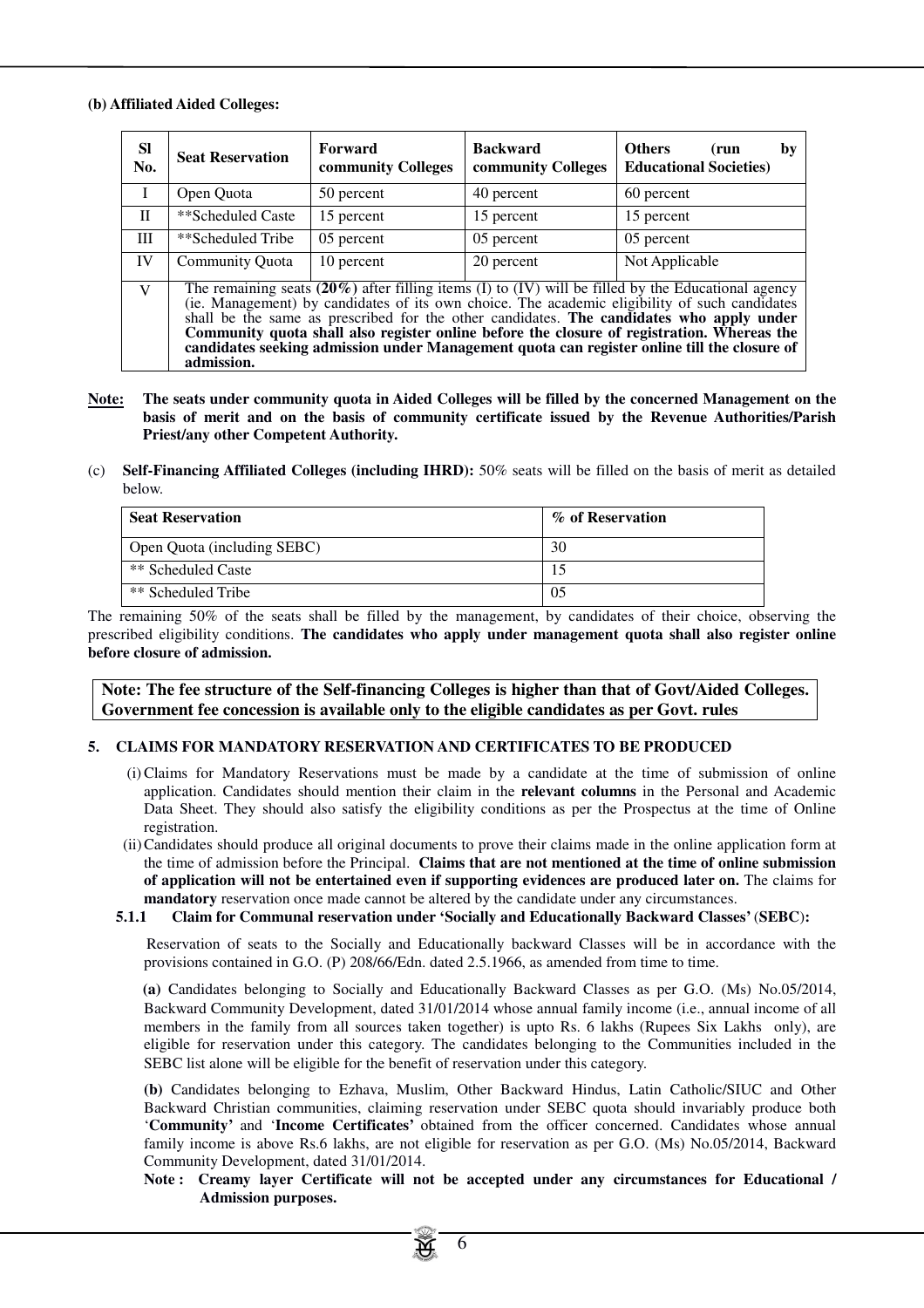#### **(b) Affiliated Aided Colleges:**

| <b>SI</b><br>No. | <b>Seat Reservation</b>                                                                                                                                                                                                                                                                                                                                                                                                                                                                                       | Forward<br>community Colleges | <b>Backward</b><br>community Colleges | <b>Others</b><br>by<br>(run<br><b>Educational Societies</b> ) |
|------------------|---------------------------------------------------------------------------------------------------------------------------------------------------------------------------------------------------------------------------------------------------------------------------------------------------------------------------------------------------------------------------------------------------------------------------------------------------------------------------------------------------------------|-------------------------------|---------------------------------------|---------------------------------------------------------------|
|                  | Open Quota                                                                                                                                                                                                                                                                                                                                                                                                                                                                                                    | 50 percent                    | 40 percent                            | 60 percent                                                    |
| П                | **Scheduled Caste                                                                                                                                                                                                                                                                                                                                                                                                                                                                                             | 15 percent                    | 15 percent                            | 15 percent                                                    |
| Ш                | **Scheduled Tribe                                                                                                                                                                                                                                                                                                                                                                                                                                                                                             | 05 percent                    | 05 percent                            | 05 percent                                                    |
| <b>IV</b>        | Community Quota                                                                                                                                                                                                                                                                                                                                                                                                                                                                                               | 10 percent                    | 20 percent                            | Not Applicable                                                |
| V                | The remaining seats $(20\%)$ after filling items (I) to (IV) will be filled by the Educational agency<br>(ie. Management) by candidates of its own choice. The academic eligibility of such candidates<br>shall be the same as prescribed for the other candidates. The candidates who apply under<br>Community quota shall also register online before the closure of registration. Whereas the<br>candidates seeking admission under Management quota can register online till the closure of<br>admission. |                               |                                       |                                                               |

- **Note: The seats under community quota in Aided Colleges will be filled by the concerned Management on the basis of merit and on the basis of community certificate issued by the Revenue Authorities/Parish Priest/any other Competent Authority.**
- (c) **Self-Financing Affiliated Colleges (including IHRD):** 50% seats will be filled on the basis of merit as detailed below.

| <b>Seat Reservation</b>            | % of Reservation |
|------------------------------------|------------------|
| <b>Open Quota (including SEBC)</b> | 30               |
| ** Scheduled Caste                 |                  |
| ** Scheduled Tribe                 | 0.5              |

The remaining 50% of the seats shall be filled by the management, by candidates of their choice, observing the prescribed eligibility conditions. **The candidates who apply under management quota shall also register online before closure of admission.**

**Note: The fee structure of the Self-financing Colleges is higher than that of Govt/Aided Colleges. Government fee concession is available only to the eligible candidates as per Govt. rules**

#### **5. CLAIMS FOR MANDATORY RESERVATION AND CERTIFICATES TO BE PRODUCED**

- (i) Claims for Mandatory Reservations must be made by a candidate at the time of submission of online application. Candidates should mention their claim in the **relevant columns** in the Personal and Academic Data Sheet. They should also satisfy the eligibility conditions as per the Prospectus at the time of Online registration.
- (ii) Candidates should produce all original documents to prove their claims made in the online application form at the time of admission before the Principal. **Claims that are not mentioned at the time of online submission of application will not be entertained even if supporting evidences are produced later on.** The claims for **mandatory** reservation once made cannot be altered by the candidate under any circumstances.
- **5.1.1 Claim for Communal reservation under 'Socially and Educationally Backward Classes'** (**SEBC**)**:**

 Reservation of seats to the Socially and Educationally backward Classes will be in accordance with the provisions contained in G.O. (P) 208/66/Edn. dated 2.5.1966, as amended from time to time.

**(a)** Candidates belonging to Socially and Educationally Backward Classes as per G.O. (Ms) No.05/2014, Backward Community Development, dated 31/01/2014 whose annual family income (i.e., annual income of all members in the family from all sources taken together) is upto Rs. 6 lakhs (Rupees Six Lakhs only), are eligible for reservation under this category. The candidates belonging to the Communities included in the SEBC list alone will be eligible for the benefit of reservation under this category.

**(b)** Candidates belonging to Ezhava, Muslim, Other Backward Hindus, Latin Catholic/SIUC and Other Backward Christian communities, claiming reservation under SEBC quota should invariably produce both '**Community'** and '**Income Certificates'** obtained from the officer concerned. Candidates whose annual family income is above Rs.6 lakhs, are not eligible for reservation as per G.O. (Ms) No.05/2014, Backward Community Development, dated 31/01/2014.

**Note : Creamy layer Certificate will not be accepted under any circumstances for Educational / Admission purposes.** 

6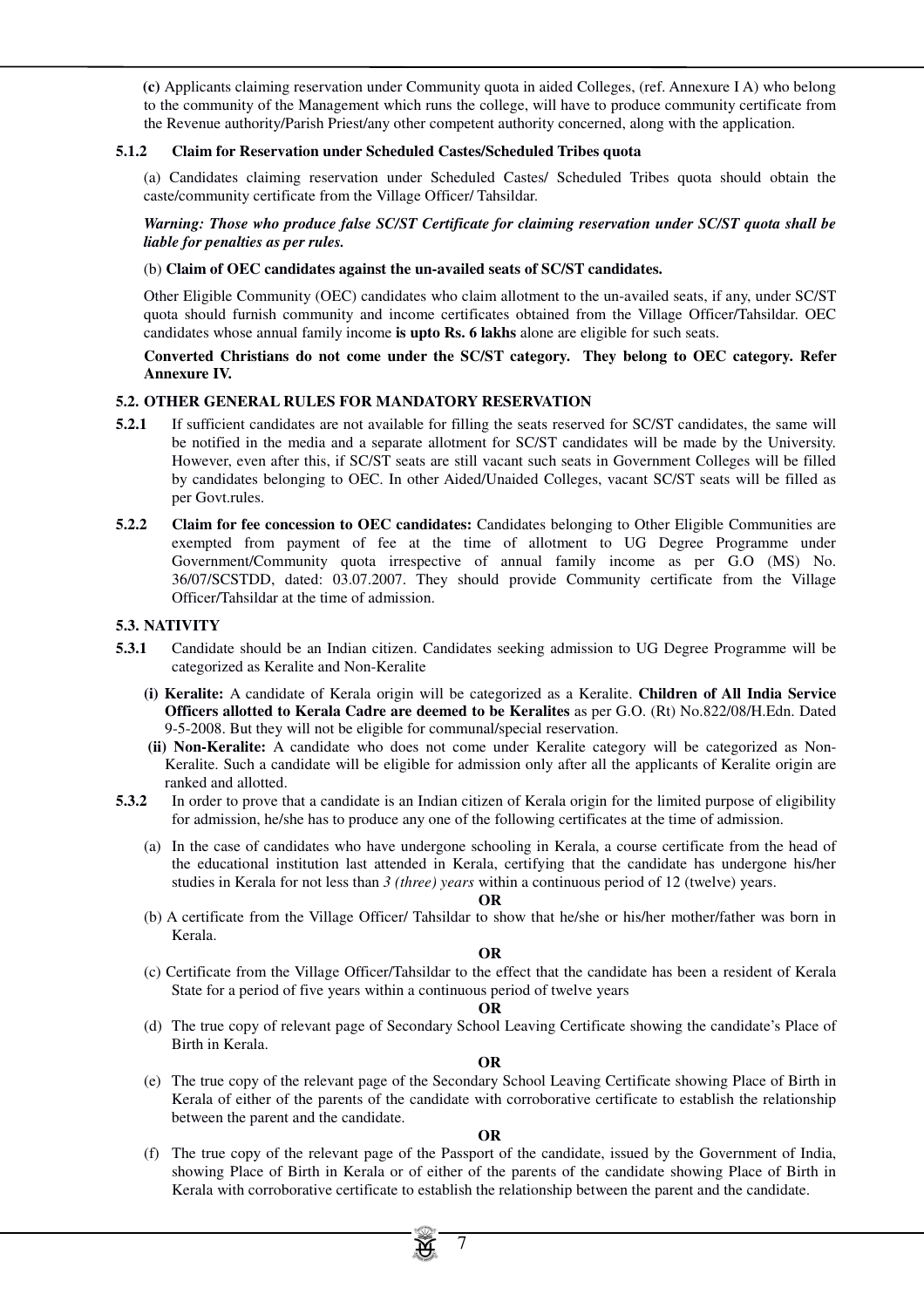**(c)** Applicants claiming reservation under Community quota in aided Colleges, (ref. Annexure I A) who belong to the community of the Management which runs the college, will have to produce community certificate from the Revenue authority/Parish Priest/any other competent authority concerned, along with the application.

#### **5.1.2 Claim for Reservation under Scheduled Castes/Scheduled Tribes quota**

(a) Candidates claiming reservation under Scheduled Castes/ Scheduled Tribes quota should obtain the caste/community certificate from the Village Officer/ Tahsildar.

#### *Warning: Those who produce false SC/ST Certificate for claiming reservation under SC/ST quota shall be liable for penalties as per rules.*

#### (b) **Claim of OEC candidates against the un-availed seats of SC/ST candidates.**

Other Eligible Community (OEC) candidates who claim allotment to the un-availed seats, if any, under SC/ST quota should furnish community and income certificates obtained from the Village Officer/Tahsildar. OEC candidates whose annual family income **is upto Rs. 6 lakhs** alone are eligible for such seats.

 **Converted Christians do not come under the SC/ST category. They belong to OEC category. Refer Annexure IV.**

#### **5.2. OTHER GENERAL RULES FOR MANDATORY RESERVATION**

- **5.2.1** If sufficient candidates are not available for filling the seats reserved for SC/ST candidates, the same will be notified in the media and a separate allotment for SC/ST candidates will be made by the University. However, even after this, if SC/ST seats are still vacant such seats in Government Colleges will be filled by candidates belonging to OEC. In other Aided/Unaided Colleges, vacant SC/ST seats will be filled as per Govt.rules.
- **5.2.2 Claim for fee concession to OEC candidates:** Candidates belonging to Other Eligible Communities are exempted from payment of fee at the time of allotment to UG Degree Programme under Government/Community quota irrespective of annual family income as per G.O (MS) No. 36/07/SCSTDD, dated: 03.07.2007. They should provide Community certificate from the Village Officer/Tahsildar at the time of admission.

#### **5.3. NATIVITY**

- **5.3.1** Candidate should be an Indian citizen. Candidates seeking admission to UG Degree Programme will be categorized as Keralite and Non-Keralite
	- **(i) Keralite:** A candidate of Kerala origin will be categorized as a Keralite. **Children of All India Service Officers allotted to Kerala Cadre are deemed to be Keralites** as per G.O. (Rt) No.822/08/H.Edn. Dated 9-5-2008. But they will not be eligible for communal/special reservation.
	- **(ii) Non-Keralite:** A candidate who does not come under Keralite category will be categorized as Non-Keralite. Such a candidate will be eligible for admission only after all the applicants of Keralite origin are ranked and allotted.
- **5.3.2** In order to prove that a candidate is an Indian citizen of Kerala origin for the limited purpose of eligibility for admission, he/she has to produce any one of the following certificates at the time of admission.
	- (a) In the case of candidates who have undergone schooling in Kerala, a course certificate from the head of the educational institution last attended in Kerala, certifying that the candidate has undergone his/her studies in Kerala for not less than *3 (three) years* within a continuous period of 12 (twelve) years.
	- **OR** (b) A certificate from the Village Officer/ Tahsildar to show that he/she or his/her mother/father was born in Kerala.

#### **OR**

(c) Certificate from the Village Officer/Tahsildar to the effect that the candidate has been a resident of Kerala State for a period of five years within a continuous period of twelve years

#### **OR**

(d) The true copy of relevant page of Secondary School Leaving Certificate showing the candidate's Place of Birth in Kerala.

#### **OR**

(e) The true copy of the relevant page of the Secondary School Leaving Certificate showing Place of Birth in Kerala of either of the parents of the candidate with corroborative certificate to establish the relationship between the parent and the candidate.

#### **OR**

(f) The true copy of the relevant page of the Passport of the candidate, issued by the Government of India, showing Place of Birth in Kerala or of either of the parents of the candidate showing Place of Birth in Kerala with corroborative certificate to establish the relationship between the parent and the candidate.

7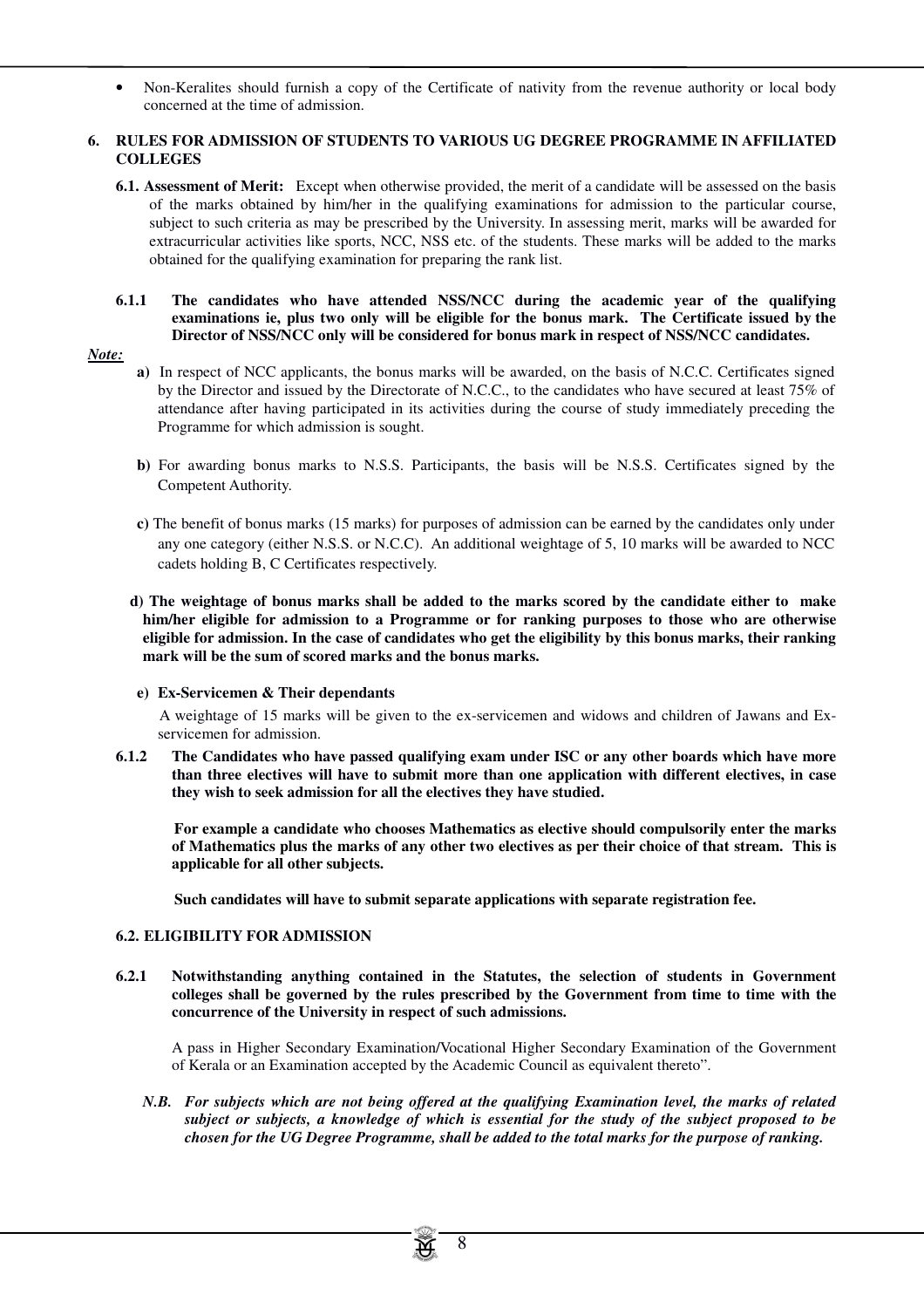• Non-Keralites should furnish a copy of the Certificate of nativity from the revenue authority or local body concerned at the time of admission.

#### **6. RULES FOR ADMISSION OF STUDENTS TO VARIOUS UG DEGREE PROGRAMME IN AFFILIATED COLLEGES**

**6.1. Assessment of Merit:** Except when otherwise provided, the merit of a candidate will be assessed on the basis of the marks obtained by him/her in the qualifying examinations for admission to the particular course, subject to such criteria as may be prescribed by the University. In assessing merit, marks will be awarded for extracurricular activities like sports, NCC, NSS etc. of the students. These marks will be added to the marks obtained for the qualifying examination for preparing the rank list.

# **6.1.1 The candidates who have attended NSS/NCC during the academic year of the qualifying examinations ie, plus two only will be eligible for the bonus mark. The Certificate issued by the Director of NSS/NCC only will be considered for bonus mark in respect of NSS/NCC candidates.**

# *Note:*

- **a)** In respect of NCC applicants, the bonus marks will be awarded, on the basis of N.C.C. Certificates signed by the Director and issued by the Directorate of N.C.C., to the candidates who have secured at least 75% of attendance after having participated in its activities during the course of study immediately preceding the Programme for which admission is sought.
- **b)** For awarding bonus marks to N.S.S. Participants, the basis will be N.S.S. Certificates signed by the Competent Authority.
- **c)** The benefit of bonus marks (15 marks) for purposes of admission can be earned by the candidates only under any one category (either N.S.S. or N.C.C). An additional weightage of 5, 10 marks will be awarded to NCC cadets holding B, C Certificates respectively.
- **d) The weightage of bonus marks shall be added to the marks scored by the candidate either to make him/her eligible for admission to a Programme or for ranking purposes to those who are otherwise eligible for admission. In the case of candidates who get the eligibility by this bonus marks, their ranking mark will be the sum of scored marks and the bonus marks.**

#### **e) Ex-Servicemen & Their dependants**

 A weightage of 15 marks will be given to the ex-servicemen and widows and children of Jawans and Exservicemen for admission.

**6.1.2 The Candidates who have passed qualifying exam under ISC or any other boards which have more than three electives will have to submit more than one application with different electives, in case they wish to seek admission for all the electives they have studied.** 

 **For example a candidate who chooses Mathematics as elective should compulsorily enter the marks of Mathematics plus the marks of any other two electives as per their choice of that stream. This is applicable for all other subjects.**

 **Such candidates will have to submit separate applications with separate registration fee.** 

# **6.2. ELIGIBILITY FOR ADMISSION**

**6.2.1 Notwithstanding anything contained in the Statutes, the selection of students in Government colleges shall be governed by the rules prescribed by the Government from time to time with the concurrence of the University in respect of such admissions.** 

A pass in Higher Secondary Examination/Vocational Higher Secondary Examination of the Government of Kerala or an Examination accepted by the Academic Council as equivalent thereto".

*N.B. For subjects which are not being offered at the qualifying Examination level, the marks of related subject or subjects, a knowledge of which is essential for the study of the subject proposed to be chosen for the UG Degree Programme, shall be added to the total marks for the purpose of ranking.*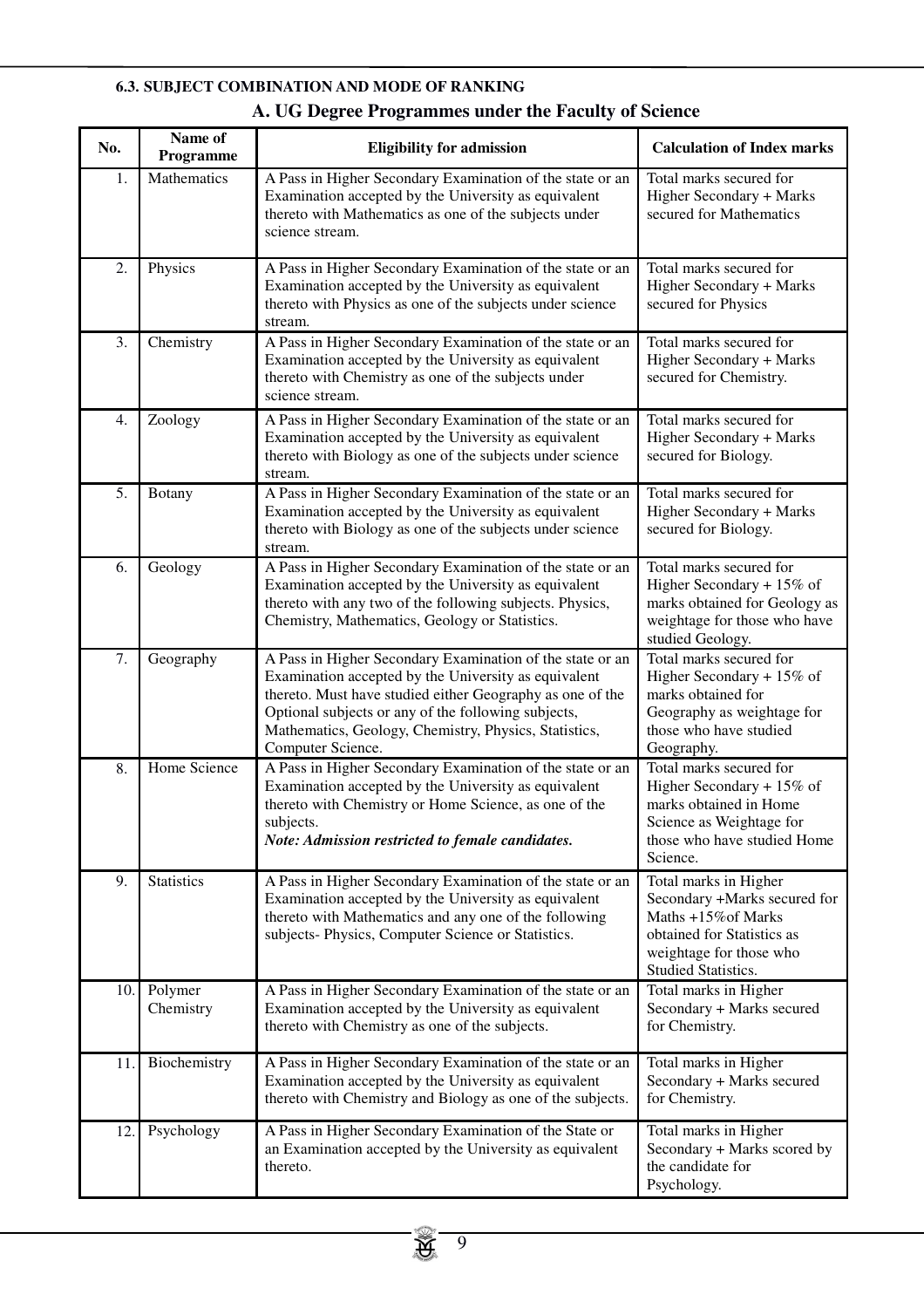# **6.3. SUBJECT COMBINATION AND MODE OF RANKING**

| No. | Name of<br>Programme | <b>Eligibility for admission</b>                                                                                                                                                                                                                                                                                    | <b>Calculation of Index marks</b>                                                                                                                            |
|-----|----------------------|---------------------------------------------------------------------------------------------------------------------------------------------------------------------------------------------------------------------------------------------------------------------------------------------------------------------|--------------------------------------------------------------------------------------------------------------------------------------------------------------|
| 1.  | Mathematics          | A Pass in Higher Secondary Examination of the state or an<br>Examination accepted by the University as equivalent<br>thereto with Mathematics as one of the subjects under<br>science stream.                                                                                                                       | Total marks secured for<br>Higher Secondary + Marks<br>secured for Mathematics                                                                               |
| 2.  | Physics              | A Pass in Higher Secondary Examination of the state or an<br>Examination accepted by the University as equivalent<br>thereto with Physics as one of the subjects under science<br>stream.                                                                                                                           | Total marks secured for<br>Higher Secondary + Marks<br>secured for Physics                                                                                   |
| 3.  | Chemistry            | A Pass in Higher Secondary Examination of the state or an<br>Examination accepted by the University as equivalent<br>thereto with Chemistry as one of the subjects under<br>science stream.                                                                                                                         | Total marks secured for<br>Higher Secondary + Marks<br>secured for Chemistry.                                                                                |
| 4.  | Zoology              | A Pass in Higher Secondary Examination of the state or an<br>Examination accepted by the University as equivalent<br>thereto with Biology as one of the subjects under science<br>stream.                                                                                                                           | Total marks secured for<br>Higher Secondary + Marks<br>secured for Biology.                                                                                  |
| 5.  | <b>Botany</b>        | A Pass in Higher Secondary Examination of the state or an<br>Examination accepted by the University as equivalent<br>thereto with Biology as one of the subjects under science<br>stream.                                                                                                                           | Total marks secured for<br>Higher Secondary + Marks<br>secured for Biology.                                                                                  |
| 6.  | Geology              | A Pass in Higher Secondary Examination of the state or an<br>Examination accepted by the University as equivalent<br>thereto with any two of the following subjects. Physics,<br>Chemistry, Mathematics, Geology or Statistics.                                                                                     | Total marks secured for<br>Higher Secondary + $15\%$ of<br>marks obtained for Geology as<br>weightage for those who have<br>studied Geology.                 |
| 7.  | Geography            | A Pass in Higher Secondary Examination of the state or an<br>Examination accepted by the University as equivalent<br>thereto. Must have studied either Geography as one of the<br>Optional subjects or any of the following subjects,<br>Mathematics, Geology, Chemistry, Physics, Statistics,<br>Computer Science. | Total marks secured for<br>Higher Secondary + $15\%$ of<br>marks obtained for<br>Geography as weightage for<br>those who have studied<br>Geography.          |
| 8.  | Home Science         | A Pass in Higher Secondary Examination of the state or an<br>Examination accepted by the University as equivalent<br>thereto with Chemistry or Home Science, as one of the<br>subjects.<br>Note: Admission restricted to female candidates.                                                                         | Total marks secured for<br>Higher Secondary + $15\%$ of<br>marks obtained in Home<br>Science as Weightage for<br>those who have studied Home<br>Science.     |
| 9.  | <b>Statistics</b>    | A Pass in Higher Secondary Examination of the state or an<br>Examination accepted by the University as equivalent<br>thereto with Mathematics and any one of the following<br>subjects-Physics, Computer Science or Statistics.                                                                                     | Total marks in Higher<br>Secondary +Marks secured for<br>Maths +15% of Marks<br>obtained for Statistics as<br>weightage for those who<br>Studied Statistics. |
| 10. | Polymer<br>Chemistry | A Pass in Higher Secondary Examination of the state or an<br>Examination accepted by the University as equivalent<br>thereto with Chemistry as one of the subjects.                                                                                                                                                 | Total marks in Higher<br>Secondary + Marks secured<br>for Chemistry.                                                                                         |
| 11. | Biochemistry         | A Pass in Higher Secondary Examination of the state or an<br>Examination accepted by the University as equivalent<br>thereto with Chemistry and Biology as one of the subjects.                                                                                                                                     | Total marks in Higher<br>Secondary + Marks secured<br>for Chemistry.                                                                                         |
| 12. | Psychology           | A Pass in Higher Secondary Examination of the State or<br>an Examination accepted by the University as equivalent<br>thereto.                                                                                                                                                                                       | Total marks in Higher<br>Secondary + Marks scored by<br>the candidate for<br>Psychology.                                                                     |

# **A. UG Degree Programmes under the Faculty of Science**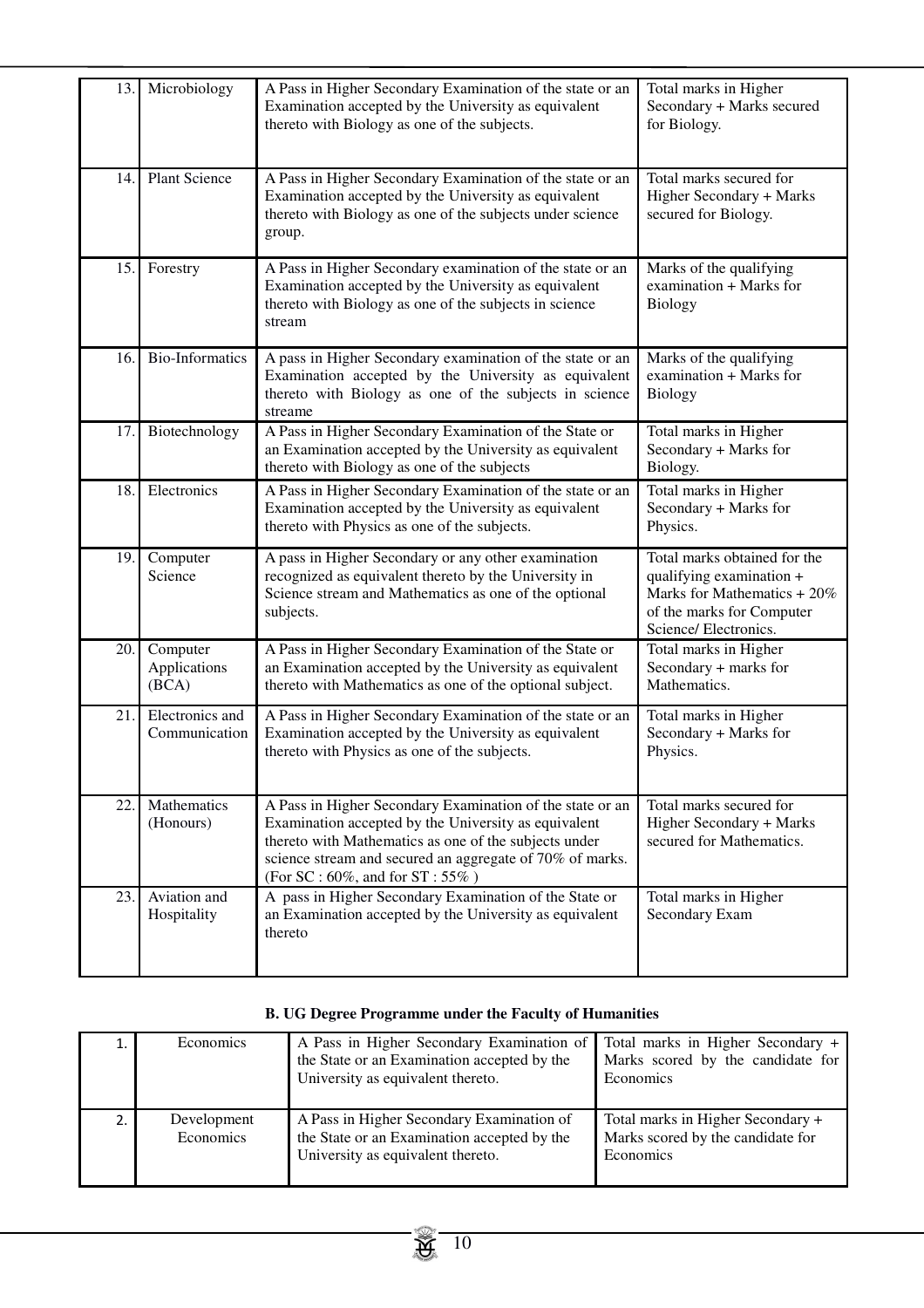| 13. | Microbiology                      | A Pass in Higher Secondary Examination of the state or an<br>Examination accepted by the University as equivalent<br>thereto with Biology as one of the subjects.                                                                                                                  | Total marks in Higher<br>Secondary + Marks secured<br>for Biology.                                                                            |
|-----|-----------------------------------|------------------------------------------------------------------------------------------------------------------------------------------------------------------------------------------------------------------------------------------------------------------------------------|-----------------------------------------------------------------------------------------------------------------------------------------------|
| 14. | <b>Plant Science</b>              | A Pass in Higher Secondary Examination of the state or an<br>Examination accepted by the University as equivalent<br>thereto with Biology as one of the subjects under science<br>group.                                                                                           | Total marks secured for<br>Higher Secondary + Marks<br>secured for Biology.                                                                   |
| 15. | Forestry                          | A Pass in Higher Secondary examination of the state or an<br>Examination accepted by the University as equivalent<br>thereto with Biology as one of the subjects in science<br>stream                                                                                              | Marks of the qualifying<br>examination + Marks for<br>Biology                                                                                 |
| 16. | <b>Bio-Informatics</b>            | A pass in Higher Secondary examination of the state or an<br>Examination accepted by the University as equivalent<br>thereto with Biology as one of the subjects in science<br>streame                                                                                             | Marks of the qualifying<br>examination + Marks for<br>Biology                                                                                 |
| 17. | Biotechnology                     | A Pass in Higher Secondary Examination of the State or<br>an Examination accepted by the University as equivalent<br>thereto with Biology as one of the subjects                                                                                                                   | Total marks in Higher<br>Secondary + Marks for<br>Biology.                                                                                    |
| 18. | Electronics                       | A Pass in Higher Secondary Examination of the state or an<br>Examination accepted by the University as equivalent<br>thereto with Physics as one of the subjects.                                                                                                                  | Total marks in Higher<br>Secondary + Marks for<br>Physics.                                                                                    |
| 19. | Computer<br>Science               | A pass in Higher Secondary or any other examination<br>recognized as equivalent thereto by the University in<br>Science stream and Mathematics as one of the optional<br>subjects.                                                                                                 | Total marks obtained for the<br>qualifying examination +<br>Marks for Mathematics + 20%<br>of the marks for Computer<br>Science/ Electronics. |
| 20. | Computer<br>Applications<br>(BCA) | A Pass in Higher Secondary Examination of the State or<br>an Examination accepted by the University as equivalent<br>thereto with Mathematics as one of the optional subject.                                                                                                      | Total marks in Higher<br>Secondary + marks for<br>Mathematics.                                                                                |
| 21. | Electronics and<br>Communication  | A Pass in Higher Secondary Examination of the state or an<br>Examination accepted by the University as equivalent<br>thereto with Physics as one of the subjects.                                                                                                                  | Total marks in Higher<br>Secondary + Marks for<br>Physics.                                                                                    |
| 22. | Mathematics<br>(Honours)          | A Pass in Higher Secondary Examination of the state or an<br>Examination accepted by the University as equivalent<br>thereto with Mathematics as one of the subjects under<br>science stream and secured an aggregate of 70% of marks.<br>(For SC : $60\%$ , and for ST : $55\%$ ) | Total marks secured for<br>Higher Secondary + Marks<br>secured for Mathematics.                                                               |
| 23. | Aviation and<br>Hospitality       | A pass in Higher Secondary Examination of the State or<br>an Examination accepted by the University as equivalent<br>thereto                                                                                                                                                       | Total marks in Higher<br>Secondary Exam                                                                                                       |

# **B. UG Degree Programme under the Faculty of Humanities**

| 1. | <b>Economics</b>         | A Pass in Higher Secondary Examination of<br>the State or an Examination accepted by the<br>University as equivalent thereto. | Total marks in Higher Secondary +<br>Marks scored by the candidate for<br>Economics |
|----|--------------------------|-------------------------------------------------------------------------------------------------------------------------------|-------------------------------------------------------------------------------------|
| 2. | Development<br>Economics | A Pass in Higher Secondary Examination of<br>the State or an Examination accepted by the<br>University as equivalent thereto. | Total marks in Higher Secondary +<br>Marks scored by the candidate for<br>Economics |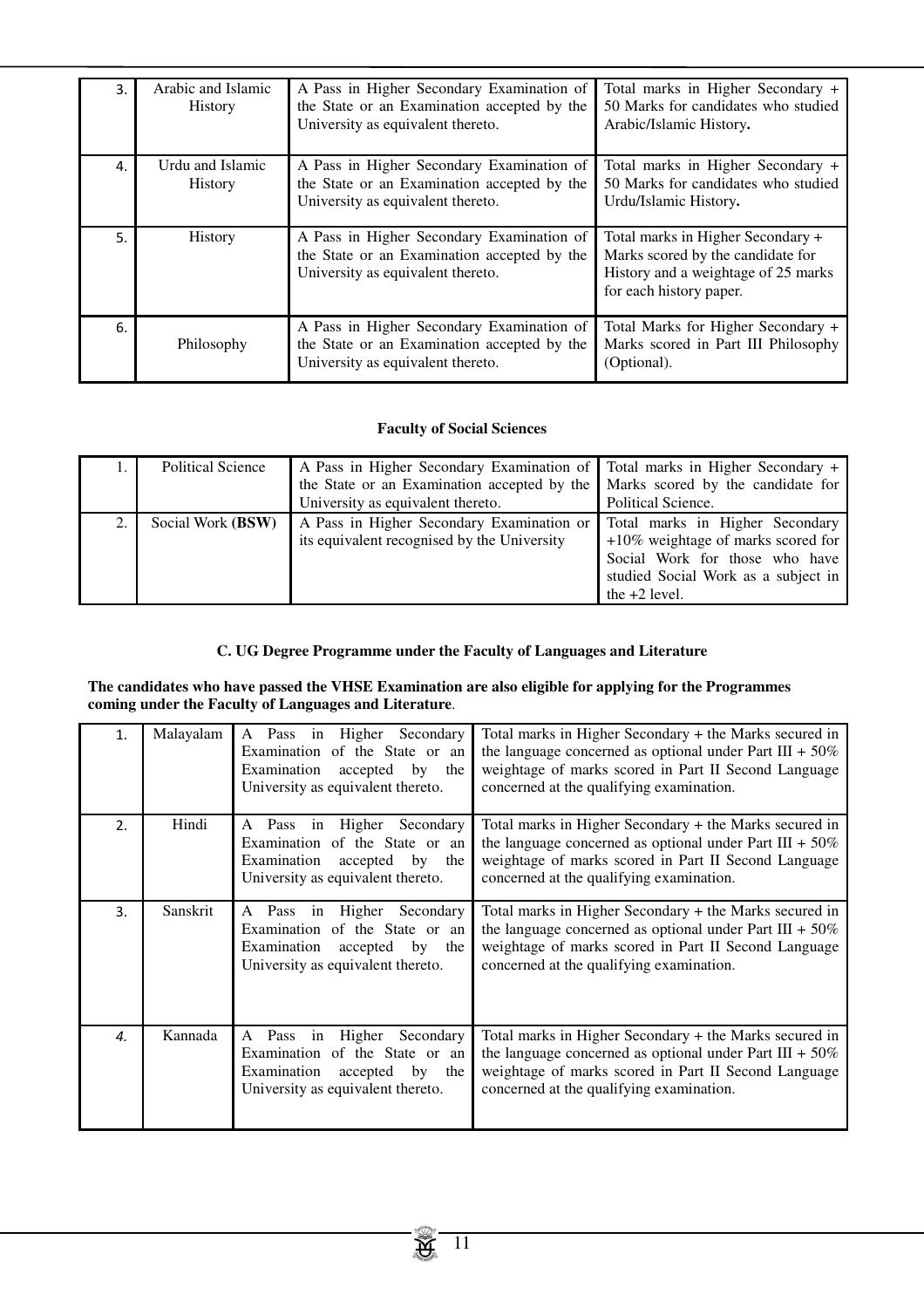| 3. | Arabic and Islamic<br>History      | A Pass in Higher Secondary Examination of<br>the State or an Examination accepted by the<br>University as equivalent thereto. | Total marks in Higher Secondary +<br>50 Marks for candidates who studied<br>Arabic/Islamic History.                                      |
|----|------------------------------------|-------------------------------------------------------------------------------------------------------------------------------|------------------------------------------------------------------------------------------------------------------------------------------|
| 4. | Urdu and Islamic<br><b>History</b> | A Pass in Higher Secondary Examination of<br>the State or an Examination accepted by the<br>University as equivalent thereto. | Total marks in Higher Secondary +<br>50 Marks for candidates who studied<br>Urdu/Islamic History.                                        |
| 5. | History                            | A Pass in Higher Secondary Examination of<br>the State or an Examination accepted by the<br>University as equivalent thereto. | Total marks in Higher Secondary +<br>Marks scored by the candidate for<br>History and a weightage of 25 marks<br>for each history paper. |
| 6. | Philosophy                         | A Pass in Higher Secondary Examination of<br>the State or an Examination accepted by the<br>University as equivalent thereto. | Total Marks for Higher Secondary +<br>Marks scored in Part III Philosophy<br>(Optional).                                                 |

# **Faculty of Social Sciences**

|    | Political Science          | A Pass in Higher Secondary Examination of Total marks in Higher Secondary +     |                                       |
|----|----------------------------|---------------------------------------------------------------------------------|---------------------------------------|
|    |                            | the State or an Examination accepted by the   Marks scored by the candidate for |                                       |
|    |                            | University as equivalent thereto.                                               | Political Science.                    |
| 2. | Social Work ( <b>BSW</b> ) | A Pass in Higher Secondary Examination or                                       | Total marks in Higher Secondary       |
|    |                            | its equivalent recognised by the University                                     | $+10\%$ weightage of marks scored for |
|    |                            |                                                                                 | Social Work for those who have        |
|    |                            |                                                                                 | studied Social Work as a subject in   |
|    |                            |                                                                                 | the $+2$ level.                       |

# **C. UG Degree Programme under the Faculty of Languages and Literature**

**The candidates who have passed the VHSE Examination are also eligible for applying for the Programmes coming under the Faculty of Languages and Literature**.

| 1. | Malayalam | A Pass in Higher<br>Secondary<br>Examination of the State or an<br>Examination<br>accepted<br>by<br>the<br>University as equivalent thereto.          | Total marks in Higher Secondary + the Marks secured in<br>the language concerned as optional under Part III + $50\%$<br>weightage of marks scored in Part II Second Language<br>concerned at the qualifying examination. |
|----|-----------|-------------------------------------------------------------------------------------------------------------------------------------------------------|--------------------------------------------------------------------------------------------------------------------------------------------------------------------------------------------------------------------------|
| 2. | Hindi     | Higher<br>Secondary<br>Pass in<br>A<br>Examination of the State or an<br>Examination<br>accepted by<br>the<br>University as equivalent thereto.       | Total marks in Higher Secondary + the Marks secured in<br>the language concerned as optional under Part III + $50\%$<br>weightage of marks scored in Part II Second Language<br>concerned at the qualifying examination. |
| 3. | Sanskrit  | Higher<br>Secondary<br>Pass<br>in<br>A<br>Examination of the State or an<br>Examination<br>accepted<br>by<br>the<br>University as equivalent thereto. | Total marks in Higher Secondary + the Marks secured in<br>the language concerned as optional under Part III + $50\%$<br>weightage of marks scored in Part II Second Language<br>concerned at the qualifying examination. |
| 4. | Kannada   | Higher<br>Pass<br>Secondary<br>A<br>in<br>Examination of the State or an<br>Examination<br>accepted<br>by<br>the<br>University as equivalent thereto. | Total marks in Higher Secondary + the Marks secured in<br>the language concerned as optional under Part III + $50\%$<br>weightage of marks scored in Part II Second Language<br>concerned at the qualifying examination. |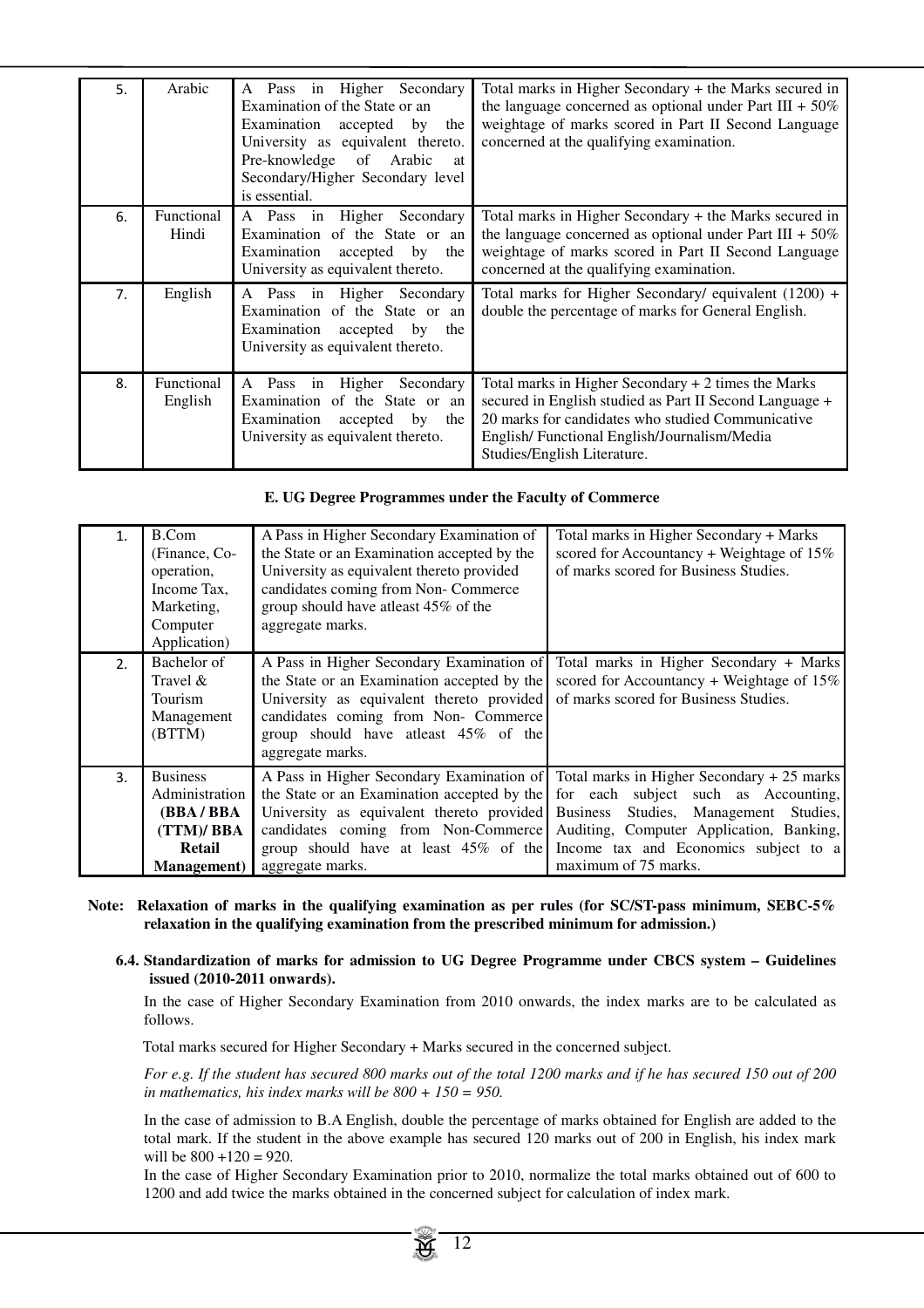| 5.             | Arabic                | A Pass in Higher Secondary<br>Examination of the State or an<br>Examination<br>accepted<br>by<br>the<br>University as equivalent thereto.<br>Pre-knowledge<br>of<br>Arabic<br>at<br>Secondary/Higher Secondary level<br>is essential. | Total marks in Higher Secondary + the Marks secured in<br>the language concerned as optional under Part III + $50\%$<br>weightage of marks scored in Part II Second Language<br>concerned at the qualifying examination.                           |
|----------------|-----------------------|---------------------------------------------------------------------------------------------------------------------------------------------------------------------------------------------------------------------------------------|----------------------------------------------------------------------------------------------------------------------------------------------------------------------------------------------------------------------------------------------------|
| 6.             | Functional<br>Hindi   | Higher Secondary<br>A Pass in<br>Examination of the State or an<br>Examination<br>by the<br>accepted<br>University as equivalent thereto.                                                                                             | Total marks in Higher Secondary + the Marks secured in<br>the language concerned as optional under Part III + $50\%$<br>weightage of marks scored in Part II Second Language<br>concerned at the qualifying examination.                           |
| 7 <sub>1</sub> | English               | A Pass in Higher Secondary<br>Examination of the State or an<br>Examination<br>accepted<br>by<br>the<br>University as equivalent thereto.                                                                                             | Total marks for Higher Secondary/ equivalent $(1200) +$<br>double the percentage of marks for General English.                                                                                                                                     |
| 8.             | Functional<br>English | A Pass in Higher<br>Secondary<br>Examination of the State or an<br>Examination<br>accepted<br>by<br>the<br>University as equivalent thereto.                                                                                          | Total marks in Higher Secondary $+2$ times the Marks<br>secured in English studied as Part II Second Language +<br>20 marks for candidates who studied Communicative<br>English/Functional English/Journalism/Media<br>Studies/English Literature. |

# **E. UG Degree Programmes under the Faculty of Commerce**

| 1. | B.Com<br>(Finance, Co-<br>operation,<br>Income Tax,<br>Marketing,<br>Computer<br>Application)         | A Pass in Higher Secondary Examination of<br>the State or an Examination accepted by the<br>University as equivalent thereto provided<br>candidates coming from Non- Commerce<br>group should have atleast 45% of the<br>aggregate marks. | Total marks in Higher Secondary + Marks<br>scored for Accountancy + Weightage of $15\%$<br>of marks scored for Business Studies.                                                                                                                   |
|----|-------------------------------------------------------------------------------------------------------|-------------------------------------------------------------------------------------------------------------------------------------------------------------------------------------------------------------------------------------------|----------------------------------------------------------------------------------------------------------------------------------------------------------------------------------------------------------------------------------------------------|
| 2. | Bachelor of<br>Travel &<br>Tourism<br>Management<br>(BTTM)                                            | A Pass in Higher Secondary Examination of<br>the State or an Examination accepted by the<br>University as equivalent thereto provided<br>candidates coming from Non- Commerce<br>group should have at east 45% of the<br>aggregate marks. | Total marks in Higher Secondary + Marks<br>scored for Accountancy + Weightage of $15\%$<br>of marks scored for Business Studies.                                                                                                                   |
| 3. | <b>Business</b><br>Administration<br>(BBA / BBA<br>(TTM)/ BBA<br><b>Retail</b><br><b>Management</b> ) | A Pass in Higher Secondary Examination of<br>the State or an Examination accepted by the<br>University as equivalent thereto provided<br>candidates coming from Non-Commerce<br>group should have at least 45% of the<br>aggregate marks. | Total marks in Higher Secondary + 25 marks<br>for each subject such as Accounting,<br>Studies, Management Studies,<br><b>Business</b><br>Auditing, Computer Application, Banking,<br>Income tax and Economics subject to a<br>maximum of 75 marks. |

- **Note: Relaxation of marks in the qualifying examination as per rules (for SC/ST-pass minimum, SEBC-5% relaxation in the qualifying examination from the prescribed minimum for admission.)** 
	- **6.4. Standardization of marks for admission to UG Degree Programme under CBCS system Guidelines issued (2010-2011 onwards).**

In the case of Higher Secondary Examination from 2010 onwards, the index marks are to be calculated as follows.

Total marks secured for Higher Secondary + Marks secured in the concerned subject.

*For e.g. If the student has secured 800 marks out of the total 1200 marks and if he has secured 150 out of 200 in mathematics, his index marks will be 800 + 150 = 950.*

In the case of admission to B.A English, double the percentage of marks obtained for English are added to the total mark. If the student in the above example has secured 120 marks out of 200 in English, his index mark will be  $800 + 120 = 920$ .

In the case of Higher Secondary Examination prior to 2010, normalize the total marks obtained out of 600 to 1200 and add twice the marks obtained in the concerned subject for calculation of index mark.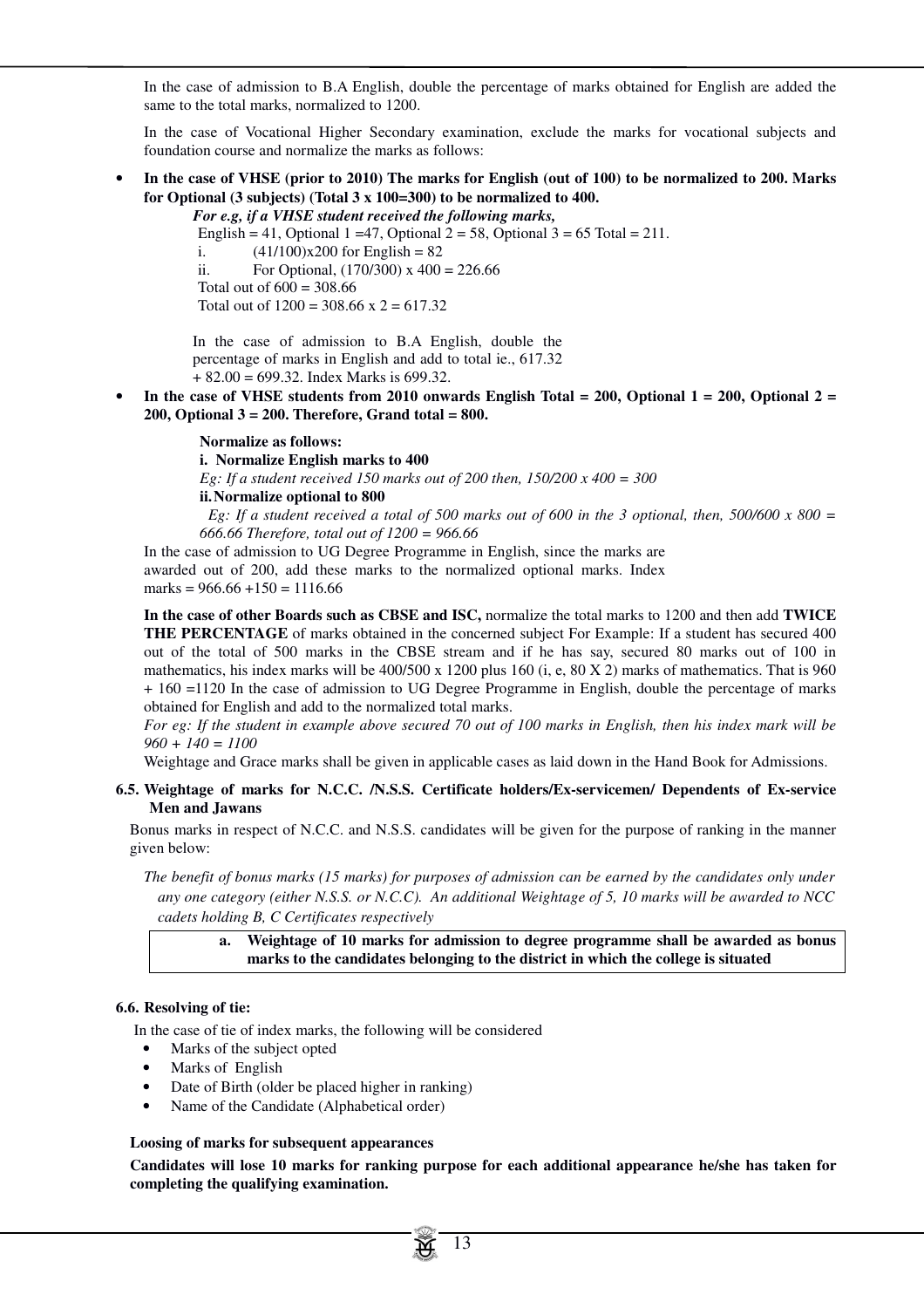In the case of admission to B.A English, double the percentage of marks obtained for English are added the same to the total marks, normalized to 1200.

In the case of Vocational Higher Secondary examination, exclude the marks for vocational subjects and foundation course and normalize the marks as follows:

• **In the case of VHSE (prior to 2010) The marks for English (out of 100) to be normalized to 200. Marks for Optional (3 subjects) (Total 3 x 100=300) to be normalized to 400.**

*For e.g, if a VHSE student received the following marks,* English = 41, Optional 1 = 47, Optional 2 = 58, Optional 3 = 65 Total = 211. i.  $(41/100)x200$  for English = 82 ii. For Optional,  $(170/300)$  x  $400 = 226.66$ Total out of  $600 = 308.66$ Total out of  $1200 = 308.66$  x  $2 = 617.32$ 

In the case of admission to B.A English, double the percentage of marks in English and add to total ie., 617.32 + 82.00 = 699.32. Index Marks is 699.32.

• **In the case of VHSE students from 2010 onwards English Total = 200, Optional 1 = 200, Optional 2 = 200, Optional 3 = 200. Therefore, Grand total = 800.** 

#### **Normalize as follows:**

**i. Normalize English marks to 400**

*Eg: If a student received 150 marks out of 200 then, 150/200 x 400 = 300*

**ii. Normalize optional to 800**

*Eg: If a student received a total of 500 marks out of 600 in the 3 optional, then, 500/600 x 800 = 666.66 Therefore, total out of 1200 = 966.66*

In the case of admission to UG Degree Programme in English, since the marks are awarded out of 200, add these marks to the normalized optional marks. Index marks =  $966.66 + 150 = 1116.66$ 

**In the case of other Boards such as CBSE and ISC,** normalize the total marks to 1200 and then add **TWICE THE PERCENTAGE** of marks obtained in the concerned subject For Example: If a student has secured 400 out of the total of 500 marks in the CBSE stream and if he has say, secured 80 marks out of 100 in mathematics, his index marks will be 400/500 x 1200 plus 160 (i, e, 80 X 2) marks of mathematics. That is 960 + 160 =1120 In the case of admission to UG Degree Programme in English, double the percentage of marks obtained for English and add to the normalized total marks.

*For eg: If the student in example above secured 70 out of 100 marks in English, then his index mark will be 960 + 140 = 1100*

Weightage and Grace marks shall be given in applicable cases as laid down in the Hand Book for Admissions.

#### **6.5. Weightage of marks for N.C.C. /N.S.S. Certificate holders/Ex-servicemen/ Dependents of Ex-service Men and Jawans**

Bonus marks in respect of N.C.C. and N.S.S. candidates will be given for the purpose of ranking in the manner given below:

 *The benefit of bonus marks (15 marks) for purposes of admission can be earned by the candidates only under any one category (either N.S.S. or N.C.C). An additional Weightage of 5, 10 marks will be awarded to NCC cadets holding B, C Certificates respectively* 

**a. Weightage of 10 marks for admission to degree programme shall be awarded as bonus marks to the candidates belonging to the district in which the college is situated** 

#### **6.6. Resolving of tie:**

In the case of tie of index marks, the following will be considered

- Marks of the subject opted
- Marks of English
- Date of Birth (older be placed higher in ranking)
- Name of the Candidate (Alphabetical order)

### **Loosing of marks for subsequent appearances**

**Candidates will lose 10 marks for ranking purpose for each additional appearance he/she has taken for completing the qualifying examination.**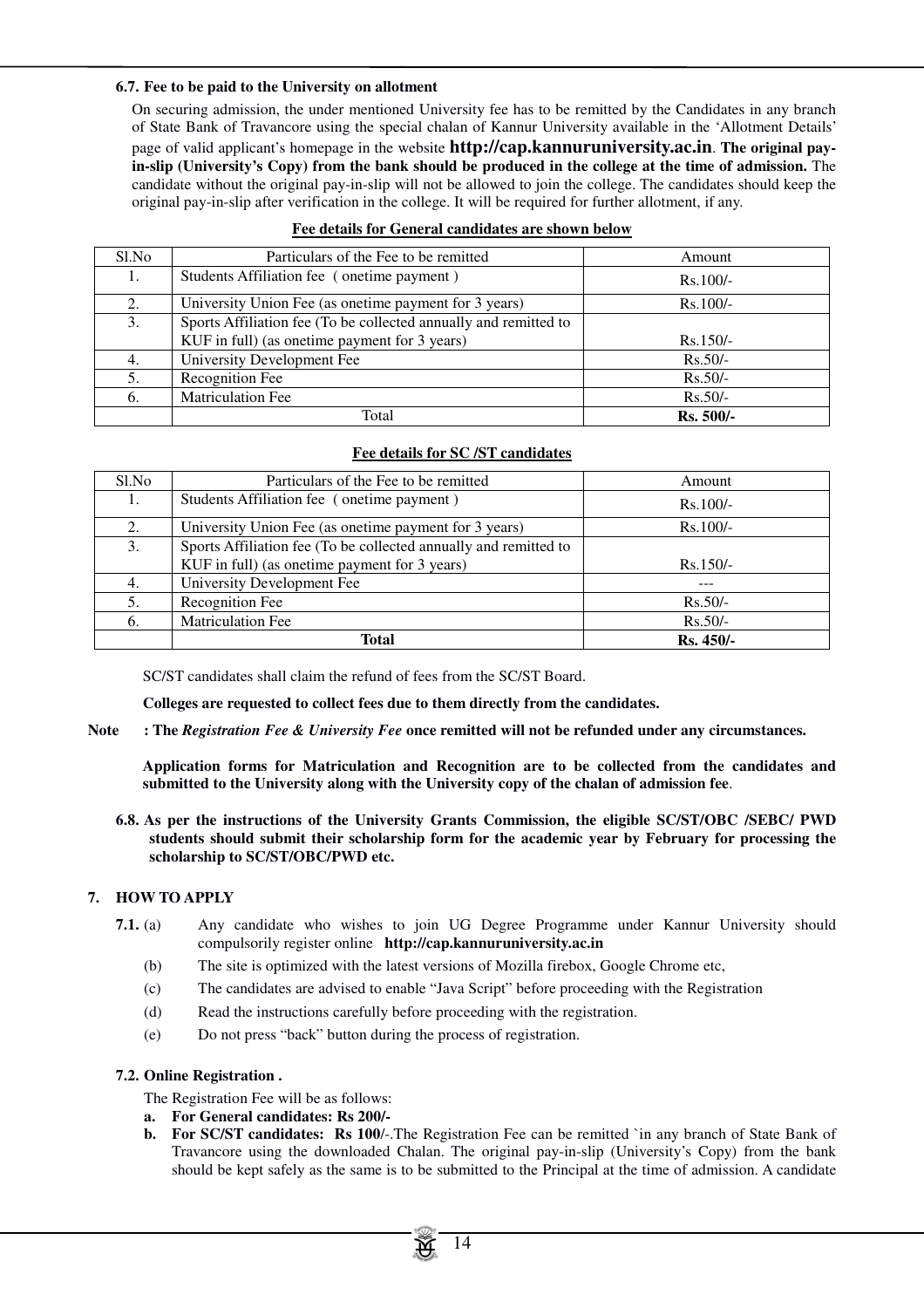#### **6.7. Fee to be paid to the University on allotment**

On securing admission, the under mentioned University fee has to be remitted by the Candidates in any branch of State Bank of Travancore using the special chalan of Kannur University available in the 'Allotment Details'

page of valid applicant's homepage in the website **http://cap.kannuruniversity.ac.in**. **The original payin-slip (University's Copy) from the bank should be produced in the college at the time of admission.** The candidate without the original pay-in-slip will not be allowed to join the college. The candidates should keep the original pay-in-slip after verification in the college. It will be required for further allotment, if any.

| Sl.No | Particulars of the Fee to be remitted                            | Amount     |
|-------|------------------------------------------------------------------|------------|
| 1.    | Students Affiliation fee (onetime payment)                       | $Rs.100/-$ |
| 2.    | University Union Fee (as one time payment for 3 years)           | $Rs.100/-$ |
| 3.    | Sports Affiliation fee (To be collected annually and remitted to |            |
|       | KUF in full) (as one time payment for 3 years)                   | $Rs.150/-$ |
| 4.    | University Development Fee                                       | $Rs.50/-$  |
| 5.    | Recognition Fee                                                  | $Rs.50/-$  |
| 6.    | Matriculation Fee                                                | $Rs.50/-$  |
|       | Total                                                            | Rs. 500/-  |

# **Fee details for General candidates are shown below**

# **Fee details for SC /ST candidates**

| Sl.No | Particulars of the Fee to be remitted                            | Amount     |
|-------|------------------------------------------------------------------|------------|
|       | Students Affiliation fee (onetime payment)                       | $Rs.100/-$ |
| 2.    | University Union Fee (as one time payment for 3 years)           | $Rs.100/-$ |
| 3.    | Sports Affiliation fee (To be collected annually and remitted to |            |
|       | KUF in full) (as one time payment for 3 years)                   | $Rs.150/-$ |
| 4.    | University Development Fee                                       | $- - -$    |
| 5.    | Recognition Fee                                                  | $Rs.50/-$  |
| 6.    | <b>Matriculation Fee</b>                                         | $Rs.50/-$  |
|       | <b>Total</b>                                                     | Rs. 450/-  |

SC/ST candidates shall claim the refund of fees from the SC/ST Board.

**Colleges are requested to collect fees due to them directly from the candidates.** 

**Note : The** *Registration Fee & University Fee* **once remitted will not be refunded under any circumstances.**

**Application forms for Matriculation and Recognition are to be collected from the candidates and submitted to the University along with the University copy of the chalan of admission fee**.

**6.8. As per the instructions of the University Grants Commission, the eligible SC/ST/OBC /SEBC/ PWD students should submit their scholarship form for the academic year by February for processing the scholarship to SC/ST/OBC/PWD etc.** 

# **7. HOW TO APPLY**

- **7.1.** (a) Any candidate who wishes to join UG Degree Programme under Kannur University should compulsorily register online **http://cap.kannuruniversity.ac.in**
	- (b) The site is optimized with the latest versions of Mozilla firebox, Google Chrome etc,
	- (c) The candidates are advised to enable "Java Script" before proceeding with the Registration
	- (d) Read the instructions carefully before proceeding with the registration.
	- (e) Do not press "back" button during the process of registration.

# **7.2. Online Registration .**

The Registration Fee will be as follows:

- **a. For General candidates: Rs 200/-**
- **b.** For SC/ST candidates: Rs 100/-. The Registration Fee can be remitted `in any branch of State Bank of Travancore using the downloaded Chalan. The original pay-in-slip (University's Copy) from the bank should be kept safely as the same is to be submitted to the Principal at the time of admission. A candidate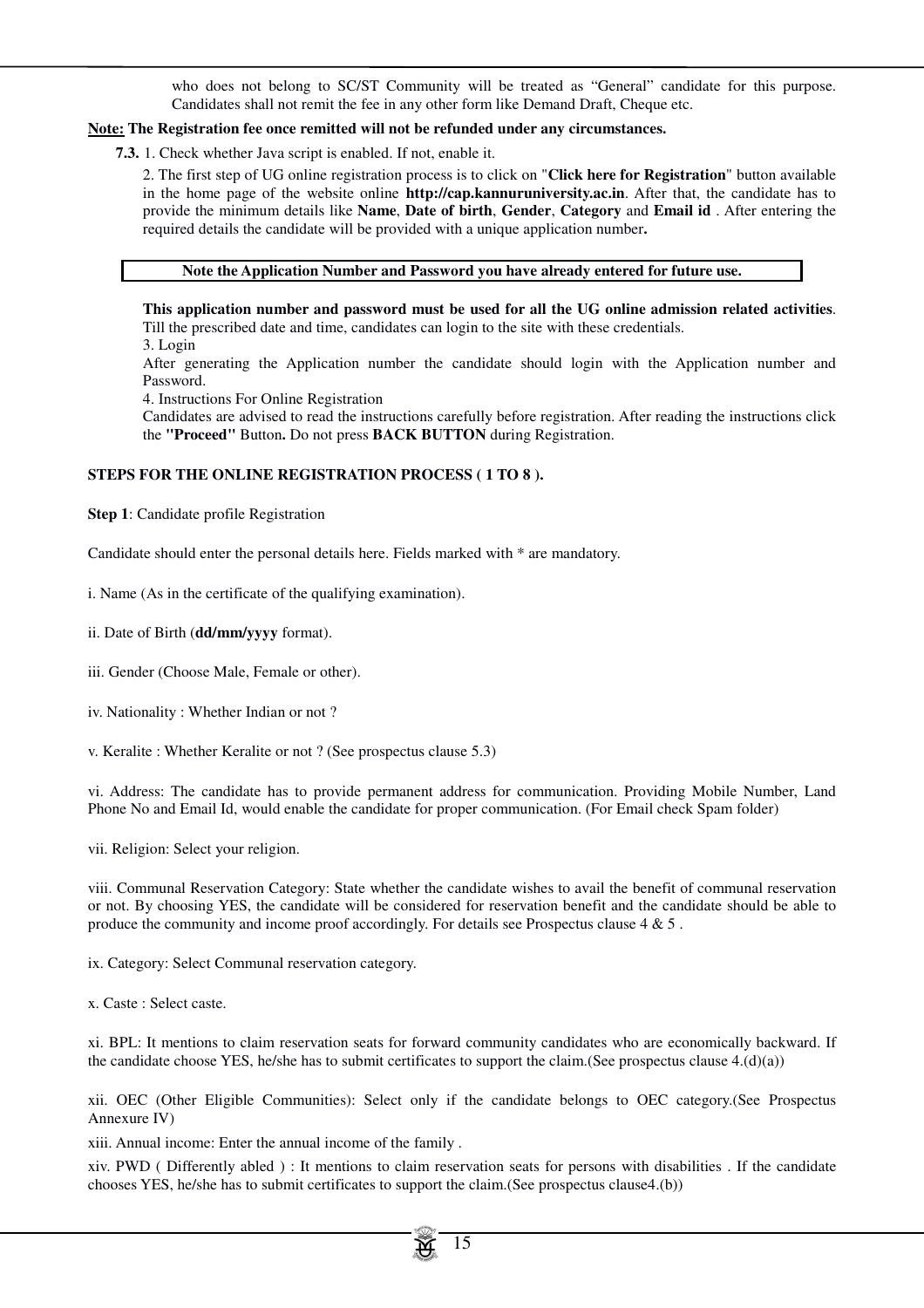who does not belong to SC/ST Community will be treated as "General" candidate for this purpose. Candidates shall not remit the fee in any other form like Demand Draft, Cheque etc.

# **Note: The Registration fee once remitted will not be refunded under any circumstances.**

**7.3.** 1. Check whether Java script is enabled. If not, enable it.

2. The first step of UG online registration process is to click on "**Click here for Registration**" button available in the home page of the website online **http://cap.kannuruniversity.ac.in**. After that, the candidate has to provide the minimum details like **Name**, **Date of birth**, **Gender**, **Category** and **Email id** . After entering the required details the candidate will be provided with a unique application number**.**

#### **Note the Application Number and Password you have already entered for future use.**

**This application number and password must be used for all the UG online admission related activities**. Till the prescribed date and time, candidates can login to the site with these credentials.

3. Login

After generating the Application number the candidate should login with the Application number and Password.

4. Instructions For Online Registration

Candidates are advised to read the instructions carefully before registration. After reading the instructions click the **"Proceed"** Button**.** Do not press **BACK BUTTON** during Registration.

# **STEPS FOR THE ONLINE REGISTRATION PROCESS ( 1 TO 8 ).**

**Step 1**: Candidate profile Registration

Candidate should enter the personal details here. Fields marked with \* are mandatory.

i. Name (As in the certificate of the qualifying examination).

ii. Date of Birth (**dd/mm/yyyy** format).

- iii. Gender (Choose Male, Female or other).
- iv. Nationality : Whether Indian or not ?
- v. Keralite : Whether Keralite or not ? (See prospectus clause 5.3)

vi. Address: The candidate has to provide permanent address for communication. Providing Mobile Number, Land Phone No and Email Id, would enable the candidate for proper communication. (For Email check Spam folder)

vii. Religion: Select your religion.

viii. Communal Reservation Category: State whether the candidate wishes to avail the benefit of communal reservation or not. By choosing YES, the candidate will be considered for reservation benefit and the candidate should be able to produce the community and income proof accordingly. For details see Prospectus clause 4 & 5 .

ix. Category: Select Communal reservation category.

x. Caste : Select caste.

xi. BPL: It mentions to claim reservation seats for forward community candidates who are economically backward. If the candidate choose YES, he/she has to submit certificates to support the claim.(See prospectus clause 4.(d)(a))

xii. OEC (Other Eligible Communities): Select only if the candidate belongs to OEC category.(See Prospectus Annexure IV)

xiii. Annual income: Enter the annual income of the family .

xiv. PWD ( Differently abled ) : It mentions to claim reservation seats for persons with disabilities . If the candidate chooses YES, he/she has to submit certificates to support the claim.(See prospectus clause4.(b))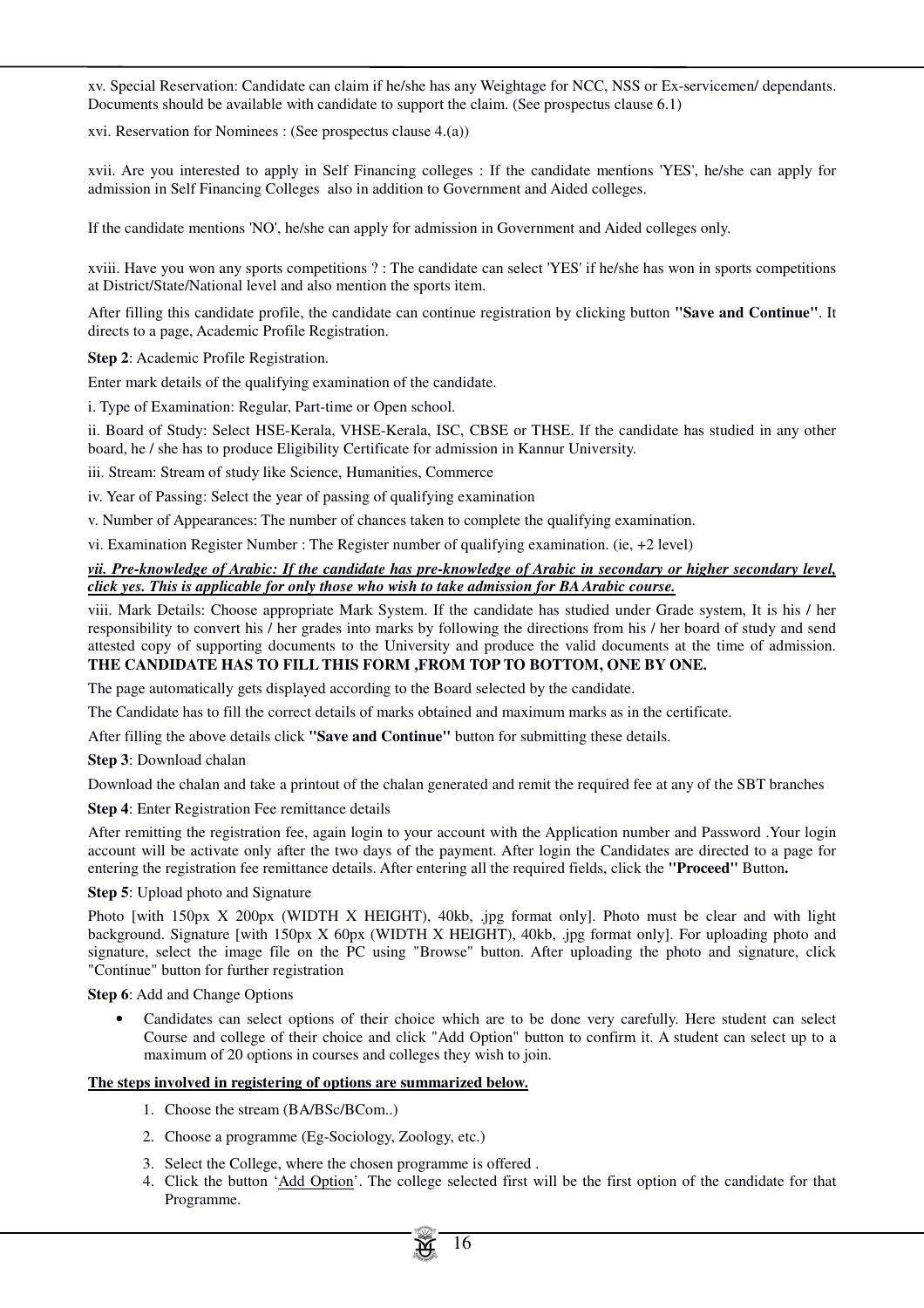xv. Special Reservation: Candidate can claim if he/she has any Weightage for NCC, NSS or Ex-servicemen/ dependants. Documents should be available with candidate to support the claim. (See prospectus clause 6.1)

xvi. Reservation for Nominees : (See prospectus clause 4.(a))

xvii. Are you interested to apply in Self Financing colleges : If the candidate mentions 'YES', he/she can apply for admission in Self Financing Colleges also in addition to Government and Aided colleges.

If the candidate mentions 'NO', he/she can apply for admission in Government and Aided colleges only.

xviii. Have you won any sports competitions ? : The candidate can select 'YES' if he/she has won in sports competitions at District/State/National level and also mention the sports item.

After filling this candidate profile, the candidate can continue registration by clicking button **"Save and Continue"**. It directs to a page, Academic Profile Registration.

**Step 2**: Academic Profile Registration.

Enter mark details of the qualifying examination of the candidate.

i. Type of Examination: Regular, Part-time or Open school.

ii. Board of Study: Select HSE-Kerala, VHSE-Kerala, ISC, CBSE or THSE. If the candidate has studied in any other board, he / she has to produce Eligibility Certificate for admission in Kannur University.

iii. Stream: Stream of study like Science, Humanities, Commerce

iv. Year of Passing: Select the year of passing of qualifying examination

v. Number of Appearances: The number of chances taken to complete the qualifying examination.

vi. Examination Register Number : The Register number of qualifying examination. (ie, +2 level)

#### *vii. Pre-knowledge of Arabic: If the candidate has pre-knowledge of Arabic in secondary or higher secondary level, click yes. This is applicable for only those who wish to take admission for BA Arabic course.*

viii. Mark Details: Choose appropriate Mark System. If the candidate has studied under Grade system, It is his / her responsibility to convert his / her grades into marks by following the directions from his / her board of study and send attested copy of supporting documents to the University and produce the valid documents at the time of admission. **THE CANDIDATE HAS TO FILL THIS FORM ,FROM TOP TO BOTTOM, ONE BY ONE.**

# The page automatically gets displayed according to the Board selected by the candidate.

The Candidate has to fill the correct details of marks obtained and maximum marks as in the certificate.

After filling the above details click **"Save and Continue"** button for submitting these details.

**Step 3**: Download chalan

Download the chalan and take a printout of the chalan generated and remit the required fee at any of the SBT branches

#### **Step 4:** Enter Registration Fee remittance details

After remitting the registration fee, again login to your account with the Application number and Password .Your login account will be activate only after the two days of the payment. After login the Candidates are directed to a page for entering the registration fee remittance details. After entering all the required fields, click the **"Proceed"** Button**.**

#### **Step 5**: Upload photo and Signature

Photo [with 150px X 200px (WIDTH X HEIGHT), 40kb, .jpg format only]. Photo must be clear and with light background. Signature [with 150px X 60px (WIDTH X HEIGHT), 40kb, .jpg format only]. For uploading photo and signature, select the image file on the PC using "Browse" button. After uploading the photo and signature, click "Continue" button for further registration

**Step 6**: Add and Change Options

• Candidates can select options of their choice which are to be done very carefully. Here student can select Course and college of their choice and click "Add Option" button to confirm it. A student can select up to a maximum of 20 options in courses and colleges they wish to join.

# **The steps involved in registering of options are summarized below.**

- 1. Choose the stream (BA/BSc/BCom..)
- 2. Choose a programme (Eg-Sociology, Zoology, etc.)
- 3. Select the College, where the chosen programme is offered .
- 4. Click the button 'Add Option'. The college selected first will be the first option of the candidate for that Programme.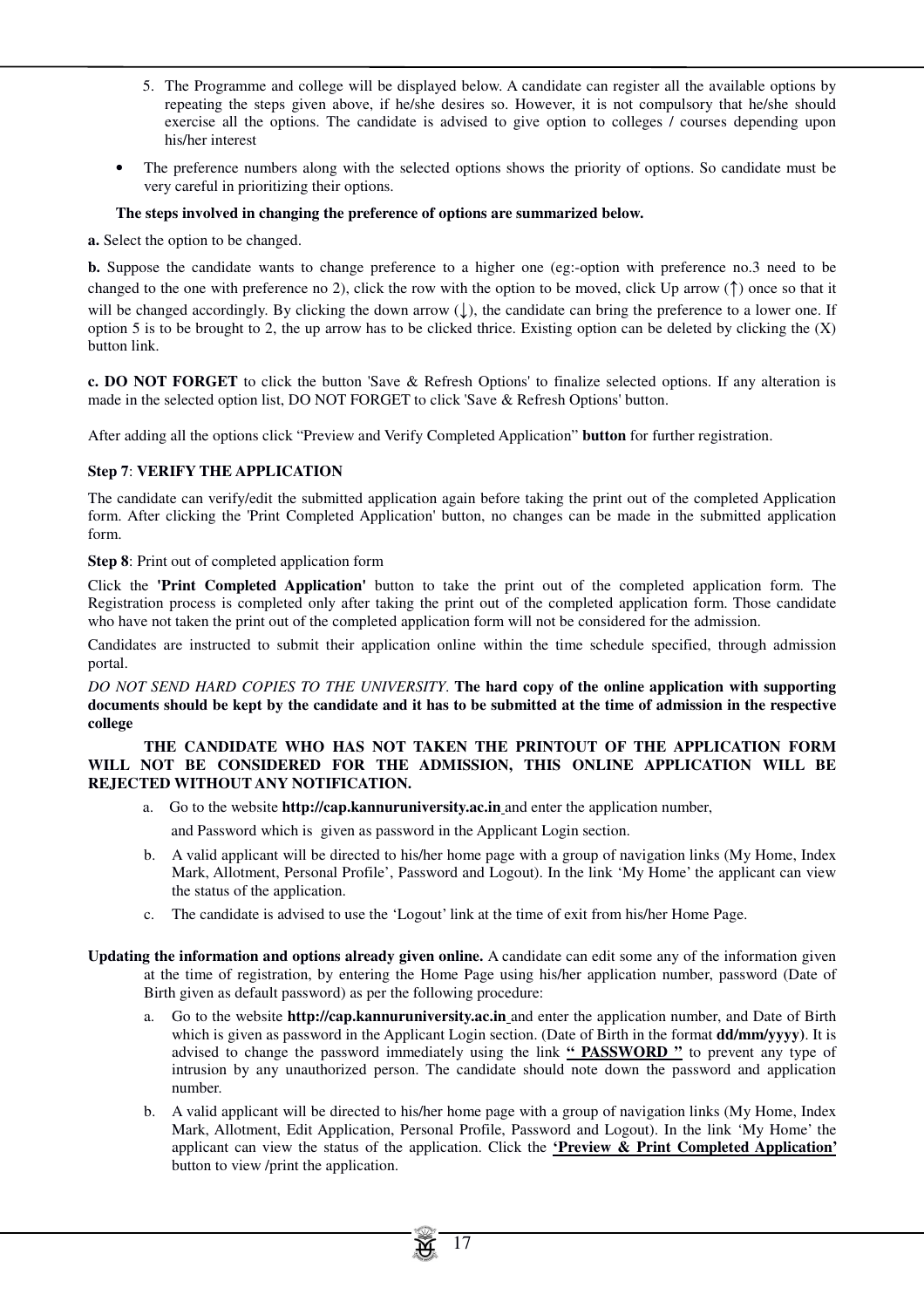- 5. The Programme and college will be displayed below. A candidate can register all the available options by repeating the steps given above, if he/she desires so. However, it is not compulsory that he/she should exercise all the options. The candidate is advised to give option to colleges / courses depending upon his/her interest
- The preference numbers along with the selected options shows the priority of options. So candidate must be very careful in prioritizing their options.

# **The steps involved in changing the preference of options are summarized below.**

**a.** Select the option to be changed.

**b.** Suppose the candidate wants to change preference to a higher one (eg:-option with preference no.3 need to be changed to the one with preference no 2), click the row with the option to be moved, click Up arrow (↑) once so that it will be changed accordingly. By clicking the down arrow  $( \cdot )$ , the candidate can bring the preference to a lower one. If option 5 is to be brought to 2, the up arrow has to be clicked thrice. Existing option can be deleted by clicking the  $(X)$ button link.

**c. DO NOT FORGET** to click the button 'Save & Refresh Options' to finalize selected options. If any alteration is made in the selected option list, DO NOT FORGET to click 'Save & Refresh Options' button.

After adding all the options click "Preview and Verify Completed Application" **button** for further registration.

# **Step 7**: **VERIFY THE APPLICATION**

The candidate can verify/edit the submitted application again before taking the print out of the completed Application form. After clicking the 'Print Completed Application' button, no changes can be made in the submitted application form.

**Step 8**: Print out of completed application form

Click the **'Print Completed Application'** button to take the print out of the completed application form. The Registration process is completed only after taking the print out of the completed application form. Those candidate who have not taken the print out of the completed application form will not be considered for the admission.

Candidates are instructed to submit their application online within the time schedule specified, through admission portal.

*DO NOT SEND HARD COPIES TO THE UNIVERSITY*. **The hard copy of the online application with supporting documents should be kept by the candidate and it has to be submitted at the time of admission in the respective college** 

#### **THE CANDIDATE WHO HAS NOT TAKEN THE PRINTOUT OF THE APPLICATION FORM WILL NOT BE CONSIDERED FOR THE ADMISSION, THIS ONLINE APPLICATION WILL BE REJECTED WITHOUT ANY NOTIFICATION.**

- a. Go to the website **http://cap.kannuruniversity.ac.in** and enter the application number,
	- and Password which is given as password in the Applicant Login section.
- b. A valid applicant will be directed to his/her home page with a group of navigation links (My Home, Index Mark, Allotment, Personal Profile', Password and Logout). In the link 'My Home' the applicant can view the status of the application.
- c. The candidate is advised to use the 'Logout' link at the time of exit from his/her Home Page.
- **Updating the information and options already given online.** A candidate can edit some any of the information given at the time of registration, by entering the Home Page using his/her application number, password (Date of Birth given as default password) as per the following procedure:
	- a. Go to the website **http://cap.kannuruniversity.ac.in** and enter the application number, and Date of Birth which is given as password in the Applicant Login section. (Date of Birth in the format **dd/mm/yyyy)**. It is advised to change the password immediately using the link **" PASSWORD "** to prevent any type of intrusion by any unauthorized person. The candidate should note down the password and application number.
	- b. A valid applicant will be directed to his/her home page with a group of navigation links (My Home, Index Mark, Allotment, Edit Application, Personal Profile, Password and Logout). In the link 'My Home' the applicant can view the status of the application. Click the **'Preview & Print Completed Application'**  button to view /print the application.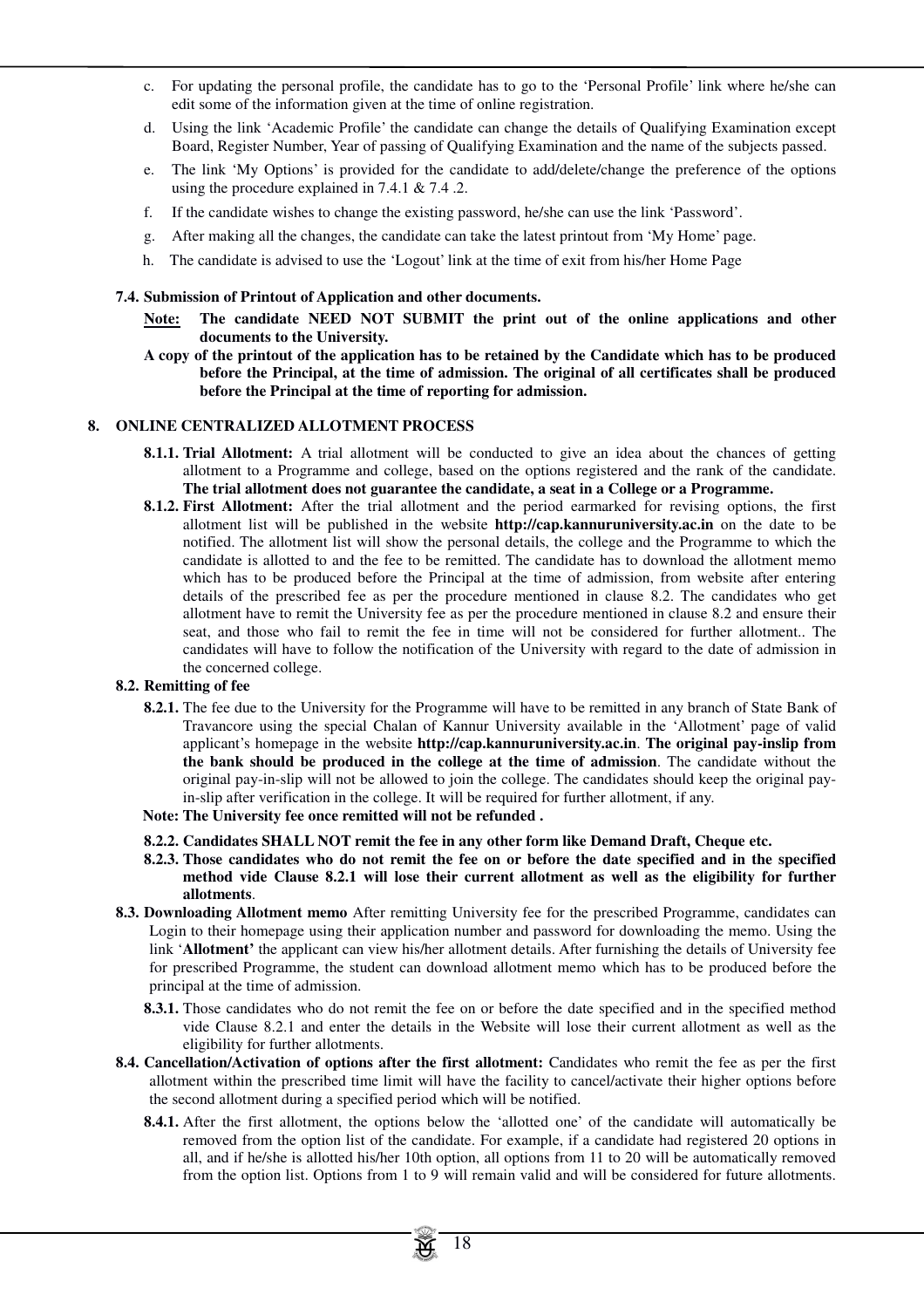- c. For updating the personal profile, the candidate has to go to the 'Personal Profile' link where he/she can edit some of the information given at the time of online registration.
- d. Using the link 'Academic Profile' the candidate can change the details of Qualifying Examination except Board, Register Number, Year of passing of Qualifying Examination and the name of the subjects passed.
- e. The link 'My Options' is provided for the candidate to add/delete/change the preference of the options using the procedure explained in 7.4.1 & 7.4 .2.
- f. If the candidate wishes to change the existing password, he/she can use the link 'Password'.
- g. After making all the changes, the candidate can take the latest printout from 'My Home' page.
- h. The candidate is advised to use the 'Logout' link at the time of exit from his/her Home Page

#### **7.4. Submission of Printout of Application and other documents.**

- **Note: The candidate NEED NOT SUBMIT the print out of the online applications and other documents to the University.**
- **A copy of the printout of the application has to be retained by the Candidate which has to be produced before the Principal, at the time of admission. The original of all certificates shall be produced before the Principal at the time of reporting for admission.**

#### **8. ONLINE CENTRALIZED ALLOTMENT PROCESS**

- **8.1.1. Trial Allotment:** A trial allotment will be conducted to give an idea about the chances of getting allotment to a Programme and college, based on the options registered and the rank of the candidate. **The trial allotment does not guarantee the candidate, a seat in a College or a Programme.**
- **8.1.2. First Allotment:** After the trial allotment and the period earmarked for revising options, the first allotment list will be published in the website **http://cap.kannuruniversity.ac.in** on the date to be notified. The allotment list will show the personal details, the college and the Programme to which the candidate is allotted to and the fee to be remitted. The candidate has to download the allotment memo which has to be produced before the Principal at the time of admission, from website after entering details of the prescribed fee as per the procedure mentioned in clause 8.2. The candidates who get allotment have to remit the University fee as per the procedure mentioned in clause 8.2 and ensure their seat, and those who fail to remit the fee in time will not be considered for further allotment.. The candidates will have to follow the notification of the University with regard to the date of admission in the concerned college.

#### **8.2. Remitting of fee**

- **8.2.1.** The fee due to the University for the Programme will have to be remitted in any branch of State Bank of Travancore using the special Chalan of Kannur University available in the 'Allotment' page of valid applicant's homepage in the website **http://cap.kannuruniversity.ac.in**. **The original pay-inslip from the bank should be produced in the college at the time of admission**. The candidate without the original pay-in-slip will not be allowed to join the college. The candidates should keep the original payin-slip after verification in the college. It will be required for further allotment, if any.
- **Note: The University fee once remitted will not be refunded .**
- **8.2.2. Candidates SHALL NOT remit the fee in any other form like Demand Draft, Cheque etc.**
- **8.2.3. Those candidates who do not remit the fee on or before the date specified and in the specified method vide Clause 8.2.1 will lose their current allotment as well as the eligibility for further allotments**.
- **8.3. Downloading Allotment memo** After remitting University fee for the prescribed Programme, candidates can Login to their homepage using their application number and password for downloading the memo. Using the link '**Allotment'** the applicant can view his/her allotment details. After furnishing the details of University fee for prescribed Programme, the student can download allotment memo which has to be produced before the principal at the time of admission.
	- **8.3.1.** Those candidates who do not remit the fee on or before the date specified and in the specified method vide Clause 8.2.1 and enter the details in the Website will lose their current allotment as well as the eligibility for further allotments.
- **8.4. Cancellation/Activation of options after the first allotment:** Candidates who remit the fee as per the first allotment within the prescribed time limit will have the facility to cancel/activate their higher options before the second allotment during a specified period which will be notified.
	- **8.4.1.** After the first allotment, the options below the 'allotted one' of the candidate will automatically be removed from the option list of the candidate. For example, if a candidate had registered 20 options in all, and if he/she is allotted his/her 10th option, all options from 11 to 20 will be automatically removed from the option list. Options from 1 to 9 will remain valid and will be considered for future allotments.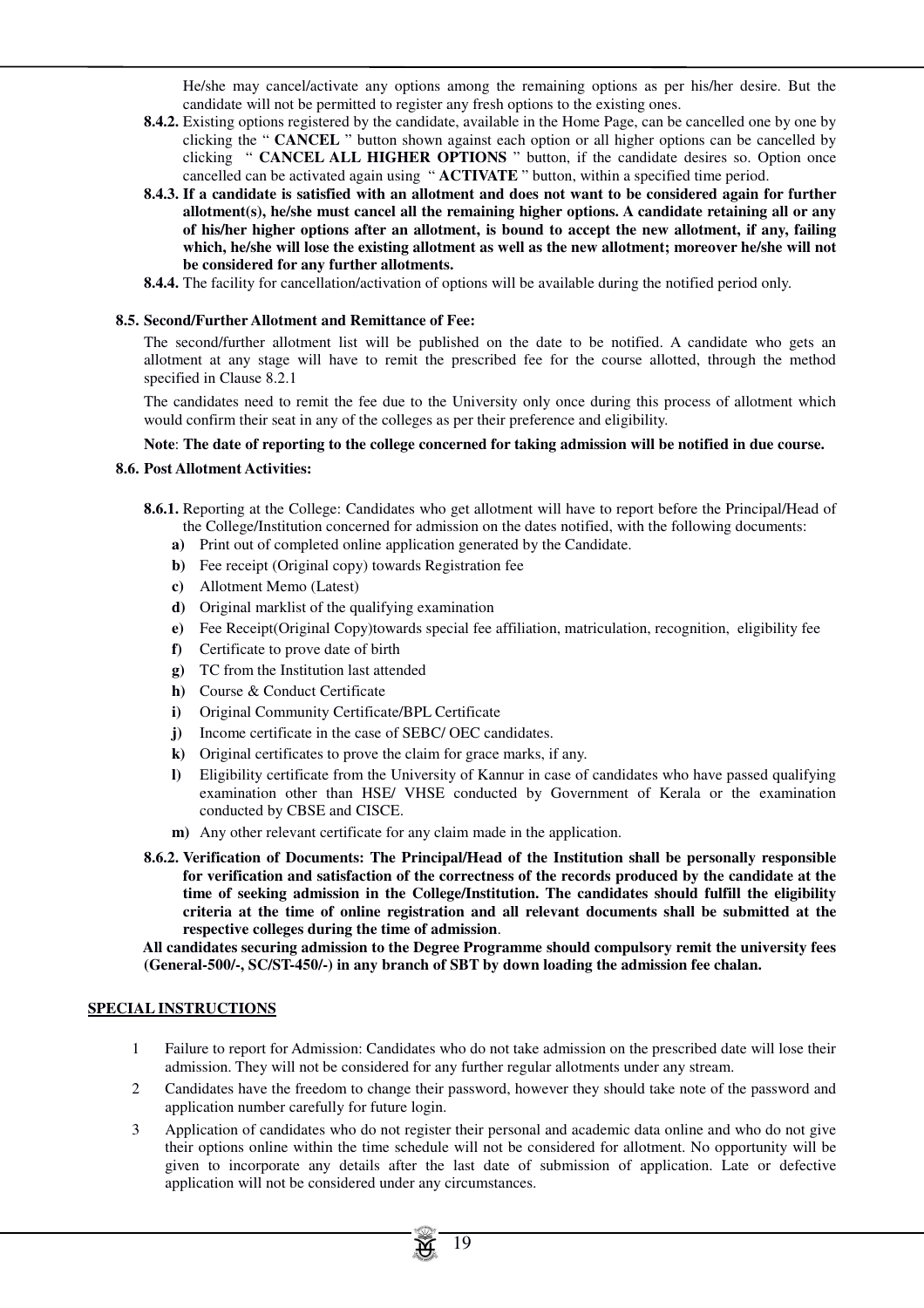He/she may cancel/activate any options among the remaining options as per his/her desire. But the candidate will not be permitted to register any fresh options to the existing ones.

- **8.4.2.** Existing options registered by the candidate, available in the Home Page, can be cancelled one by one by clicking the " **CANCEL** " button shown against each option or all higher options can be cancelled by clicking " **CANCEL ALL HIGHER OPTIONS** " button, if the candidate desires so. Option once cancelled can be activated again using " **ACTIVATE** " button, within a specified time period.
- **8.4.3. If a candidate is satisfied with an allotment and does not want to be considered again for further allotment(s), he/she must cancel all the remaining higher options. A candidate retaining all or any of his/her higher options after an allotment, is bound to accept the new allotment, if any, failing which, he/she will lose the existing allotment as well as the new allotment; moreover he/she will not be considered for any further allotments.**
- **8.4.4.** The facility for cancellation/activation of options will be available during the notified period only.

#### **8.5. Second/Further Allotment and Remittance of Fee:**

The second/further allotment list will be published on the date to be notified. A candidate who gets an allotment at any stage will have to remit the prescribed fee for the course allotted, through the method specified in Clause 8.2.1

The candidates need to remit the fee due to the University only once during this process of allotment which would confirm their seat in any of the colleges as per their preference and eligibility.

#### **Note**: **The date of reporting to the college concerned for taking admission will be notified in due course.**

#### **8.6. Post Allotment Activities:**

- **8.6.1.** Reporting at the College: Candidates who get allotment will have to report before the Principal/Head of the College/Institution concerned for admission on the dates notified, with the following documents:
	- **a)** Print out of completed online application generated by the Candidate.
	- **b)** Fee receipt (Original copy) towards Registration fee
	- **c)** Allotment Memo (Latest)
	- **d)** Original marklist of the qualifying examination
	- **e)** Fee Receipt(Original Copy)towards special fee affiliation, matriculation, recognition, eligibility fee
	- **f)** Certificate to prove date of birth
	- **g)** TC from the Institution last attended
	- **h)** Course & Conduct Certificate
	- **i)** Original Community Certificate/BPL Certificate
	- **j)** Income certificate in the case of SEBC/ OEC candidates.
	- **k)** Original certificates to prove the claim for grace marks, if any.
	- **l)** Eligibility certificate from the University of Kannur in case of candidates who have passed qualifying examination other than HSE/ VHSE conducted by Government of Kerala or the examination conducted by CBSE and CISCE.
	- **m)** Any other relevant certificate for any claim made in the application.
- **8.6.2. Verification of Documents: The Principal/Head of the Institution shall be personally responsible for verification and satisfaction of the correctness of the records produced by the candidate at the time of seeking admission in the College/Institution. The candidates should fulfill the eligibility criteria at the time of online registration and all relevant documents shall be submitted at the respective colleges during the time of admission**.

**All candidates securing admission to the Degree Programme should compulsory remit the university fees (General-500/-, SC/ST-450/-) in any branch of SBT by down loading the admission fee chalan.** 

#### **SPECIAL INSTRUCTIONS**

- 1 Failure to report for Admission: Candidates who do not take admission on the prescribed date will lose their admission. They will not be considered for any further regular allotments under any stream.
- 2 Candidates have the freedom to change their password, however they should take note of the password and application number carefully for future login.
- 3 Application of candidates who do not register their personal and academic data online and who do not give their options online within the time schedule will not be considered for allotment. No opportunity will be given to incorporate any details after the last date of submission of application. Late or defective application will not be considered under any circumstances.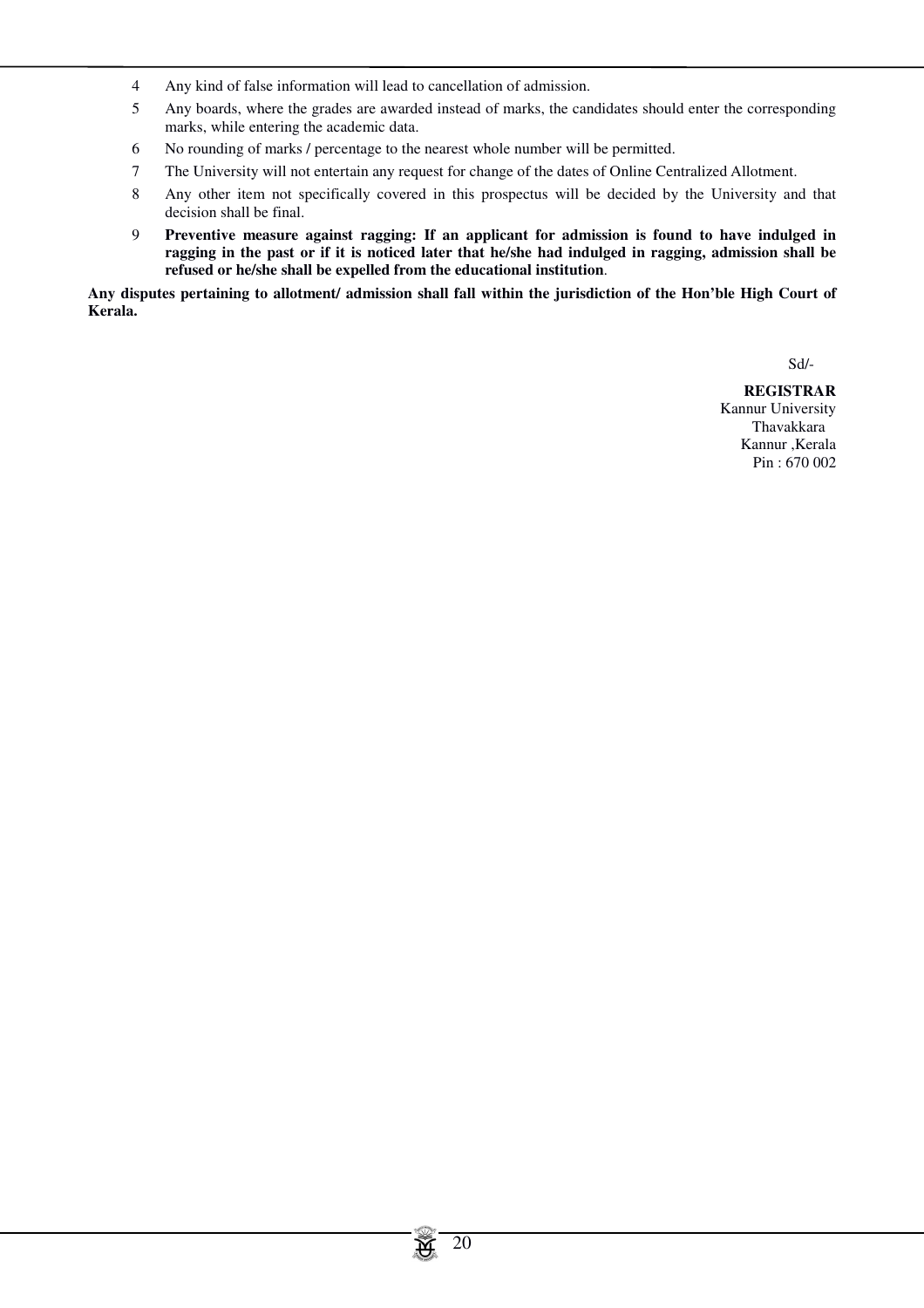- 4 Any kind of false information will lead to cancellation of admission.
- 5 Any boards, where the grades are awarded instead of marks, the candidates should enter the corresponding marks, while entering the academic data.
- 6 No rounding of marks / percentage to the nearest whole number will be permitted.
- 7 The University will not entertain any request for change of the dates of Online Centralized Allotment.
- 8 Any other item not specifically covered in this prospectus will be decided by the University and that decision shall be final.
- 9 **Preventive measure against ragging: If an applicant for admission is found to have indulged in ragging in the past or if it is noticed later that he/she had indulged in ragging, admission shall be refused or he/she shall be expelled from the educational institution**.

**Any disputes pertaining to allotment/ admission shall fall within the jurisdiction of the Hon'ble High Court of Kerala.**

Sd/-

**REGISTRAR** Kannur University Thavakkara Kannur ,Kerala Pin : 670 002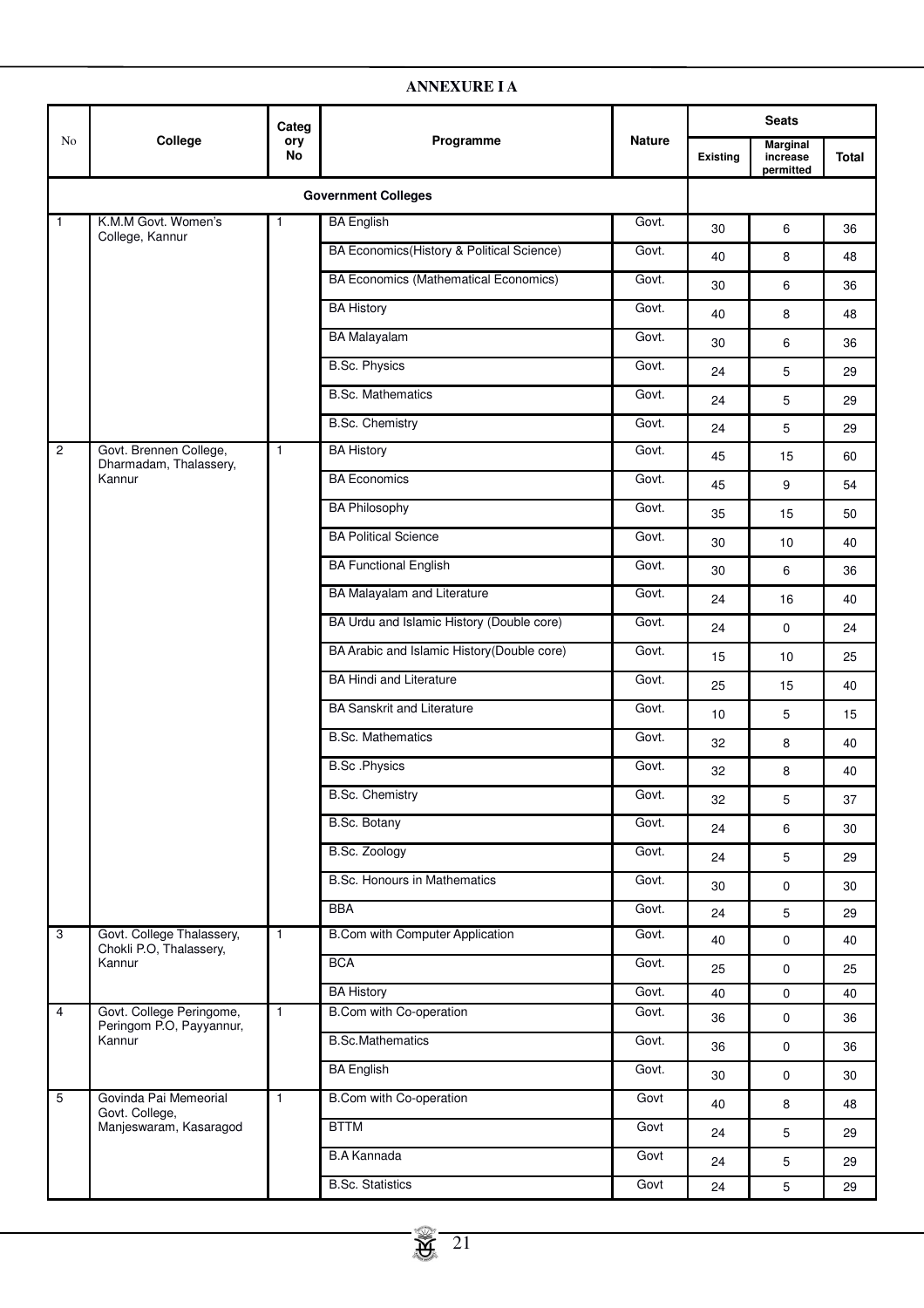|                 |                                                      | Categ        |                                              |               |                 | <b>Seats</b>                             |              |
|-----------------|------------------------------------------------------|--------------|----------------------------------------------|---------------|-----------------|------------------------------------------|--------------|
| No              | College                                              | ory<br>No    | Programme                                    | <b>Nature</b> | <b>Existing</b> | <b>Marginal</b><br>increase<br>permitted | <b>Total</b> |
|                 |                                                      |              | <b>Government Colleges</b>                   |               |                 |                                          |              |
| $\mathbf{1}$    | K.M.M Govt. Women's                                  | $\mathbf{1}$ | <b>BA English</b>                            | Govt.         | 30              | 6                                        | 36           |
|                 | College, Kannur                                      |              | BA Economics (History & Political Science)   | Govt.         | 40              | 8                                        | 48           |
|                 |                                                      |              | <b>BA Economics (Mathematical Economics)</b> | Govt.         | 30              | 6                                        | 36           |
|                 |                                                      |              | <b>BA History</b>                            | Govt.         | 40              | 8                                        | 48           |
|                 |                                                      |              | <b>BA Malayalam</b>                          | Govt.         | 30              | 6                                        | 36           |
|                 |                                                      |              | <b>B.Sc. Physics</b>                         | Govt.         | 24              | 5                                        | 29           |
|                 |                                                      |              | <b>B.Sc. Mathematics</b>                     | Govt.         | 24              | 5                                        | 29           |
|                 |                                                      |              | <b>B.Sc. Chemistry</b>                       | Govt.         | 24              | 5                                        | 29           |
| $\overline{c}$  | Govt. Brennen College,<br>Dharmadam, Thalassery,     | $\mathbf{1}$ | <b>BA History</b>                            | Govt.         | 45              | 15                                       | 60           |
|                 | Kannur                                               |              | <b>BA</b> Economics                          | Govt.         | 45              | 9                                        | 54           |
|                 |                                                      |              | <b>BA Philosophy</b>                         | Govt.         | 35              | 15                                       | 50           |
|                 |                                                      |              | <b>BA Political Science</b>                  | Govt.         | 30              | 10                                       | 40           |
|                 |                                                      |              | <b>BA Functional English</b>                 | Govt.         | 30              | 6                                        | 36           |
|                 |                                                      |              | BA Malayalam and Literature                  | Govt.         | 24              | 16                                       | 40           |
|                 |                                                      |              | BA Urdu and Islamic History (Double core)    | Govt.         | 24              | 0                                        | 24           |
|                 |                                                      |              | BA Arabic and Islamic History (Double core)  | Govt.         | 15              | 10                                       | 25           |
|                 |                                                      |              | <b>BA Hindi and Literature</b>               | Govt.         | 25              | 15                                       | 40           |
|                 |                                                      |              | <b>BA Sanskrit and Literature</b>            | Govt.         | 10              | 5                                        | 15           |
|                 |                                                      |              | <b>B.Sc. Mathematics</b>                     | Govt.         | 32              | 8                                        | 40           |
|                 |                                                      |              | <b>B.Sc.Physics</b>                          | Govt.         | 32              | 8                                        | 40           |
|                 |                                                      |              | <b>B.Sc. Chemistry</b>                       | Govt.         | 32              | 5                                        | 37           |
|                 |                                                      |              | B.Sc. Botany                                 | Govt.         | 24              | 6                                        | 30           |
|                 |                                                      |              | B.Sc. Zoology                                | Govt.         | 24              | 5                                        | 29           |
|                 |                                                      |              | <b>B.Sc. Honours in Mathematics</b>          | Govt.         | 30              | 0                                        | 30           |
|                 |                                                      |              | <b>BBA</b>                                   | Govt.         | 24              | 5                                        | 29           |
| 3               | Govt. College Thalassery,<br>Chokli P.O, Thalassery, | $\mathbf{1}$ | <b>B.Com with Computer Application</b>       | Govt.         | 40              | 0                                        | 40           |
|                 | Kannur                                               |              | <b>BCA</b>                                   | Govt.         | 25              | 0                                        | 25           |
|                 |                                                      |              | <b>BA History</b>                            | Govt.         | 40              | 0                                        | 40           |
| 4               | Govt. College Peringome,<br>Peringom P.O, Payyannur, | $\mathbf{1}$ | <b>B.Com with Co-operation</b>               | Govt.         | 36              | 0                                        | 36           |
|                 | Kannur                                               |              | <b>B.Sc.Mathematics</b>                      | Govt.         | 36              | 0                                        | 36           |
|                 |                                                      |              | <b>BA English</b>                            | Govt.         | 30              | 0                                        | 30           |
| $5\phantom{.0}$ | Govinda Pai Memeorial<br>Govt. College,              | $\mathbf{1}$ | <b>B.Com with Co-operation</b>               | Govt          | 40              | 8                                        | 48           |
|                 | Manjeswaram, Kasaragod                               |              | <b>BTTM</b>                                  | Govt          | 24              | 5                                        | 29           |
|                 |                                                      |              | <b>B.A Kannada</b>                           | Govt          | 24              | 5                                        | 29           |
|                 |                                                      |              | <b>B.Sc. Statistics</b>                      | Govt          | 24              | 5                                        | 29           |

# **ANNEXURE I A**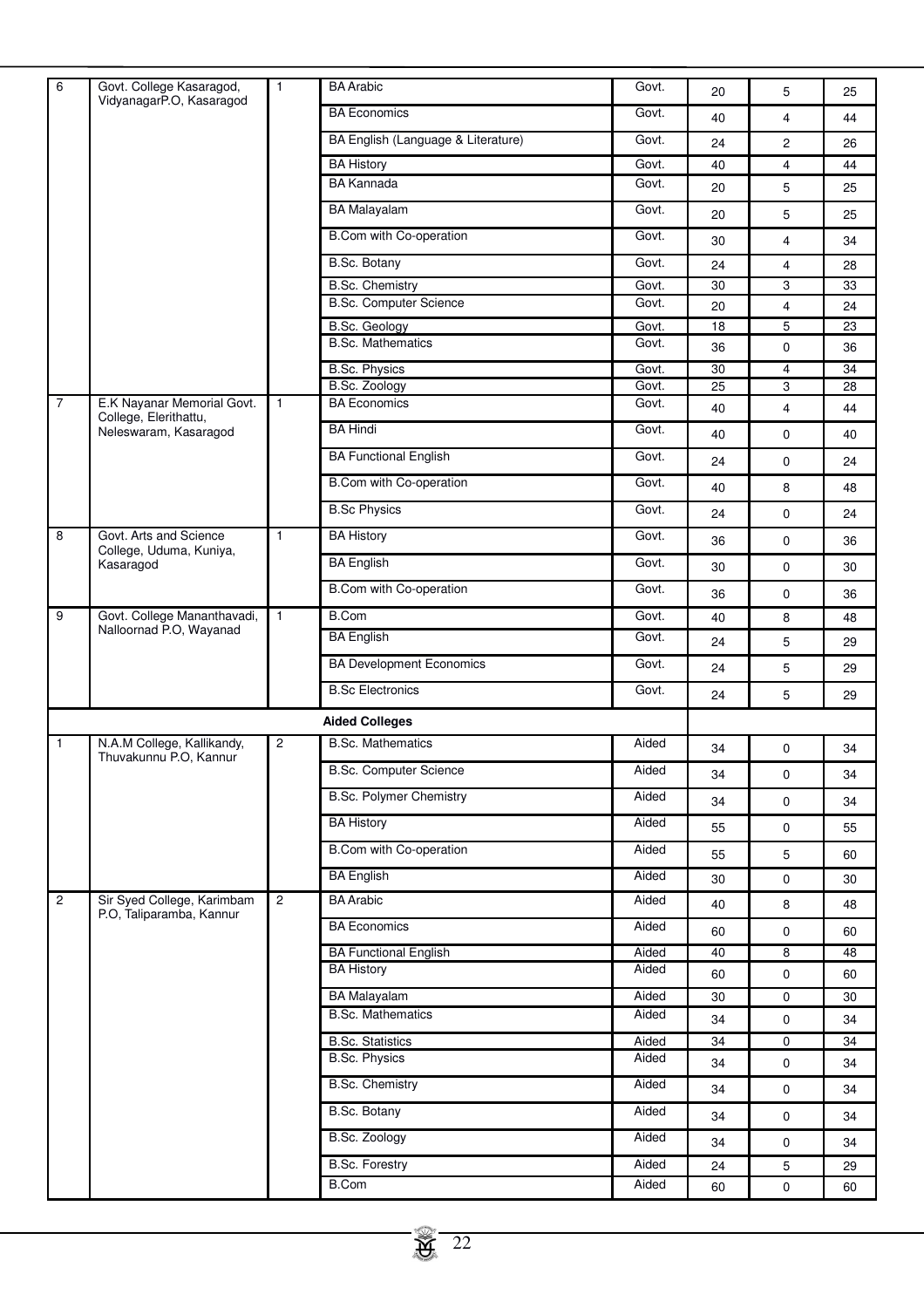| 6              | Govt. College Kasaragod,<br>VidyanagarP.O, Kasaragod           | $\mathbf{1}$            | <b>BA</b> Arabic                   | Govt. | 20 | 5              | 25              |
|----------------|----------------------------------------------------------------|-------------------------|------------------------------------|-------|----|----------------|-----------------|
|                |                                                                |                         | <b>BA Economics</b>                | Govt. | 40 | 4              | 44              |
|                |                                                                |                         | BA English (Language & Literature) | Govt. | 24 | 2              | 26              |
|                |                                                                |                         | <b>BA History</b>                  | Govt. | 40 | 4              | 44              |
|                |                                                                |                         | <b>BA Kannada</b>                  | Govt. | 20 | 5              | 25              |
|                |                                                                |                         | <b>BA Malayalam</b>                | Govt. | 20 | 5              | 25              |
|                |                                                                |                         | B.Com with Co-operation            | Govt. | 30 | 4              | 34              |
|                |                                                                |                         | <b>B.Sc. Botany</b>                | Govt. | 24 | $\overline{4}$ | 28              |
|                |                                                                |                         | <b>B.Sc. Chemistry</b>             | Govt. | 30 | 3              | 33              |
|                |                                                                |                         | <b>B.Sc. Computer Science</b>      | Govt. | 20 | $\overline{4}$ | 24              |
|                |                                                                |                         | B.Sc. Geology                      | Govt. | 18 | 5              | 23              |
|                |                                                                |                         | <b>B.Sc. Mathematics</b>           | Govt. | 36 | 0              | 36              |
|                |                                                                |                         | <b>B.Sc. Physics</b>               | Govt. | 30 | $\overline{4}$ | 34              |
|                |                                                                |                         | B.Sc. Zoology                      | Govt. | 25 | 3              | 28              |
| $\overline{7}$ | E.K Nayanar Memorial Govt.<br>College, Elerithattu,            | $\mathbf{1}$            | <b>BA Economics</b>                | Govt. | 40 | $\overline{4}$ | 44              |
|                | Neleswaram, Kasaragod                                          |                         | <b>BA Hindi</b>                    | Govt. | 40 | 0              | 40              |
|                |                                                                |                         | <b>BA Functional English</b>       | Govt. | 24 | 0              | 24              |
|                |                                                                |                         | <b>B.Com with Co-operation</b>     | Govt. | 40 | 8              | 48              |
|                |                                                                |                         | <b>B.Sc Physics</b>                | Govt. | 24 | 0              | 24              |
| 8              | Govt. Arts and Science<br>College, Uduma, Kuniya,<br>Kasaragod | $\mathbf{1}$            | <b>BA History</b>                  | Govt. | 36 | 0              | 36              |
|                |                                                                |                         | <b>BA English</b>                  | Govt. | 30 | 0              | 30              |
|                |                                                                |                         | B.Com with Co-operation            | Govt. | 36 | 0              | 36              |
| 9              | Govt. College Mananthavadi,                                    | $\mathbf{1}$            | <b>B.Com</b>                       | Govt. | 40 | 8              | 48              |
|                | Nalloornad P.O, Wayanad                                        |                         | <b>BA English</b>                  | Govt. | 24 | 5              | 29              |
|                |                                                                |                         | <b>BA Development Economics</b>    | Govt. | 24 | 5              | 29              |
|                |                                                                |                         | <b>B.Sc Electronics</b>            | Govt. | 24 | 5              | 29              |
|                |                                                                |                         | <b>Aided Colleges</b>              |       |    |                |                 |
| 1              | N.A.M College, Kallikandy,                                     | $\overline{\mathbf{c}}$ | <b>B.Sc. Mathematics</b>           | Aided | 34 | $\pmb{0}$      | 34              |
|                | Thuvakunnu P.O, Kannur                                         |                         | <b>B.Sc. Computer Science</b>      | Aided |    |                |                 |
|                |                                                                |                         | <b>B.Sc. Polymer Chemistry</b>     | Aided | 34 | $\pmb{0}$      | 34              |
|                |                                                                |                         | <b>BA History</b>                  | Aided | 34 | 0              | 34              |
|                |                                                                |                         |                                    |       | 55 | 0              | 55              |
|                |                                                                |                         | <b>B.Com with Co-operation</b>     | Aided | 55 | 5              | 60              |
|                |                                                                |                         | <b>BA English</b>                  | Aided | 30 | 0              | 30              |
| $\overline{2}$ | Sir Syed College, Karimbam<br>P.O, Taliparamba, Kannur         | $\overline{c}$          | <b>BA</b> Arabic                   | Aided | 40 | 8              | 48              |
|                |                                                                |                         | <b>BA Economics</b>                | Aided | 60 | 0              | 60              |
|                |                                                                |                         | <b>BA Functional English</b>       | Aided | 40 | 8              | $\overline{48}$ |
|                |                                                                |                         | <b>BA History</b>                  | Aided | 60 | 0              | 60              |
|                |                                                                |                         | <b>BA Malayalam</b>                | Aided | 30 | 0              | 30              |
|                |                                                                |                         | <b>B.Sc. Mathematics</b>           | Aided | 34 | 0              | 34              |
|                |                                                                |                         | <b>B.Sc. Statistics</b>            | Aided | 34 | 0              | 34              |
|                |                                                                |                         | <b>B.Sc. Physics</b>               | Aided | 34 | 0              | 34              |
|                |                                                                |                         | <b>B.Sc. Chemistry</b>             | Aided | 34 | 0              | 34              |
|                |                                                                |                         | <b>B.Sc. Botany</b>                | Aided | 34 | 0              | 34              |
|                |                                                                |                         | B.Sc. Zoology                      | Aided | 34 | 0              | 34              |
|                |                                                                |                         | <b>B.Sc. Forestry</b>              | Aided | 24 | 5              | 29              |
|                |                                                                |                         | <b>B.Com</b>                       | Aided | 60 | 0              | 60              |
|                |                                                                |                         |                                    |       |    |                |                 |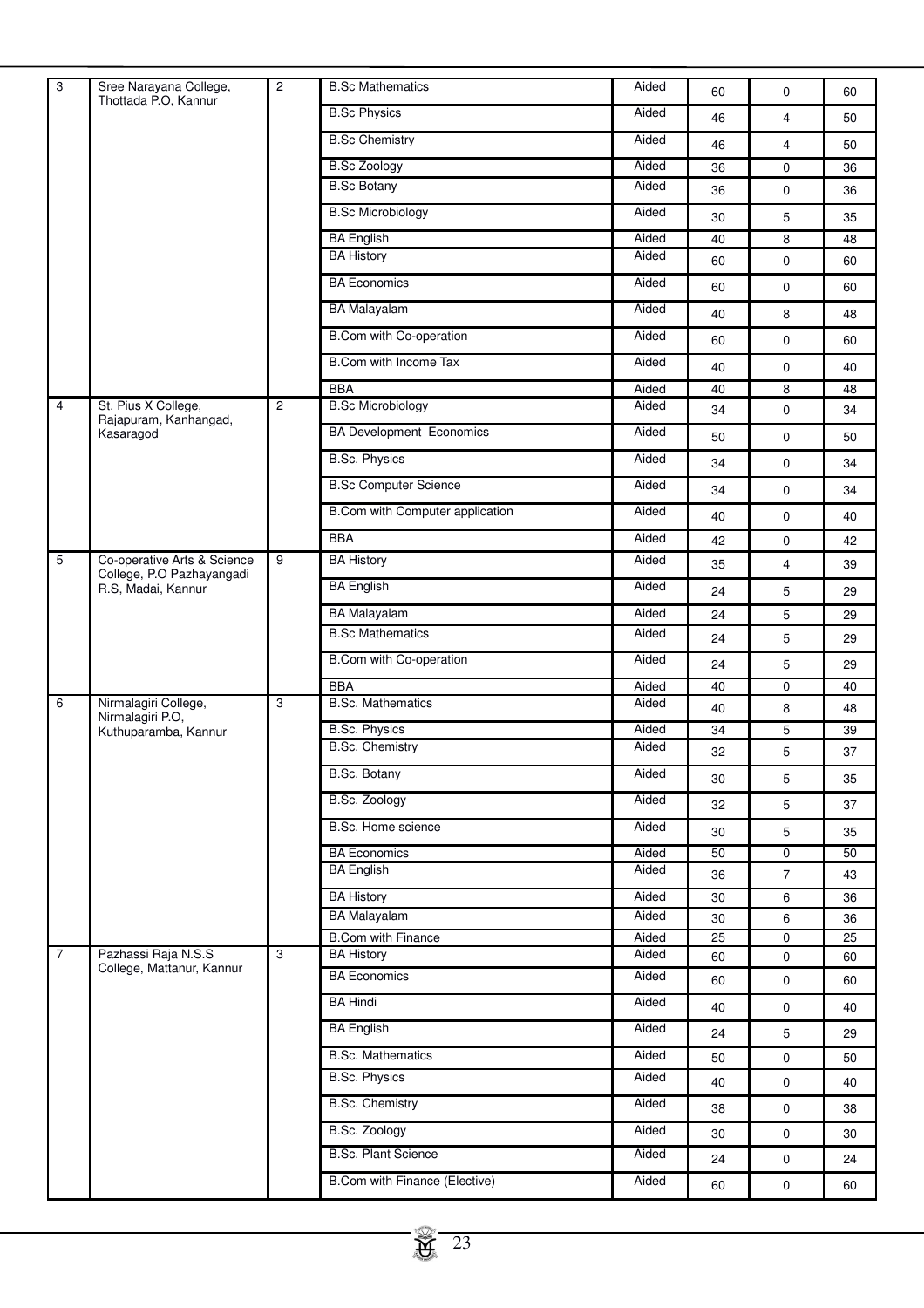| 3              | Sree Narayana College,                                                         | 2 | <b>B.Sc Mathematics</b>         | Aided | 60 | 0              | 60 |
|----------------|--------------------------------------------------------------------------------|---|---------------------------------|-------|----|----------------|----|
|                | Thottada P.O, Kannur                                                           |   | <b>B.Sc Physics</b>             | Aided | 46 | $\overline{4}$ | 50 |
|                |                                                                                |   | <b>B.Sc Chemistry</b>           | Aided | 46 | $\overline{4}$ | 50 |
|                |                                                                                |   | <b>B.Sc Zoology</b>             | Aided | 36 | 0              | 36 |
|                |                                                                                |   | <b>B.Sc Botany</b>              | Aided | 36 | 0              | 36 |
|                |                                                                                |   | <b>B.Sc Microbiology</b>        | Aided | 30 | 5              | 35 |
|                |                                                                                |   | <b>BA English</b>               | Aided | 40 | 8              | 48 |
|                |                                                                                |   | <b>BA History</b>               | Aided | 60 | $\mathbf 0$    | 60 |
|                |                                                                                |   | <b>BA Economics</b>             | Aided | 60 | $\mathbf 0$    | 60 |
|                |                                                                                |   | <b>BA Malayalam</b>             | Aided | 40 | 8              | 48 |
|                |                                                                                |   | B.Com with Co-operation         | Aided | 60 | $\mathbf 0$    | 60 |
|                |                                                                                |   | B.Com with Income Tax           | Aided | 40 | 0              | 40 |
|                |                                                                                |   | <b>BBA</b>                      | Aided | 40 | 8              | 48 |
| $\overline{4}$ | St. Pius X College,                                                            | 2 | <b>B.Sc Microbiology</b>        | Aided | 34 | $\mathbf 0$    | 34 |
|                | Rajapuram, Kanhangad,<br>Kasaragod                                             |   | <b>BA Development Economics</b> | Aided | 50 | $\mathbf 0$    | 50 |
|                |                                                                                |   | <b>B.Sc. Physics</b>            | Aided | 34 | $\mathbf 0$    | 34 |
|                |                                                                                |   | <b>B.Sc Computer Science</b>    | Aided | 34 | 0              | 34 |
|                |                                                                                |   | B.Com with Computer application | Aided | 40 | 0              | 40 |
|                |                                                                                |   | <b>BBA</b>                      | Aided | 42 | $\mathbf 0$    | 42 |
| 5              | Co-operative Arts & Science<br>College, P.O Pazhayangadi<br>R.S, Madai, Kannur | 9 | <b>BA History</b>               | Aided | 35 | $\overline{4}$ | 39 |
|                |                                                                                |   | <b>BA English</b>               | Aided | 24 | 5              | 29 |
|                |                                                                                |   | <b>BA Malayalam</b>             | Aided | 24 | 5              | 29 |
|                |                                                                                |   | <b>B.Sc Mathematics</b>         | Aided | 24 | 5              | 29 |
|                |                                                                                |   | B.Com with Co-operation         | Aided | 24 | 5              | 29 |
|                |                                                                                |   | <b>BBA</b>                      | Aided | 40 | 0              | 40 |
| 6              | Nirmalagiri College,<br>Nirmalagiri P.O,                                       | 3 | <b>B.Sc. Mathematics</b>        | Aided | 40 | 8              | 48 |
|                | Kuthuparamba, Kannur                                                           |   | <b>B.Sc. Physics</b>            | Aided | 34 | 5              | 39 |
|                |                                                                                |   | <b>B.Sc. Chemistry</b>          | Aided | 32 | 5              | 37 |
|                |                                                                                |   | <b>B.Sc. Botany</b>             | Aided | 30 | 5              | 35 |
|                |                                                                                |   | <b>B.Sc. Zoology</b>            | Aided | 32 | 5              | 37 |
|                |                                                                                |   | B.Sc. Home science              | Aided | 30 | 5              | 35 |
|                |                                                                                |   | <b>BA Economics</b>             | Aided | 50 | $\mathbf 0$    | 50 |
|                |                                                                                |   | <b>BA English</b>               | Aided | 36 | $\overline{7}$ | 43 |
|                |                                                                                |   | <b>BA History</b>               | Aided | 30 | 6              | 36 |
|                |                                                                                |   | <b>BA Malayalam</b>             | Aided | 30 | 6              | 36 |
|                |                                                                                |   | <b>B.Com with Finance</b>       | Aided | 25 | $\mathbf 0$    | 25 |
| $\overline{7}$ | Pazhassi Raja N.S.S<br>College, Mattanur, Kannur                               | 3 | <b>BA History</b>               | Aided | 60 | 0              | 60 |
|                |                                                                                |   | <b>BA Economics</b>             | Aided | 60 | $\mathbf 0$    | 60 |
|                |                                                                                |   | <b>BA Hindi</b>                 | Aided | 40 | $\mathbf 0$    | 40 |
|                |                                                                                |   | <b>BA</b> English               | Aided | 24 | 5              | 29 |
|                |                                                                                |   | <b>B.Sc. Mathematics</b>        | Aided | 50 | $\mathbf 0$    | 50 |
|                |                                                                                |   | <b>B.Sc. Physics</b>            | Aided | 40 | $\mathbf 0$    | 40 |
|                |                                                                                |   | <b>B.Sc. Chemistry</b>          | Aided | 38 | $\mathbf 0$    | 38 |
|                |                                                                                |   | B.Sc. Zoology                   | Aided | 30 | $\mathbf 0$    | 30 |
|                |                                                                                |   | <b>B.Sc. Plant Science</b>      | Aided | 24 | $\mathbf 0$    | 24 |
|                |                                                                                |   | B.Com with Finance (Elective)   | Aided | 60 | $\mathbf 0$    | 60 |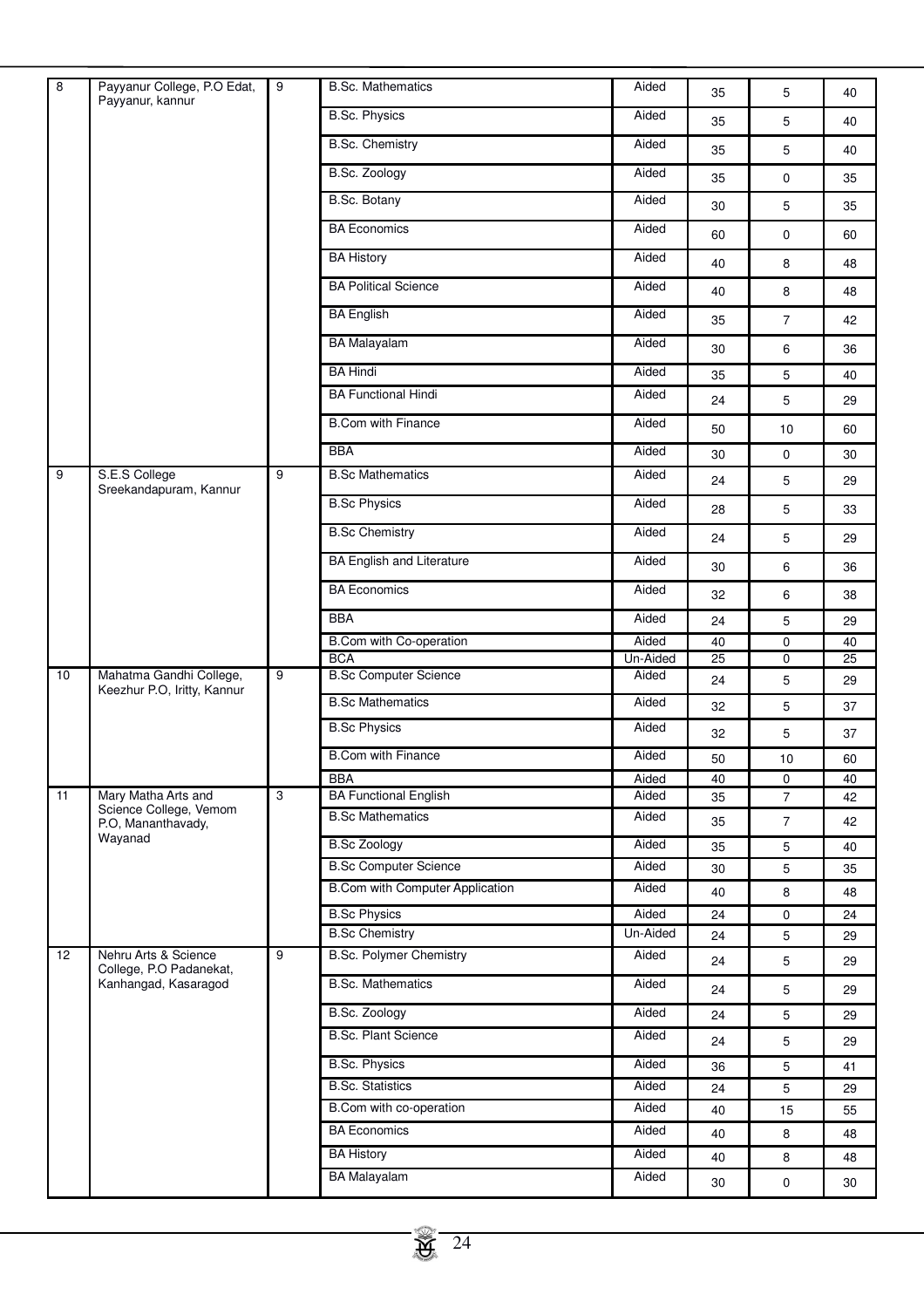| $\overline{8}$    | Payyanur College, P.O Edat,                     | $\overline{9}$ | <b>B.Sc. Mathematics</b>                     | Aided             |          |                |          |
|-------------------|-------------------------------------------------|----------------|----------------------------------------------|-------------------|----------|----------------|----------|
|                   | Payyanur, kannur                                |                | <b>B.Sc. Physics</b>                         | Aided             | 35       | 5              | 40       |
|                   |                                                 |                |                                              |                   | 35       | 5              | 40       |
|                   |                                                 |                | <b>B.Sc. Chemistry</b>                       | Aided             | 35       | 5              | 40       |
|                   |                                                 |                | <b>B.Sc. Zoology</b>                         | Aided             | 35       | $\mathbf 0$    | 35       |
|                   |                                                 |                | <b>B.Sc. Botany</b>                          | Aided             | 30       | 5              | 35       |
|                   |                                                 |                | <b>BA Economics</b>                          | Aided             | 60       | $\mathbf 0$    | 60       |
|                   |                                                 |                | <b>BA History</b>                            | Aided             | 40       | 8              | 48       |
|                   |                                                 |                | <b>BA Political Science</b>                  | Aided             | 40       | 8              | 48       |
|                   |                                                 |                | <b>BA English</b>                            | Aided             | 35       | $\overline{7}$ | 42       |
|                   |                                                 |                | <b>BA Malayalam</b>                          | Aided             | 30       | 6              | 36       |
|                   |                                                 |                | <b>BA Hindi</b>                              | Aided             | 35       | 5              | 40       |
|                   |                                                 |                | <b>BA Functional Hindi</b>                   | Aided             | 24       | 5              | 29       |
|                   |                                                 |                | <b>B.Com with Finance</b>                    | Aided             | 50       | 10             | 60       |
|                   |                                                 |                | <b>BBA</b>                                   | Aided             | 30       | $\mathbf 0$    | 30       |
| 9                 | S.E.S College                                   | 9              | <b>B.Sc Mathematics</b>                      | Aided             | 24       | 5              | 29       |
|                   | Sreekandapuram, Kannur                          |                | <b>B.Sc Physics</b>                          | Aided             | 28       | 5              | 33       |
|                   |                                                 |                | <b>B.Sc Chemistry</b>                        | Aided             | 24       | 5              | 29       |
|                   |                                                 |                | <b>BA English and Literature</b>             | Aided             |          |                |          |
|                   |                                                 |                | <b>BA Economics</b>                          | Aided             | 30       | 6              | 36       |
|                   |                                                 |                | <b>BBA</b>                                   | Aided             | 32       | 6              | 38       |
|                   |                                                 |                |                                              |                   | 24       | 5              | 29       |
|                   |                                                 |                | <b>B.Com with Co-operation</b><br><b>BCA</b> | Aided<br>Un-Aided | 40<br>25 | 0<br>0         | 40<br>25 |
| 10                | Mahatma Gandhi College,                         | 9              | <b>B.Sc Computer Science</b>                 | Aided             | 24       | 5              | 29       |
|                   | Keezhur P.O, Iritty, Kannur                     |                | <b>B.Sc Mathematics</b>                      | Aided             | 32       | 5              | 37       |
|                   |                                                 |                | <b>B.Sc Physics</b>                          | Aided             | 32       | 5              | 37       |
|                   |                                                 |                | <b>B.Com with Finance</b>                    | Aided             | 50       | 10             | 60       |
|                   |                                                 |                | <b>BBA</b>                                   | Aided             | 40       | 0              | 40       |
| 11                | Mary Matha Arts and                             | 3              | <b>BA Functional English</b>                 | Aided             | 35       | $\overline{7}$ | 42       |
|                   | Science College, Vemom<br>P.O, Mananthavady,    |                | <b>B.Sc Mathematics</b>                      | Aided             | 35       | $\overline{7}$ | 42       |
|                   | Wayanad                                         |                | <b>B.Sc Zoology</b>                          | Aided             | 35       | 5              | 40       |
|                   |                                                 |                | <b>B.Sc Computer Science</b>                 | Aided             | 30       | 5              | 35       |
|                   |                                                 |                | <b>B.Com with Computer Application</b>       | Aided             | 40       | 8              | 48       |
|                   |                                                 |                | <b>B.Sc Physics</b>                          | Aided             | 24       | $\mathbf 0$    | 24       |
|                   |                                                 |                | <b>B.Sc Chemistry</b>                        | Un-Aided          | 24       | 5              | 29       |
| $12 \overline{ }$ | Nehru Arts & Science<br>College, P.O Padanekat, | 9              | <b>B.Sc. Polymer Chemistry</b>               | Aided             | 24       | 5              | 29       |
|                   | Kanhangad, Kasaragod                            |                | <b>B.Sc. Mathematics</b>                     | Aided             | 24       | 5              | 29       |
|                   |                                                 |                | <b>B.Sc. Zoology</b>                         | Aided             | 24       | 5              | 29       |
|                   |                                                 |                | <b>B.Sc. Plant Science</b>                   | Aided             | 24       | 5              | 29       |
|                   |                                                 |                | <b>B.Sc. Physics</b>                         | Aided             | 36       | 5              | 41       |
|                   |                                                 |                | <b>B.Sc. Statistics</b>                      | Aided             | 24       | 5              | 29       |
|                   |                                                 |                | B.Com with co-operation                      | Aided             | 40       | 15             | 55       |
|                   |                                                 |                | <b>BA Economics</b>                          | Aided             | 40       | 8              | 48       |
|                   |                                                 |                | <b>BA History</b>                            | Aided             | 40       | 8              | 48       |
|                   |                                                 |                | <b>BA</b> Malayalam                          | Aided             |          |                |          |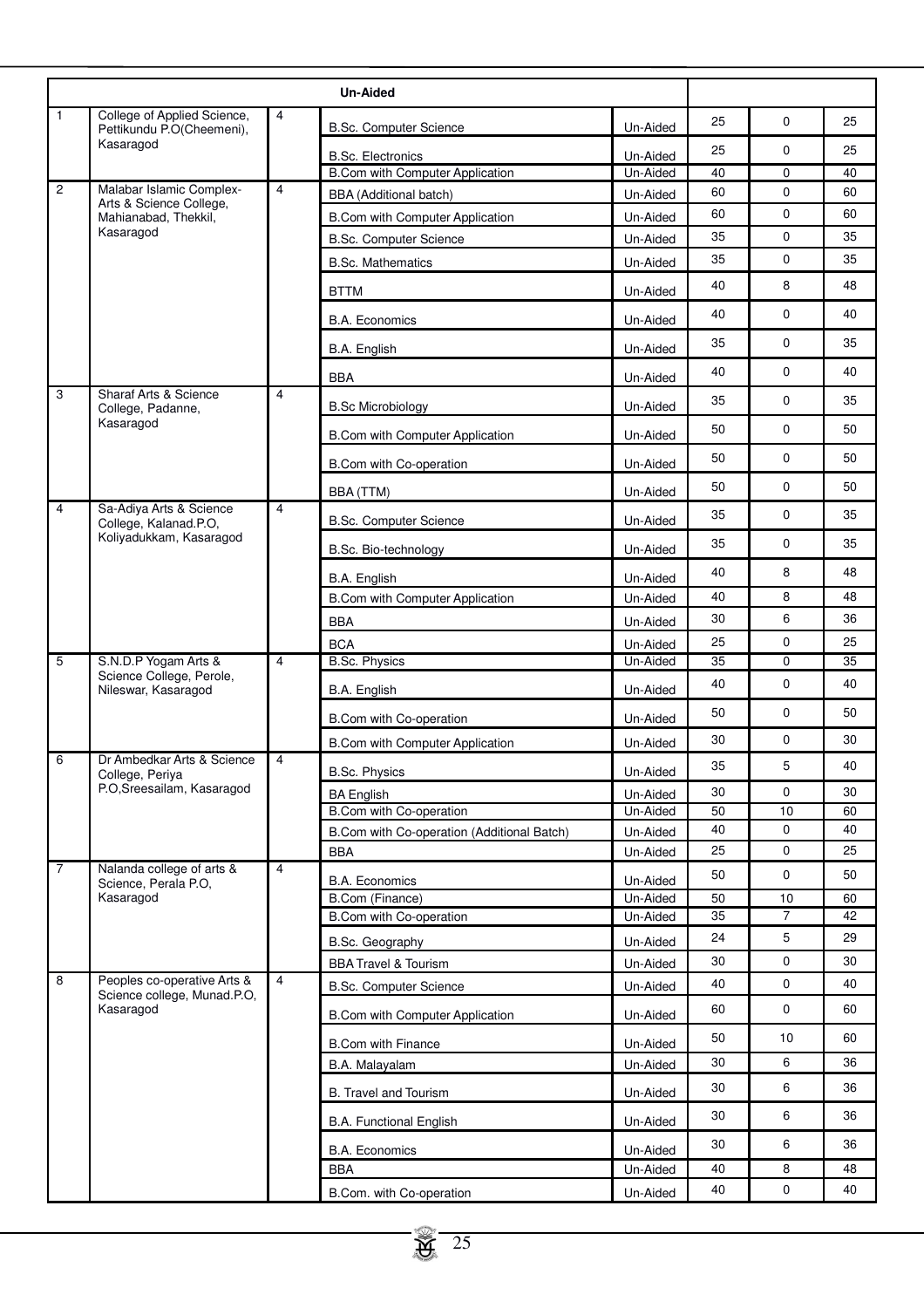|                |                                                            |                | <b>Un-Aided</b>                                                    |                      |          |                |          |
|----------------|------------------------------------------------------------|----------------|--------------------------------------------------------------------|----------------------|----------|----------------|----------|
| $\mathbf{1}$   | College of Applied Science,<br>Pettikundu P.O(Cheemeni),   | 4              | <b>B.Sc. Computer Science</b>                                      | Un-Aided             | 25       | $\mathbf 0$    | 25       |
|                | Kasaragod                                                  |                |                                                                    |                      | 25       | $\mathbf 0$    | 25       |
|                |                                                            |                | <b>B.Sc. Electronics</b><br><b>B.Com with Computer Application</b> | Un-Aided<br>Un-Aided | 40       | 0              | 40       |
| $\overline{c}$ | Malabar Islamic Complex-                                   | $\overline{4}$ | <b>BBA</b> (Additional batch)                                      | Un-Aided             | 60       | $\mathbf 0$    | 60       |
|                | Arts & Science College,<br>Mahianabad, Thekkil,            |                | B.Com with Computer Application                                    | Un-Aided             | 60       | 0              | 60       |
|                | Kasaragod                                                  |                | <b>B.Sc. Computer Science</b>                                      | Un-Aided             | 35       | $\mathbf 0$    | 35       |
|                |                                                            |                | <b>B.Sc. Mathematics</b>                                           | Un-Aided             | 35       | 0              | 35       |
|                |                                                            |                | <b>BTTM</b>                                                        | Un-Aided             | 40       | 8              | 48       |
|                |                                                            |                | <b>B.A. Economics</b>                                              | Un-Aided             | 40       | $\mathbf 0$    | 40       |
|                |                                                            |                | B.A. English                                                       | Un-Aided             | 35       | 0              | 35       |
|                |                                                            |                | <b>BBA</b>                                                         | Un-Aided             | 40       | 0              | 40       |
| 3              | <b>Sharaf Arts &amp; Science</b>                           | $\overline{4}$ | <b>B.Sc Microbiology</b>                                           | Un-Aided             | 35       | 0              | 35       |
|                | College, Padanne,<br>Kasaragod                             |                |                                                                    |                      | 50       | $\mathbf 0$    | 50       |
|                |                                                            |                | B.Com with Computer Application                                    | Un-Aided             |          |                |          |
|                |                                                            |                | B.Com with Co-operation                                            | Un-Aided             | 50       | $\pmb{0}$      | 50       |
|                |                                                            |                | BBA (TTM)                                                          | Un-Aided             | 50       | $\mathbf 0$    | 50       |
| $\overline{4}$ | Sa-Adiya Arts & Science<br>College, Kalanad.P.O,           | $\overline{4}$ | <b>B.Sc. Computer Science</b>                                      | Un-Aided             | 35       | $\mathbf 0$    | 35       |
|                | Koliyadukkam, Kasaragod                                    |                | B.Sc. Bio-technology                                               | Un-Aided             | 35       | $\mathbf 0$    | 35       |
|                |                                                            |                | B.A. English                                                       | Un-Aided             | 40       | 8              | 48       |
|                |                                                            |                | <b>B.Com with Computer Application</b>                             | Un-Aided             | 40       | 8              | 48       |
|                |                                                            |                | <b>BBA</b>                                                         | Un-Aided             | 30       | 6              | 36       |
|                |                                                            |                | <b>BCA</b>                                                         | Un-Aided             | 25       | 0              | 25       |
| 5              | S.N.D.P Yogam Arts &<br>Science College, Perole,           | $\overline{4}$ | <b>B.Sc. Physics</b>                                               | Un-Aided             | 35       | $\mathbf 0$    | 35       |
|                | Nileswar, Kasaragod                                        |                | B.A. English                                                       | Un-Aided             | 40       | 0              | 40       |
|                |                                                            |                | B.Com with Co-operation                                            | Un-Aided             | 50       | $\mathbf 0$    | 50       |
|                |                                                            |                | <b>B.Com with Computer Application</b>                             | Un-Aided             | 30       | 0              | 30       |
| 6              | Dr Ambedkar Arts & Science<br>College, Periya              | $\overline{4}$ | <b>B.Sc. Physics</b>                                               | Un-Aided             | 35       | 5              | 40       |
|                | P.O, Sreesailam, Kasaragod                                 |                | <b>BA English</b>                                                  | Un-Aided             | 30       | 0              | 30       |
|                |                                                            |                | <b>B.Com with Co-operation</b>                                     | Un-Aided             | 50<br>40 | 10<br>0        | 60<br>40 |
|                |                                                            |                | B.Com with Co-operation (Additional Batch)<br><b>BBA</b>           | Un-Aided<br>Un-Aided | 25       | 0              | 25       |
| $\overline{7}$ | Nalanda college of arts &                                  | $\overline{4}$ |                                                                    |                      | 50       | 0              | 50       |
|                | Science, Perala P.O,<br>Kasaragod                          |                | <b>B.A. Economics</b><br>B.Com (Finance)                           | Un-Aided<br>Un-Aided | 50       | 10             | 60       |
|                |                                                            |                | B.Com with Co-operation                                            | Un-Aided             | 35       | $\overline{7}$ | 42       |
|                |                                                            |                | B.Sc. Geography                                                    | Un-Aided             | 24       | 5              | 29       |
|                |                                                            |                | <b>BBA Travel &amp; Tourism</b>                                    | Un-Aided             | 30       | 0              | 30       |
| 8              | Peoples co-operative Arts &<br>Science college, Munad.P.O, | $\overline{4}$ | <b>B.Sc. Computer Science</b>                                      | Un-Aided             | 40       | 0              | 40       |
|                | Kasaragod                                                  |                | <b>B.Com with Computer Application</b>                             | Un-Aided             | 60       | 0              | 60       |
|                |                                                            |                | <b>B.Com with Finance</b>                                          | Un-Aided             | 50       | 10             | 60       |
|                |                                                            |                | B.A. Malayalam                                                     | Un-Aided             | 30       | 6              | 36       |
|                |                                                            |                | B. Travel and Tourism                                              | Un-Aided             | 30       | 6              | 36       |
|                |                                                            |                | <b>B.A. Functional English</b>                                     | Un-Aided             | 30       | 6              | 36       |
|                |                                                            |                | <b>B.A. Economics</b>                                              | Un-Aided             | 30       | 6              | 36       |
|                |                                                            |                | <b>BBA</b>                                                         | Un-Aided             | 40       | 8              | 48       |
|                |                                                            |                | B.Com. with Co-operation                                           | Un-Aided             | 40       | 0              | 40       |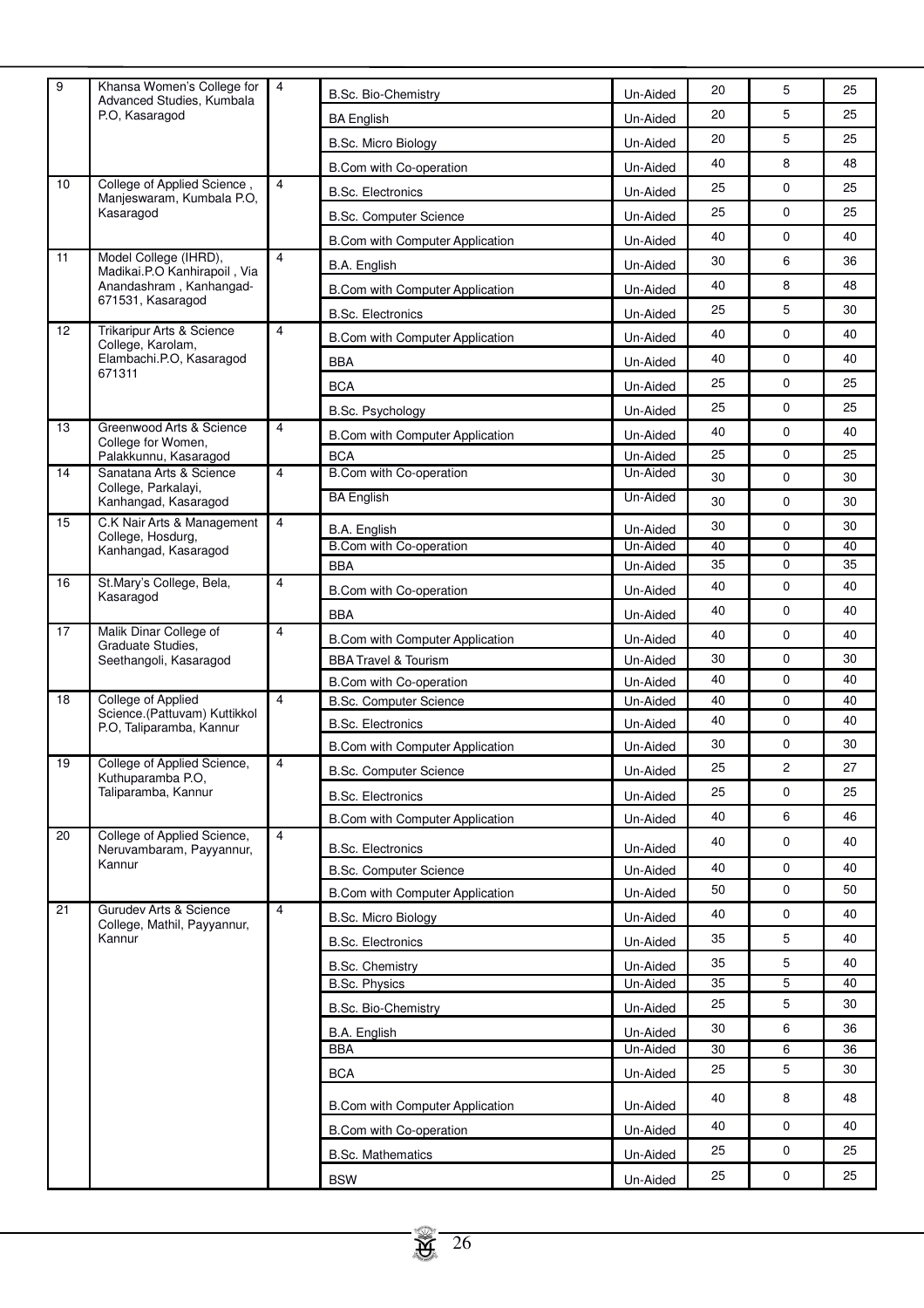| 9  | Khansa Women's College for<br>Advanced Studies, Kumbala  | 4              | B.Sc. Bio-Chemistry                    | Un-Aided | 20 | 5           | 25 |
|----|----------------------------------------------------------|----------------|----------------------------------------|----------|----|-------------|----|
|    | P.O, Kasaragod                                           |                | <b>BA English</b>                      | Un-Aided | 20 | 5           | 25 |
|    |                                                          |                | B.Sc. Micro Biology                    | Un-Aided | 20 | 5           | 25 |
|    |                                                          |                | B.Com with Co-operation                | Un-Aided | 40 | 8           | 48 |
| 10 | College of Applied Science,                              | $\overline{4}$ | <b>B.Sc. Electronics</b>               | Un-Aided | 25 | 0           | 25 |
|    | Manjeswaram, Kumbala P.O,<br>Kasaragod                   |                | <b>B.Sc. Computer Science</b>          | Un-Aided | 25 | 0           | 25 |
|    |                                                          |                |                                        |          | 40 | $\mathbf 0$ | 40 |
| 11 | Model College (IHRD),                                    | $\overline{4}$ | <b>B.Com with Computer Application</b> | Un-Aided | 30 | 6           | 36 |
|    | Madikai.P.O Kanhirapoil, Via                             |                | B.A. English                           | Un-Aided |    | 8           | 48 |
|    | Anandashram, Kanhangad-<br>671531, Kasaragod             |                | <b>B.Com with Computer Application</b> | Un-Aided | 40 |             |    |
| 12 | Trikaripur Arts & Science                                |                | <b>B.Sc. Electronics</b>               | Un-Aided | 25 | 5           | 30 |
|    | College, Karolam,                                        | $\overline{4}$ | <b>B.Com with Computer Application</b> | Un-Aided | 40 | 0           | 40 |
|    | Elambachi.P.O, Kasaragod<br>671311                       |                | <b>BBA</b>                             | Un-Aided | 40 | $\mathbf 0$ | 40 |
|    |                                                          |                | <b>BCA</b>                             | Un-Aided | 25 | 0           | 25 |
|    |                                                          |                | B.Sc. Psychology                       | Un-Aided | 25 | 0           | 25 |
| 13 | Greenwood Arts & Science                                 | $\overline{4}$ | <b>B.Com with Computer Application</b> | Un-Aided | 40 | 0           | 40 |
|    | College for Women,<br>Palakkunnu, Kasaragod              |                | <b>BCA</b>                             | Un-Aided | 25 | $\mathbf 0$ | 25 |
| 14 | Sanatana Arts & Science                                  | $\overline{4}$ | B.Com with Co-operation                | Un-Aided | 30 | 0           | 30 |
|    | College, Parkalayi,<br>Kanhangad, Kasaragod              |                | <b>BA English</b>                      | Un-Aided | 30 | 0           | 30 |
| 15 | C.K Nair Arts & Management                               | $\overline{4}$ | B.A. English                           | Un-Aided | 30 | $\mathbf 0$ | 30 |
|    | College, Hosdurg,<br>Kanhangad, Kasaragod                |                | B.Com with Co-operation                | Un-Aided | 40 | 0           | 40 |
|    |                                                          |                | <b>BBA</b>                             | Un-Aided | 35 | $\mathbf 0$ | 35 |
| 16 | St.Mary's College, Bela,<br>Kasaragod                    | 4              | B.Com with Co-operation                | Un-Aided | 40 | 0           | 40 |
|    |                                                          |                | <b>BBA</b>                             | Un-Aided | 40 | $\mathbf 0$ | 40 |
| 17 | Malik Dinar College of                                   | $\overline{4}$ | <b>B.Com with Computer Application</b> | Un-Aided | 40 | 0           | 40 |
|    | Graduate Studies.<br>Seethangoli, Kasaragod              |                | <b>BBA Travel &amp; Tourism</b>        | Un-Aided | 30 | $\mathbf 0$ | 30 |
|    |                                                          |                | B.Com with Co-operation                | Un-Aided | 40 | 0           | 40 |
| 18 | College of Applied                                       | $\overline{4}$ | <b>B.Sc. Computer Science</b>          | Un-Aided | 40 | 0           | 40 |
|    | Science (Pattuvam) Kuttikkol<br>P.O, Taliparamba, Kannur |                | <b>B.Sc. Electronics</b>               | Un-Aided | 40 | 0           | 40 |
|    |                                                          |                | <b>B.Com with Computer Application</b> | Un-Aided | 30 | 0           | 30 |
| 19 | College of Applied Science,                              | 4              | <b>B.Sc. Computer Science</b>          | Un-Aided | 25 | 2           | 27 |
|    | Kuthuparamba P.O,<br>Taliparamba, Kannur                 |                | <b>B.Sc. Electronics</b>               | Un-Aided | 25 | 0           | 25 |
|    |                                                          |                | <b>B.Com with Computer Application</b> | Un-Aided | 40 | 6           | 46 |
| 20 | College of Applied Science,                              | $\overline{4}$ |                                        |          | 40 | $\mathsf 0$ | 40 |
|    | Neruvambaram, Payyannur,<br>Kannur                       |                | <b>B.Sc. Electronics</b>               | Un-Aided |    |             |    |
|    |                                                          |                | <b>B.Sc. Computer Science</b>          | Un-Aided | 40 | 0           | 40 |
| 21 | Gurudev Arts & Science                                   | $\overline{4}$ | <b>B.Com with Computer Application</b> | Un-Aided | 50 | 0           | 50 |
|    | College, Mathil, Payyannur,                              |                | B.Sc. Micro Biology                    | Un-Aided | 40 | $\mathbf 0$ | 40 |
|    | Kannur                                                   |                | <b>B.Sc. Electronics</b>               | Un-Aided | 35 | 5           | 40 |
|    |                                                          |                | <b>B.Sc. Chemistry</b>                 | Un-Aided | 35 | 5           | 40 |
|    |                                                          |                | <b>B.Sc. Physics</b>                   | Un-Aided | 35 | 5           | 40 |
|    |                                                          |                | B.Sc. Bio-Chemistry                    | Un-Aided | 25 | 5           | 30 |
|    |                                                          |                | B.A. English                           | Un-Aided | 30 | 6           | 36 |
|    |                                                          |                | <b>BBA</b>                             | Un-Aided | 30 | 6           | 36 |
|    |                                                          |                | <b>BCA</b>                             | Un-Aided | 25 | 5           | 30 |
|    |                                                          |                | <b>B.Com with Computer Application</b> | Un-Aided | 40 | 8           | 48 |
|    |                                                          |                | B.Com with Co-operation                | Un-Aided | 40 | 0           | 40 |
|    |                                                          |                | <b>B.Sc. Mathematics</b>               | Un-Aided | 25 | 0           | 25 |
|    |                                                          |                |                                        |          | 25 | $\mathbf 0$ | 25 |
|    |                                                          |                | <b>BSW</b>                             | Un-Aided |    |             |    |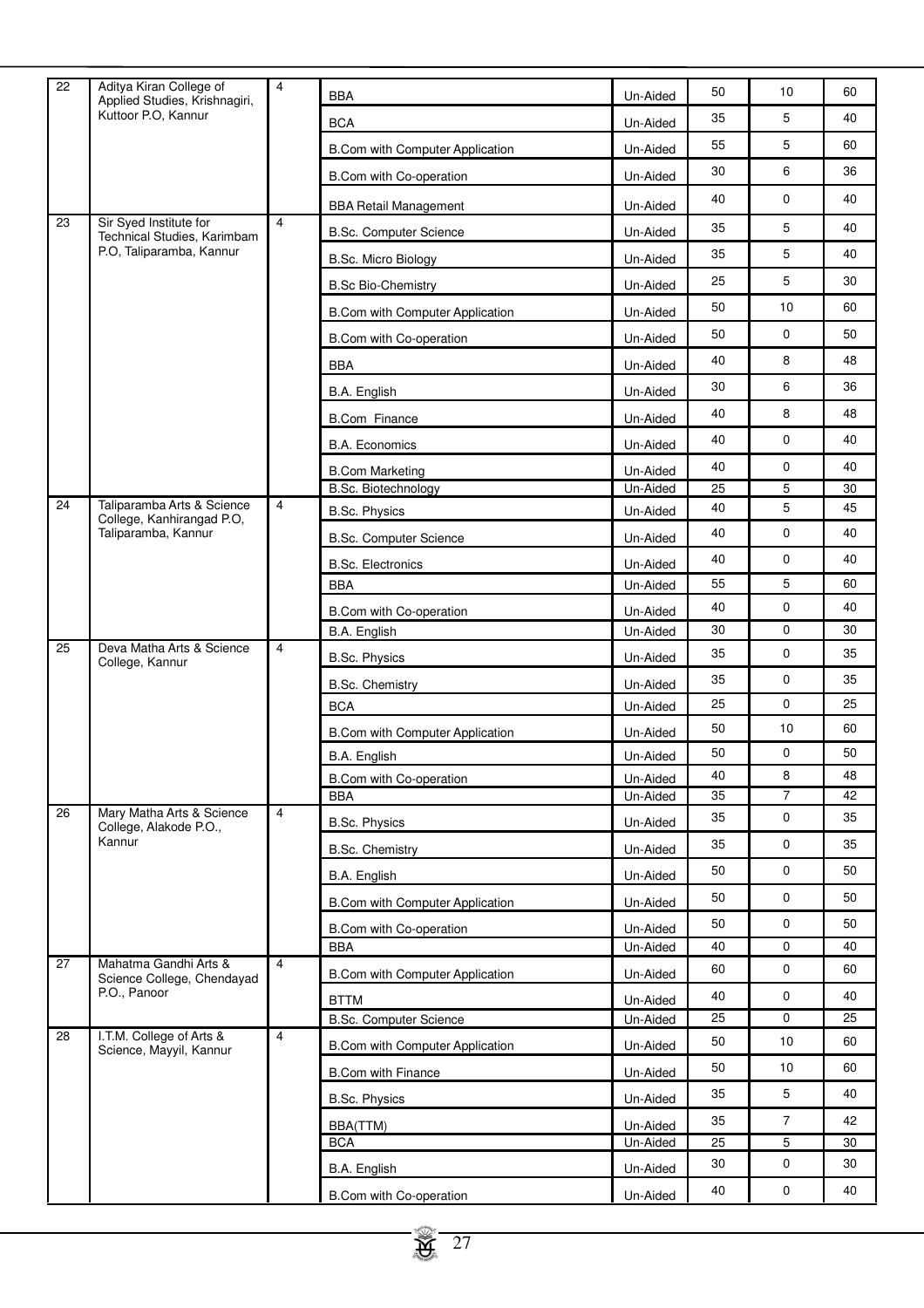| 22 | Aditya Kiran College of<br>Applied Studies, Krishnagiri, | 4              | <b>BBA</b>                                   | Un-Aided             | 50       | 10                            | 60       |
|----|----------------------------------------------------------|----------------|----------------------------------------------|----------------------|----------|-------------------------------|----------|
|    | Kuttoor P.O. Kannur                                      |                | <b>BCA</b>                                   | Un-Aided             | 35       | 5                             | 40       |
|    |                                                          |                | B.Com with Computer Application              | Un-Aided             | 55       | 5                             | 60       |
|    |                                                          |                | B.Com with Co-operation                      | Un-Aided             | 30       | 6                             | 36       |
|    |                                                          |                | <b>BBA Retail Management</b>                 | Un-Aided             | 40       | $\mathbf 0$                   | 40       |
| 23 | Sir Syed Institute for<br>Technical Studies, Karimbam    | $\overline{4}$ | <b>B.Sc. Computer Science</b>                | Un-Aided             | 35       | 5                             | 40       |
|    | P.O. Taliparamba, Kannur                                 |                | B.Sc. Micro Biology                          | Un-Aided             | 35       | 5                             | 40       |
|    |                                                          |                | <b>B.Sc Bio-Chemistry</b>                    | Un-Aided             | 25       | 5                             | 30       |
|    |                                                          |                | <b>B.Com with Computer Application</b>       | Un-Aided             | 50       | 10                            | 60       |
|    |                                                          |                | B.Com with Co-operation                      | Un-Aided             | 50       | $\mathbf 0$                   | 50       |
|    |                                                          |                | <b>BBA</b>                                   | Un-Aided             | 40       | 8                             | 48       |
|    |                                                          |                | B.A. English                                 | Un-Aided             | 30       | 6                             | 36       |
|    |                                                          |                | <b>B.Com Finance</b>                         | Un-Aided             | 40       | 8                             | 48       |
|    |                                                          |                | <b>B.A. Economics</b>                        | Un-Aided             | 40       | $\mathsf 0$                   | 40       |
|    |                                                          |                | <b>B.Com Marketing</b>                       | Un-Aided             | 40       | $\mathbf 0$                   | 40       |
|    |                                                          |                | <b>B.Sc. Biotechnology</b>                   | Un-Aided             | 25       | 5                             | 30       |
| 24 | Taliparamba Arts & Science<br>College, Kanhirangad P.O,  | $\overline{4}$ | <b>B.Sc. Physics</b>                         | Un-Aided             | 40       | 5                             | 45       |
|    | Taliparamba, Kannur                                      |                | <b>B.Sc. Computer Science</b>                | Un-Aided             | 40       | $\mathbf 0$                   | 40       |
|    |                                                          |                | <b>B.Sc. Electronics</b>                     | Un-Aided             | 40       | $\mathbf 0$                   | 40       |
|    |                                                          |                | <b>BBA</b>                                   | Un-Aided             | 55       | 5                             | 60       |
|    |                                                          |                | B.Com with Co-operation                      | Un-Aided             | 40       | $\mathbf 0$                   | 40       |
|    |                                                          |                | B.A. English                                 | Un-Aided             | 30       | $\mathbf 0$                   | 30       |
| 25 | Deva Matha Arts & Science<br>College, Kannur             | $\overline{4}$ | <b>B.Sc. Physics</b>                         | Un-Aided             | 35       | $\mathbf 0$                   | 35       |
|    |                                                          |                | <b>B.Sc. Chemistry</b>                       | Un-Aided             | 35       | $\mathbf 0$                   | 35       |
|    |                                                          |                | <b>BCA</b>                                   | Un-Aided             | 25       | $\mathbf 0$                   | 25       |
|    |                                                          |                | <b>B.Com with Computer Application</b>       | Un-Aided             | 50       | 10                            | 60       |
|    |                                                          |                | B.A. English                                 | Un-Aided             | 50       | $\mathbf 0$                   | 50       |
|    |                                                          |                | B.Com with Co-operation                      | Un-Aided             | 40       | 8                             | 48       |
| 26 | Mary Matha Arts & Science                                | $\overline{4}$ | <b>BBA</b>                                   | Un-Aided             | 35<br>35 | $\overline{7}$<br>$\mathbf 0$ | 42<br>35 |
|    | College, Alakode P.O.,<br>Kannur                         |                | <b>B.Sc. Physics</b>                         | Un-Aided             | 35       | $\mathbf 0$                   | 35       |
|    |                                                          |                | <b>B.Sc. Chemistry</b>                       | Un-Aided             |          | $\mathbf 0$                   |          |
|    |                                                          |                | B.A. English                                 | Un-Aided             | 50       |                               | 50       |
|    |                                                          |                | B.Com with Computer Application              | Un-Aided             | 50       | $\mathbf 0$                   | 50       |
|    |                                                          |                | B.Com with Co-operation                      | Un-Aided             | 50       | $\mathbf 0$                   | 50       |
| 27 | Mahatma Gandhi Arts &                                    | $\overline{4}$ | <b>BBA</b>                                   | Un-Aided             | 40<br>60 | $\mathbf 0$<br>$\mathbf 0$    | 40<br>60 |
|    | Science College, Chendayad<br>P.O., Panoor               |                | B.Com with Computer Application              | Un-Aided             |          |                               |          |
|    |                                                          |                | <b>BTTM</b><br><b>B.Sc. Computer Science</b> | Un-Aided<br>Un-Aided | 40<br>25 | $\mathbf 0$<br>$\mathbf 0$    | 40<br>25 |
| 28 | I.T.M. College of Arts &                                 | $\overline{4}$ | B.Com with Computer Application              | Un-Aided             | 50       | 10                            | 60       |
|    | Science, Mayyil, Kannur                                  |                |                                              |                      | 50       | 10                            | 60       |
|    |                                                          |                |                                              |                      |          |                               |          |
|    |                                                          |                | <b>B.Com with Finance</b>                    | Un-Aided             |          |                               |          |
|    |                                                          |                | <b>B.Sc. Physics</b>                         | Un-Aided             | 35       | $\sqrt{5}$                    | 40       |
|    |                                                          |                | BBA(TTM)                                     | Un-Aided             | 35       | $\overline{7}$                | 42<br>30 |
|    |                                                          |                | <b>BCA</b>                                   | Un-Aided             | 25<br>30 | $\overline{5}$<br>$\mathbf 0$ | 30       |
|    |                                                          |                | B.A. English<br>B.Com with Co-operation      | Un-Aided<br>Un-Aided | 40       | $\mathbf 0$                   | 40       |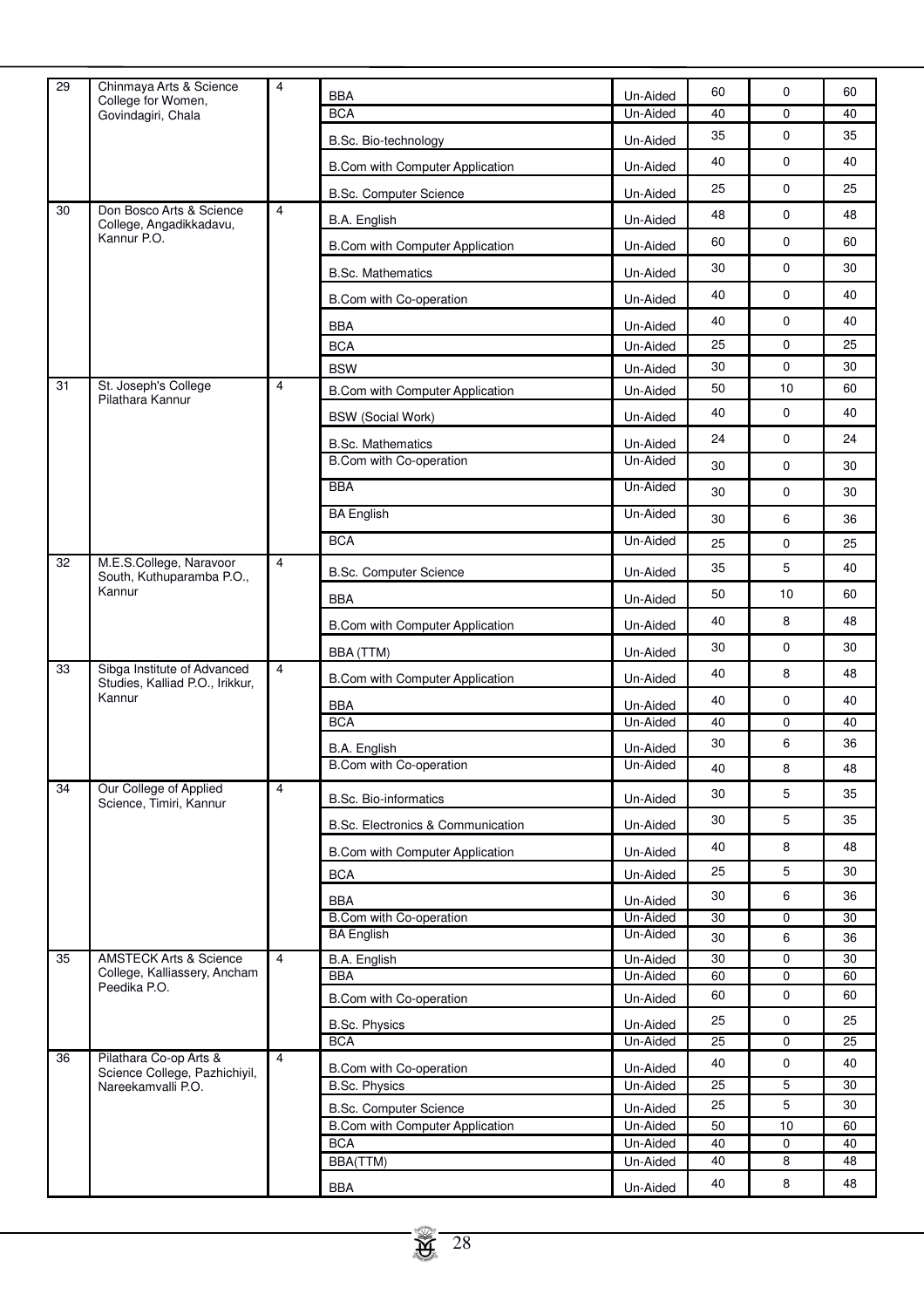| 29 | Chinmaya Arts & Science<br>College for Women,                  | 4              | <b>BBA</b>                             | Un-Aided | 60 | 0           | 60 |
|----|----------------------------------------------------------------|----------------|----------------------------------------|----------|----|-------------|----|
|    | Govindagiri, Chala                                             |                | <b>BCA</b>                             | Un-Aided | 40 | $\mathbf 0$ | 40 |
|    |                                                                |                | B.Sc. Bio-technology                   | Un-Aided | 35 | $\mathbf 0$ | 35 |
|    |                                                                |                | <b>B.Com with Computer Application</b> | Un-Aided | 40 | 0           | 40 |
|    |                                                                |                | <b>B.Sc. Computer Science</b>          | Un-Aided | 25 | $\mathbf 0$ | 25 |
| 30 | Don Bosco Arts & Science<br>College, Angadikkadavu,            | 4              | B.A. English                           | Un-Aided | 48 | $\mathbf 0$ | 48 |
|    | Kannur P.O.                                                    |                | B.Com with Computer Application        | Un-Aided | 60 | 0           | 60 |
|    |                                                                |                | <b>B.Sc. Mathematics</b>               | Un-Aided | 30 | $\mathbf 0$ | 30 |
|    |                                                                |                | B.Com with Co-operation                | Un-Aided | 40 | 0           | 40 |
|    |                                                                |                | <b>BBA</b>                             | Un-Aided | 40 | $\mathbf 0$ | 40 |
|    |                                                                |                | <b>BCA</b>                             | Un-Aided | 25 | $\mathbf 0$ | 25 |
|    |                                                                |                | <b>BSW</b>                             | Un-Aided | 30 | $\mathbf 0$ | 30 |
| 31 | St. Joseph's College                                           | $\overline{4}$ | B.Com with Computer Application        | Un-Aided | 50 | 10          | 60 |
|    | Pilathara Kannur                                               |                | <b>BSW</b> (Social Work)               | Un-Aided | 40 | $\mathbf 0$ | 40 |
|    |                                                                |                | <b>B.Sc. Mathematics</b>               | Un-Aided | 24 | 0           | 24 |
|    |                                                                |                | B.Com with Co-operation                | Un-Aided | 30 | 0           | 30 |
|    |                                                                |                | <b>BBA</b>                             | Un-Aided | 30 | 0           | 30 |
|    |                                                                |                | <b>BA English</b>                      | Un-Aided | 30 | 6           | 36 |
|    |                                                                |                | <b>BCA</b>                             | Un-Aided | 25 | $\mathbf 0$ | 25 |
| 32 | M.E.S.College, Naravoor<br>South, Kuthuparamba P.O.,           | $\overline{4}$ | <b>B.Sc. Computer Science</b>          | Un-Aided | 35 | 5           | 40 |
|    | Kannur                                                         |                | <b>BBA</b>                             | Un-Aided | 50 | 10          | 60 |
|    |                                                                |                | <b>B.Com with Computer Application</b> | Un-Aided | 40 | 8           | 48 |
|    |                                                                |                | BBA (TTM)                              | Un-Aided | 30 | 0           | 30 |
| 33 | Sibga Institute of Advanced<br>Studies, Kalliad P.O., Irikkur, | $\overline{4}$ | <b>B.Com with Computer Application</b> | Un-Aided | 40 | 8           | 48 |
|    | Kannur                                                         |                | <b>BBA</b>                             | Un-Aided | 40 | $\pmb{0}$   | 40 |
|    |                                                                |                | <b>BCA</b>                             | Un-Aided | 40 | $\mathbf 0$ | 40 |
|    |                                                                |                | B.A. English                           | Un-Aided | 30 | 6           | 36 |
|    |                                                                |                | B.Com with Co-operation                | Un-Aided | 40 | 8           | 48 |
| 34 | Our College of Applied<br>Science, Timiri, Kannur              | $\overline{4}$ | <b>B.Sc. Bio-informatics</b>           | Un-Aided | 30 | 5           | 35 |
|    |                                                                |                | B.Sc. Electronics & Communication      | Un-Aided | 30 | 5           | 35 |
|    |                                                                |                | B.Com with Computer Application        | Un-Aided | 40 | 8           | 48 |
|    |                                                                |                | <b>BCA</b>                             | Un-Aided | 25 | 5           | 30 |
|    |                                                                |                | <b>BBA</b>                             | Un-Aided | 30 | 6           | 36 |
|    |                                                                |                | B.Com with Co-operation                | Un-Aided | 30 | 0           | 30 |
|    |                                                                |                | <b>BA English</b>                      | Un-Aided | 30 | 6           | 36 |
| 35 | <b>AMSTECK Arts &amp; Science</b>                              | $\overline{4}$ | B.A. English                           | Un-Aided | 30 | 0           | 30 |
|    | College, Kalliassery, Ancham<br>Peedika P.O.                   |                | <b>BBA</b>                             | Un-Aided | 60 | $\pmb{0}$   | 60 |
|    |                                                                |                | B.Com with Co-operation                | Un-Aided | 60 | $\pmb{0}$   | 60 |
|    |                                                                |                | <b>B.Sc. Physics</b>                   | Un-Aided | 25 | $\pmb{0}$   | 25 |
|    |                                                                |                | <b>BCA</b>                             | Un-Aided | 25 | $\mathbf 0$ | 25 |
| 36 | Pilathara Co-op Arts &<br>Science College, Pazhichiyil,        | $\overline{4}$ | B.Com with Co-operation                | Un-Aided | 40 | $\pmb{0}$   | 40 |
|    | Nareekamvalli P.O.                                             |                | <b>B.Sc. Physics</b>                   | Un-Aided | 25 | 5           | 30 |
|    |                                                                |                | <b>B.Sc. Computer Science</b>          | Un-Aided | 25 | 5           | 30 |
|    |                                                                |                | <b>B.Com with Computer Application</b> | Un-Aided | 50 | 10          | 60 |
|    |                                                                |                | <b>BCA</b>                             | Un-Aided | 40 | 0           | 40 |
|    |                                                                |                | BBA(TTM)                               | Un-Aided | 40 | 8           | 48 |
|    |                                                                |                | <b>BBA</b>                             | Un-Aided | 40 | 8           | 48 |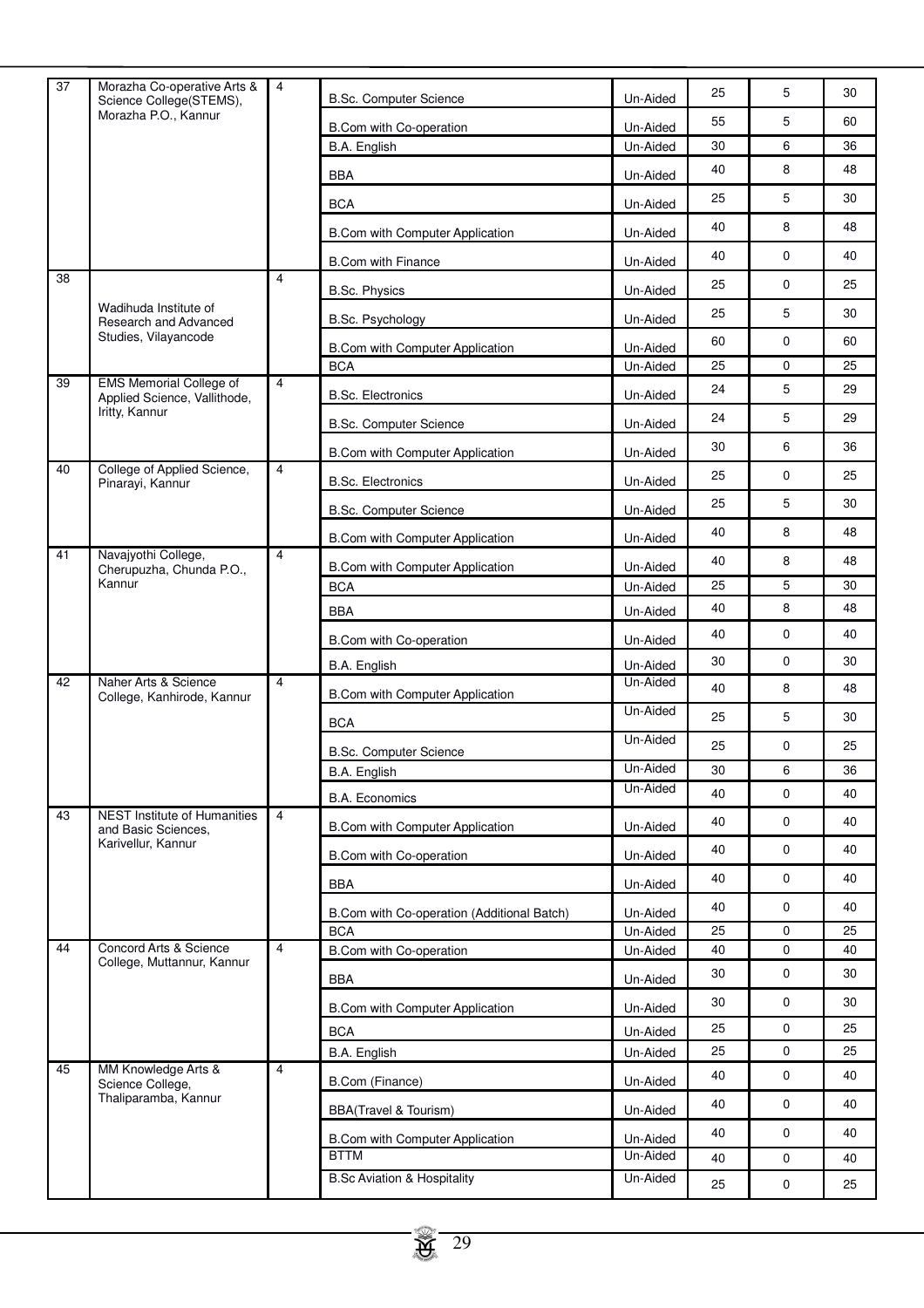| $\overline{37}$ | Morazha Co-operative Arts &<br>Science College(STEMS),         | $\overline{4}$ | <b>B.Sc. Computer Science</b>                 | Un-Aided             | 25 | 5           | 30 |
|-----------------|----------------------------------------------------------------|----------------|-----------------------------------------------|----------------------|----|-------------|----|
|                 | Morazha P.O., Kannur                                           |                | B.Com with Co-operation                       | Un-Aided             | 55 | 5           | 60 |
|                 |                                                                |                | B.A. English                                  | Un-Aided             | 30 | 6           | 36 |
|                 |                                                                |                | BBA                                           | Un-Aided             | 40 | 8           | 48 |
|                 |                                                                |                | <b>BCA</b>                                    | Un-Aided             | 25 | 5           | 30 |
|                 |                                                                |                | B.Com with Computer Application               | Un-Aided             | 40 | 8           | 48 |
|                 |                                                                |                | <b>B.Com with Finance</b>                     | Un-Aided             | 40 | $\mathbf 0$ | 40 |
| 38              |                                                                | 4              | <b>B.Sc. Physics</b>                          | Un-Aided             | 25 | 0           | 25 |
|                 | Wadihuda Institute of                                          |                | B.Sc. Psychology                              | Un-Aided             | 25 | 5           | 30 |
|                 | Research and Advanced<br>Studies, Vilayancode                  |                |                                               |                      | 60 | $\mathbf 0$ | 60 |
|                 |                                                                |                | B.Com with Computer Application<br><b>BCA</b> | Un-Aided<br>Un-Aided | 25 | $\mathbf 0$ | 25 |
| 39              | <b>EMS Memorial College of</b><br>Applied Science, Vallithode, | $\overline{4}$ | <b>B.Sc. Electronics</b>                      | Un-Aided             | 24 | 5           | 29 |
|                 | Iritty, Kannur                                                 |                | <b>B.Sc. Computer Science</b>                 | Un-Aided             | 24 | 5           | 29 |
|                 |                                                                |                |                                               |                      | 30 | 6           | 36 |
| 40              | College of Applied Science,                                    | $\overline{4}$ | B.Com with Computer Application               | Un-Aided             | 25 | $\mathbf 0$ | 25 |
|                 | Pinarayi, Kannur                                               |                | <b>B.Sc. Electronics</b>                      | Un-Aided             | 25 | 5           | 30 |
|                 |                                                                |                | <b>B.Sc. Computer Science</b>                 | Un-Aided             |    |             |    |
| 41              | Navajyothi College,                                            | $\overline{4}$ | <b>B.Com with Computer Application</b>        | Un-Aided             | 40 | 8           | 48 |
|                 | Cherupuzha, Chunda P.O.,<br>Kannur                             |                | B.Com with Computer Application               | Un-Aided             | 40 | 8           | 48 |
|                 |                                                                |                | <b>BCA</b>                                    | Un-Aided             | 25 | 5           | 30 |
|                 |                                                                |                | BBA                                           | Un-Aided             | 40 | 8           | 48 |
|                 |                                                                |                | B.Com with Co-operation                       | Un-Aided             | 40 | 0           | 40 |
|                 |                                                                |                | B.A. English                                  | Un-Aided             | 30 | $\mathbf 0$ | 30 |
| 42              | Naher Arts & Science<br>College, Kanhirode, Kannur             | $\overline{4}$ | B.Com with Computer Application               | Un-Aided             | 40 | 8           | 48 |
|                 |                                                                |                | <b>BCA</b>                                    | Un-Aided             | 25 | 5           | 30 |
|                 |                                                                |                | <b>B.Sc. Computer Science</b>                 | Un-Aided             | 25 | 0           | 25 |
|                 |                                                                |                | B.A. English                                  | Un-Aided             | 30 | 6           | 36 |
|                 |                                                                |                | <b>B.A. Economics</b>                         | Un-Aided             | 40 | $\mathbf 0$ | 40 |
| 43              | <b>NEST Institute of Humanities</b><br>and Basic Sciences,     | $\overline{4}$ | <b>B.Com with Computer Application</b>        | Un-Aided             | 40 | $\mathbf 0$ | 40 |
|                 | Karivellur, Kannur                                             |                | B.Com with Co-operation                       | Un-Aided             | 40 | $\mathsf 0$ | 40 |
|                 |                                                                |                | <b>BBA</b>                                    | Un-Aided             | 40 | $\mathbf 0$ | 40 |
|                 |                                                                |                | B.Com with Co-operation (Additional Batch)    | Un-Aided             | 40 | $\mathbf 0$ | 40 |
|                 |                                                                |                | <b>BCA</b>                                    | Un-Aided             | 25 | 0           | 25 |
| 44              | Concord Arts & Science                                         | $\overline{4}$ | B.Com with Co-operation                       | Un-Aided             | 40 | 0           | 40 |
|                 | College, Muttannur, Kannur                                     |                | <b>BBA</b>                                    | Un-Aided             | 30 | $\mathbf 0$ | 30 |
|                 |                                                                |                | B.Com with Computer Application               | Un-Aided             | 30 | $\mathbf 0$ | 30 |
|                 |                                                                |                | <b>BCA</b>                                    | Un-Aided             | 25 | 0           | 25 |
|                 |                                                                |                | B.A. English                                  | Un-Aided             | 25 | $\mathbf 0$ | 25 |
| 45              | MM Knowledge Arts &<br>Science College,                        | 4              | B.Com (Finance)                               | Un-Aided             | 40 | $\mathbf 0$ | 40 |
|                 | Thaliparamba, Kannur                                           |                | <b>BBA(Travel &amp; Tourism)</b>              | Un-Aided             | 40 | $\mathbf 0$ | 40 |
|                 |                                                                |                | B.Com with Computer Application               | Un-Aided             | 40 | $\mathbf 0$ | 40 |
|                 |                                                                |                | <b>BTTM</b>                                   | Un-Aided             | 40 | 0           | 40 |
|                 |                                                                |                | <b>B.Sc Aviation &amp; Hospitality</b>        | Un-Aided             | 25 | $\pmb{0}$   | 25 |
|                 |                                                                |                |                                               |                      |    |             |    |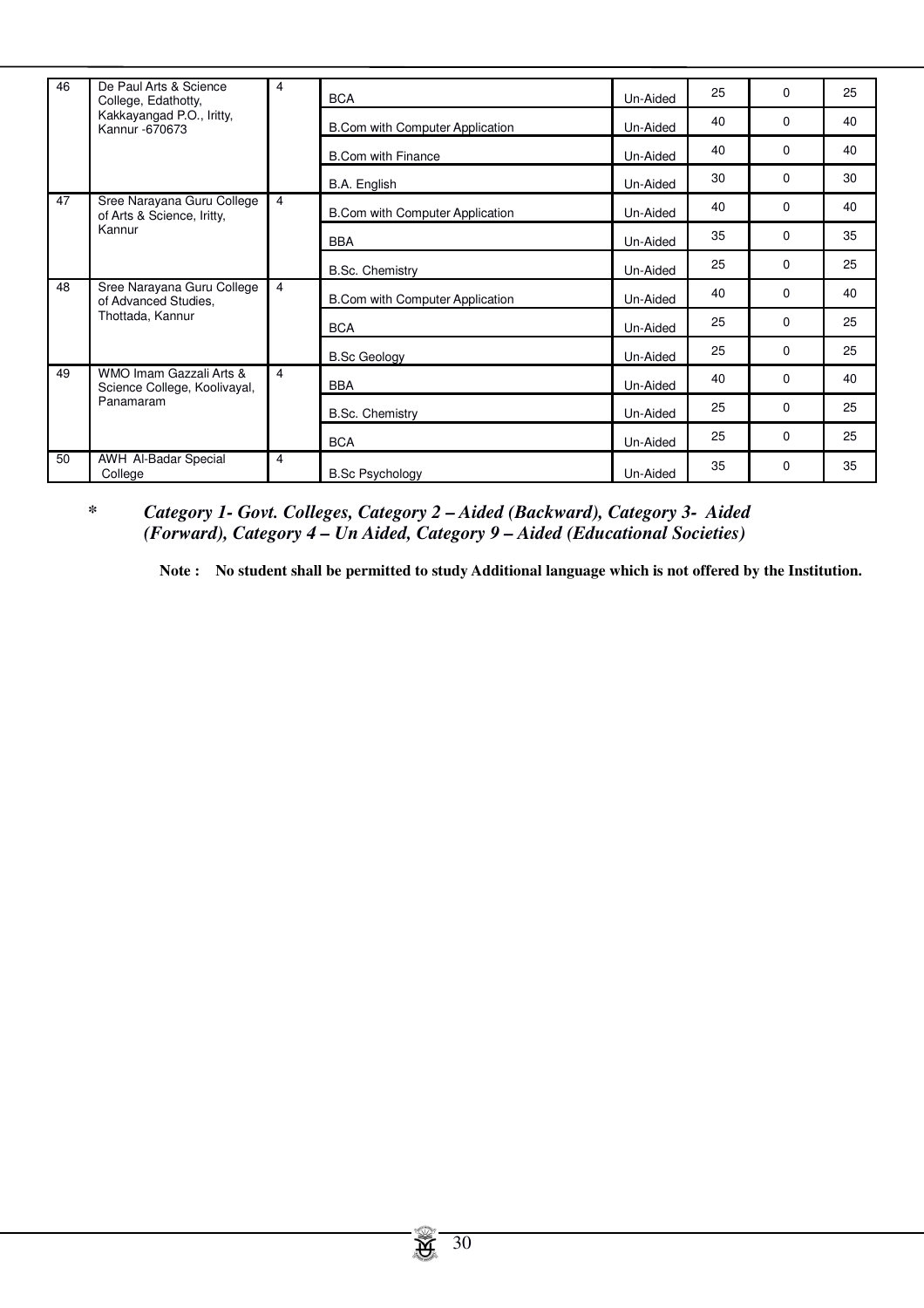| 46 | De Paul Arts & Science<br>College, Edathotty,                      | 4              | <b>BCA</b>                             | Un-Aided | 25 | $\Omega$    | 25 |
|----|--------------------------------------------------------------------|----------------|----------------------------------------|----------|----|-------------|----|
|    | Kakkayangad P.O., Iritty,<br>Kannur -670673                        |                | <b>B.Com with Computer Application</b> | Un-Aided | 40 | $\Omega$    | 40 |
|    |                                                                    |                | <b>B.Com with Finance</b>              | Un-Aided | 40 | $\Omega$    | 40 |
|    |                                                                    |                | B.A. English                           | Un-Aided | 30 | $\Omega$    | 30 |
| 47 | Sree Narayana Guru College<br>of Arts & Science, Iritty,<br>Kannur | 4              | <b>B.Com with Computer Application</b> | Un-Aided | 40 | $\Omega$    | 40 |
|    |                                                                    |                | <b>BBA</b>                             | Un-Aided | 35 | $\Omega$    | 35 |
|    |                                                                    |                | <b>B.Sc. Chemistry</b>                 | Un-Aided | 25 | $\Omega$    | 25 |
| 48 | Sree Narayana Guru College<br>of Advanced Studies.                 | $\overline{4}$ | <b>B.Com with Computer Application</b> | Un-Aided | 40 | $\Omega$    | 40 |
|    | Thottada, Kannur                                                   |                | <b>BCA</b>                             | Un-Aided | 25 | $\mathbf 0$ | 25 |
|    |                                                                    |                | <b>B.Sc Geology</b>                    | Un-Aided | 25 | $\Omega$    | 25 |
| 49 | WMO Imam Gazzali Arts &<br>Science College, Koolivayal,            | $\overline{4}$ | <b>BBA</b>                             | Un-Aided | 40 | $\mathbf 0$ | 40 |
|    | Panamaram                                                          |                | <b>B.Sc. Chemistry</b>                 | Un-Aided | 25 | $\Omega$    | 25 |
|    |                                                                    |                | <b>BCA</b>                             | Un-Aided | 25 | $\Omega$    | 25 |
| 50 | <b>AWH Al-Badar Special</b><br>College                             | 4              | <b>B.Sc Psychology</b>                 | Un-Aided | 35 | 0           | 35 |

# *\* Category 1- Govt. Colleges, Category 2 – Aided (Backward), Category 3- Aided (Forward), Category 4 – Un Aided, Category 9 – Aided (Educational Societies)*

**Note : No student shall be permitted to study Additional language which is not offered by the Institution.**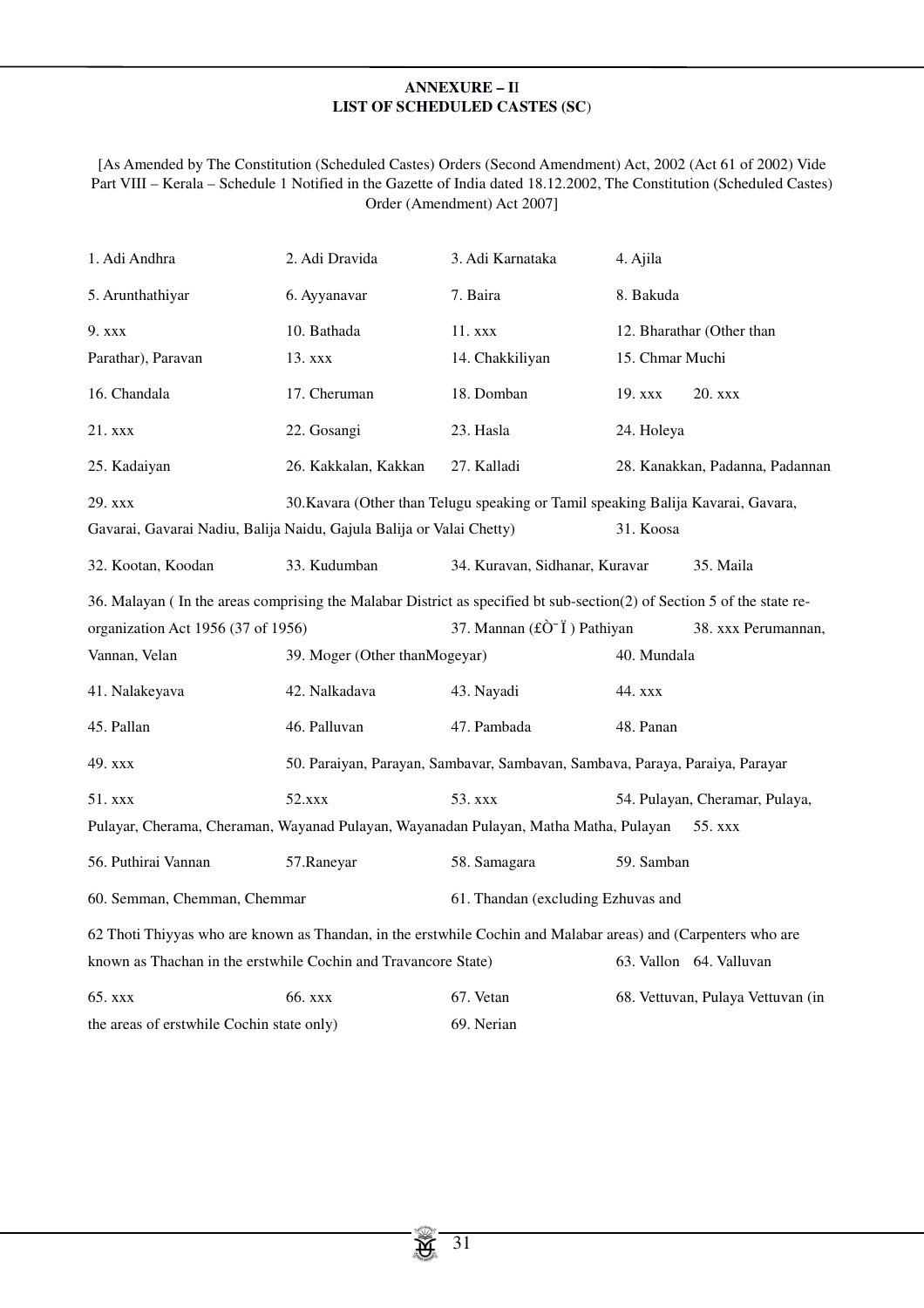# **ANNEXURE – I**I **LIST OF SCHEDULED CASTES (SC**)

[As Amended by The Constitution (Scheduled Castes) Orders (Second Amendment) Act, 2002 (Act 61 of 2002) Vide Part VIII – Kerala – Schedule 1 Notified in the Gazette of India dated 18.12.2002, The Constitution (Scheduled Castes) Order (Amendment) Act 2007]

| 1. Adi Andhra                                                                                                          | 2. Adi Dravida                                                               | 3. Adi Karnataka                                                                      | 4. Ajila        |                                   |
|------------------------------------------------------------------------------------------------------------------------|------------------------------------------------------------------------------|---------------------------------------------------------------------------------------|-----------------|-----------------------------------|
| 5. Arunthathiyar                                                                                                       | 6. Ayyanavar                                                                 | 7. Baira                                                                              | 8. Bakuda       |                                   |
| 9. xxx                                                                                                                 | 10. Bathada                                                                  | 11. xxx                                                                               |                 | 12. Bharathar (Other than         |
| Parathar), Paravan                                                                                                     | 13. xxx                                                                      | 14. Chakkiliyan                                                                       | 15. Chmar Muchi |                                   |
| 16. Chandala                                                                                                           | 17. Cheruman                                                                 | 18. Domban                                                                            | 19. xxx         | $20.$ xxx                         |
| 21. xxx                                                                                                                | 22. Gosangi                                                                  | 23. Hasla                                                                             | 24. Holeya      |                                   |
| 25. Kadaiyan                                                                                                           | 26. Kakkalan, Kakkan                                                         | 27. Kalladi                                                                           |                 | 28. Kanakkan, Padanna, Padannan   |
| 29. xxx<br>30. Kavara (Other than Telugu speaking or Tamil speaking Balija Kavarai, Gavara,                            |                                                                              |                                                                                       |                 |                                   |
| 31. Koosa<br>Gavarai, Gavarai Nadiu, Balija Naidu, Gajula Balija or Valai Chetty)                                      |                                                                              |                                                                                       |                 |                                   |
| 32. Kootan, Koodan                                                                                                     | 33. Kudumban                                                                 | 34. Kuravan, Sidhanar, Kuravar                                                        |                 | 35. Maila                         |
| 36. Malayan (In the areas comprising the Malabar District as specified bt sub-section(2) of Section 5 of the state re- |                                                                              |                                                                                       |                 |                                   |
| organization Act 1956 (37 of 1956)                                                                                     |                                                                              | 37. Mannan $(\hat{\mathbf{t}}\hat{\mathbf{C}}^{\mathsf{-}}\hat{\mathbf{I}})$ Pathiyan |                 | 38. xxx Perumannan,               |
| Vannan, Velan                                                                                                          | 39. Moger (Other than Mogeyar)                                               |                                                                                       | 40. Mundala     |                                   |
| 41. Nalakeyava                                                                                                         | 42. Nalkadava                                                                | 43. Nayadi                                                                            | 44. xxx         |                                   |
| 45. Pallan                                                                                                             | 46. Palluvan                                                                 | 47. Pambada                                                                           | 48. Panan       |                                   |
| 49. xxx                                                                                                                | 50. Paraiyan, Parayan, Sambavar, Sambavan, Sambava, Paraya, Paraiya, Parayar |                                                                                       |                 |                                   |
| 51. xxx                                                                                                                | 52.xxx                                                                       | 53. xxx                                                                               |                 | 54. Pulayan, Cheramar, Pulaya,    |
| Pulayar, Cherama, Cheraman, Wayanad Pulayan, Wayanadan Pulayan, Matha Matha, Pulayan<br>55. xxx                        |                                                                              |                                                                                       |                 |                                   |
| 56. Puthirai Vannan                                                                                                    | 57.Raneyar                                                                   | 58. Samagara                                                                          | 59. Samban      |                                   |
| 60. Semman, Chemman, Chemmar                                                                                           |                                                                              | 61. Thandan (excluding Ezhuvas and                                                    |                 |                                   |
| 62 Thoti Thiyyas who are known as Thandan, in the erstwhile Cochin and Malabar areas) and (Carpenters who are          |                                                                              |                                                                                       |                 |                                   |
| known as Thachan in the erstwhile Cochin and Travancore State)<br>63. Vallon 64. Valluvan                              |                                                                              |                                                                                       |                 |                                   |
|                                                                                                                        |                                                                              |                                                                                       |                 |                                   |
| 65. xxx                                                                                                                | 66. xxx                                                                      | 67. Vetan                                                                             |                 | 68. Vettuvan, Pulaya Vettuvan (in |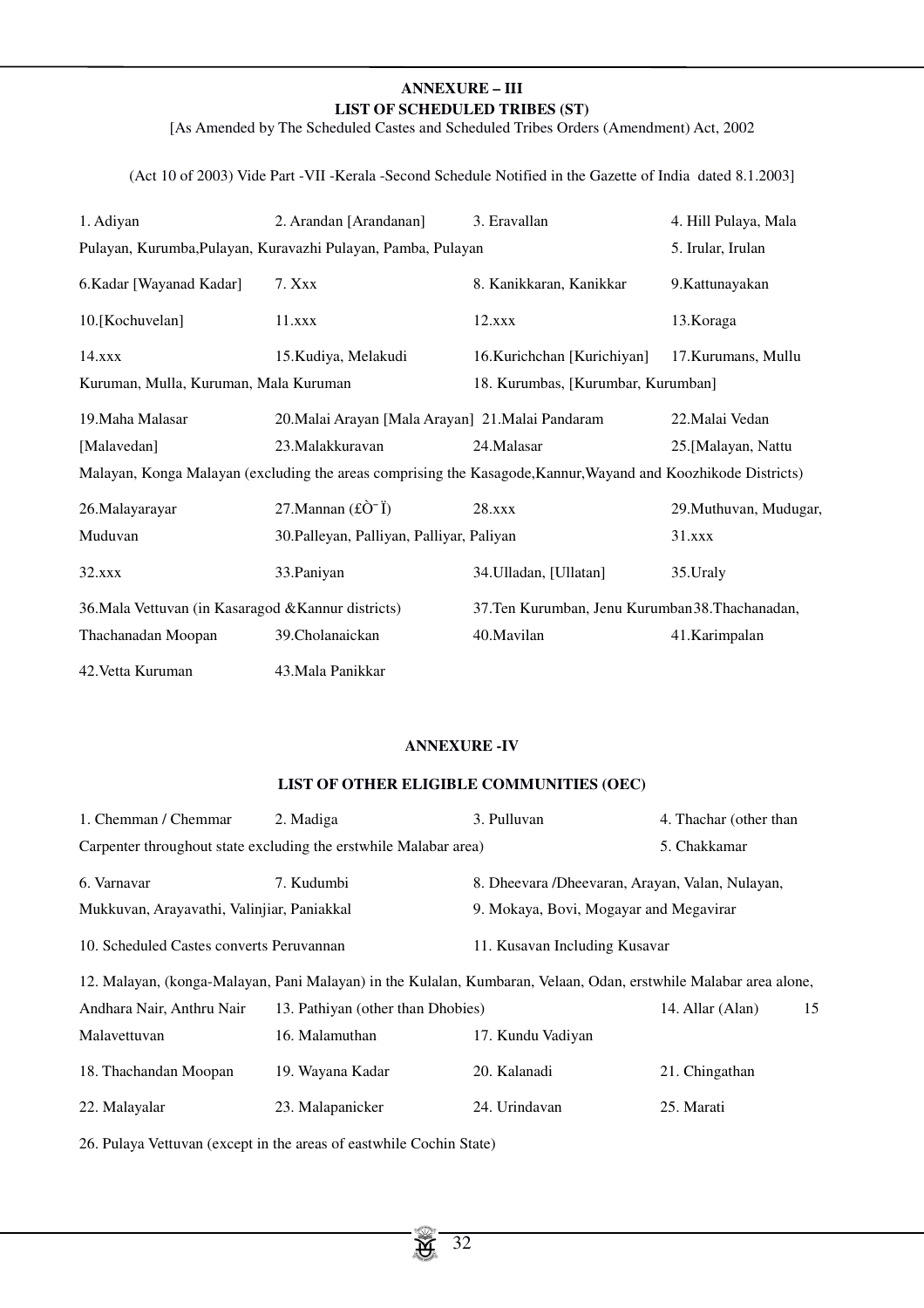# **ANNEXURE – III LIST OF SCHEDULED TRIBES (ST)**

[As Amended by The Scheduled Castes and Scheduled Tribes Orders (Amendment) Act, 2002

(Act 10 of 2003) Vide Part -VII -Kerala -Second Schedule Notified in the Gazette of India dated 8.1.2003]

| 1. Adiyan                                                    | 2. Arandan [Arandanan]                                                                                        | 3. Eravallan                                     | 4. Hill Pulaya, Mala   |
|--------------------------------------------------------------|---------------------------------------------------------------------------------------------------------------|--------------------------------------------------|------------------------|
| Pulayan, Kurumba, Pulayan, Kuravazhi Pulayan, Pamba, Pulayan |                                                                                                               |                                                  | 5. Irular, Irulan      |
| 6. Kadar [Wayanad Kadar]                                     | 7. Xxx                                                                                                        | 8. Kanikkaran, Kanikkar                          | 9. Kattunayakan        |
| 10.[Kochuvelan]                                              | 11.xxx                                                                                                        | 12.xxx                                           | 13. Koraga             |
| 14.xxx                                                       | 15. Kudiya, Melakudi                                                                                          | 16.Kurichchan [Kurichiyan]                       | 17. Kurumans, Mullu    |
| Kuruman, Mulla, Kuruman, Mala Kuruman                        |                                                                                                               | 18. Kurumbas, [Kurumbar, Kurumban]               |                        |
| 19. Maha Malasar                                             | 20. Malai Arayan [Mala Arayan] 21. Malai Pandaram                                                             |                                                  | 22. Malai Vedan        |
| [Malavedan]                                                  | 23. Malakkuravan                                                                                              | 24. Malasar                                      | 25.[Malayan, Nattu     |
|                                                              | Malayan, Konga Malayan (excluding the areas comprising the Kasagode, Kannur, Wayand and Koozhikode Districts) |                                                  |                        |
| 26.Malayarayar                                               | 27. Mannan $(f\hat{O}^{-}\tilde{I})$                                                                          | 28.xxx                                           | 29. Muthuvan, Mudugar, |
| Muduvan                                                      | 30. Palleyan, Palliyan, Palliyar, Paliyan                                                                     |                                                  | 31.xxx                 |
| 32.xxx                                                       | 33. Paniyan                                                                                                   | 34. Ulladan, [Ullatan]                           | 35. Uraly              |
| 36. Mala Vettuvan (in Kasaragod & Kannur districts)          |                                                                                                               | 37. Ten Kurumban, Jenu Kurumban 38. Thachanadan, |                        |
| Thachanadan Moopan                                           | 39. Cholanaickan                                                                                              | 40.Mavilan                                       | 41.Karimpalan          |
| 42. Vetta Kuruman                                            | 43.Mala Panikkar                                                                                              |                                                  |                        |

# **ANNEXURE -IV**

# **LIST OF OTHER ELIGIBLE COMMUNITIES (OEC)**

| 1. Chemman / Chemmar                                                                                             | 2. Madiga                                                         | 3. Pulluvan                                      | 4. Thachar (other than |  |  |
|------------------------------------------------------------------------------------------------------------------|-------------------------------------------------------------------|--------------------------------------------------|------------------------|--|--|
|                                                                                                                  | Carpenter throughout state excluding the erst while Malabar area) | 5. Chakkamar                                     |                        |  |  |
| 6. Varnavar                                                                                                      | 7. Kudumbi                                                        | 8. Dheevara / Dheevaran, Arayan, Valan, Nulayan, |                        |  |  |
| Mukkuvan, Arayavathi, Valinjiar, Paniakkal                                                                       |                                                                   | 9. Mokaya, Bovi, Mogayar and Megavirar           |                        |  |  |
| 10. Scheduled Castes converts Peruvannan                                                                         |                                                                   | 11. Kusavan Including Kusavar                    |                        |  |  |
| 12. Malayan, (konga-Malayan, Pani Malayan) in the Kulalan, Kumbaran, Velaan, Odan, erstwhile Malabar area alone, |                                                                   |                                                  |                        |  |  |
| Andhara Nair, Anthru Nair                                                                                        | 13. Pathiyan (other than Dhobies)                                 |                                                  | 15<br>14. Allar (Alan) |  |  |
| Malayettuvan                                                                                                     | 16. Malamuthan                                                    | 17. Kundu Vadiyan                                |                        |  |  |
| 18. Thachandan Moopan                                                                                            | 19. Wayana Kadar                                                  | 20. Kalanadi                                     | 21. Chingathan         |  |  |
| 22. Malayalar                                                                                                    | 23. Malapanicker                                                  | 24. Urindavan                                    | 25. Marati             |  |  |

26. Pulaya Vettuvan (except in the areas of eastwhile Cochin State)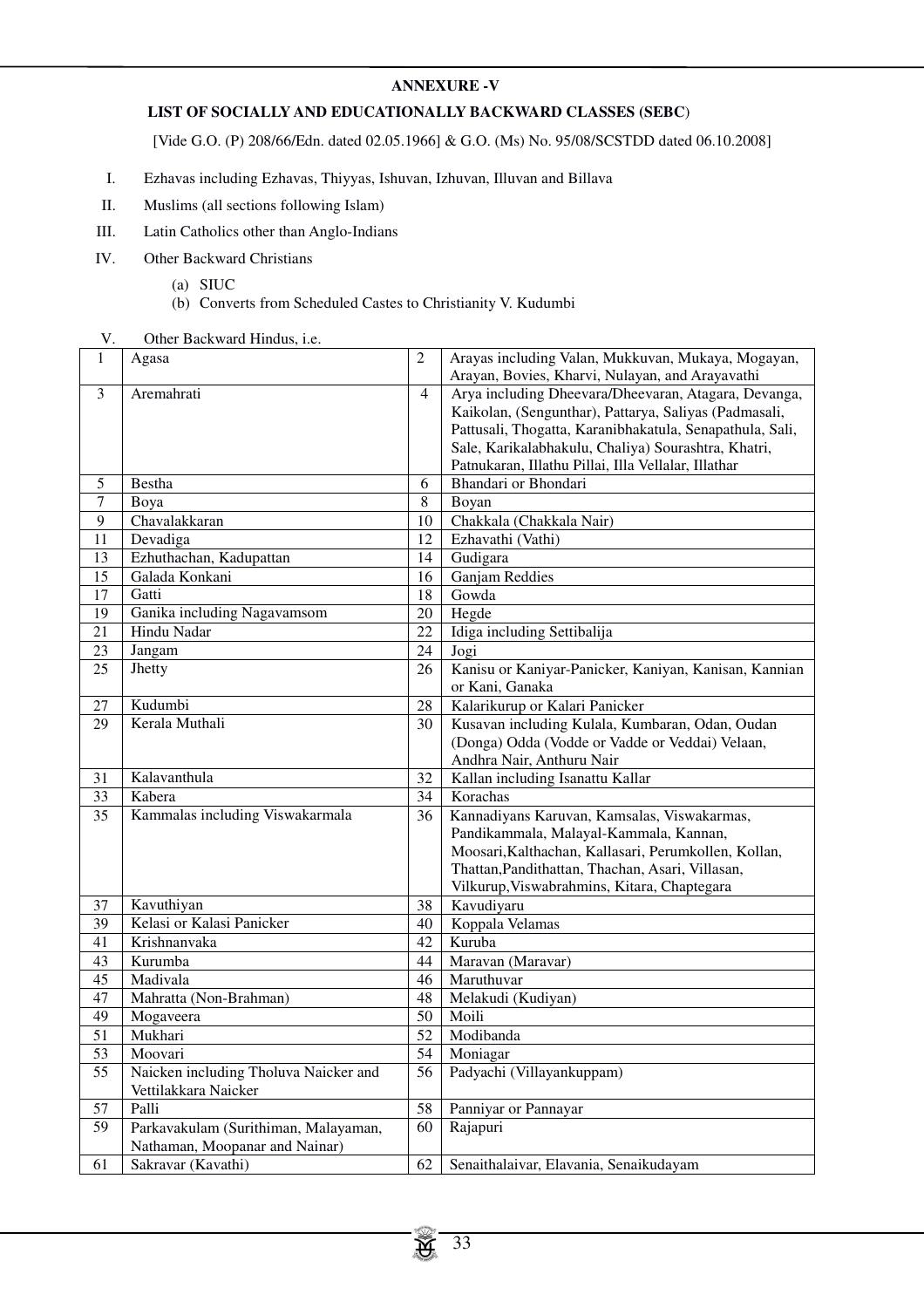# **ANNEXURE -V**

# **LIST OF SOCIALLY AND EDUCATIONALLY BACKWARD CLASSES (SEBC**)

[Vide G.O. (P) 208/66/Edn. dated 02.05.1966] & G.O. (Ms) No. 95/08/SCSTDD dated 06.10.2008]

- I. Ezhavas including Ezhavas, Thiyyas, Ishuvan, Izhuvan, Illuvan and Billava
- II. Muslims (all sections following Islam)
- III. Latin Catholics other than Anglo-Indians
- IV. Other Backward Christians
	- (a) SIUC
	- (b) Converts from Scheduled Castes to Christianity V. Kudumbi
- V. Other Backward Hindus, i.e.

| Arayas including Valan, Mukkuvan, Mukaya, Mogayan,       |
|----------------------------------------------------------|
| Arayan, Bovies, Kharvi, Nulayan, and Arayavathi          |
| Arya including Dheevara/Dheevaran, Atagara, Devanga,     |
| Kaikolan, (Sengunthar), Pattarya, Saliyas (Padmasali,    |
| Pattusali, Thogatta, Karanibhakatula, Senapathula, Sali, |
| Sale, Karikalabhakulu, Chaliya) Sourashtra, Khatri,      |
| Patnukaran, Illathu Pillai, Illa Vellalar, Illathar      |
|                                                          |
|                                                          |
|                                                          |
|                                                          |
|                                                          |
|                                                          |
|                                                          |
|                                                          |
|                                                          |
|                                                          |
| Kanisu or Kaniyar-Panicker, Kaniyan, Kanisan, Kannian    |
|                                                          |
|                                                          |
| Kusavan including Kulala, Kumbaran, Odan, Oudan          |
| (Donga) Odda (Vodde or Vadde or Veddai) Velaan,          |
|                                                          |
|                                                          |
|                                                          |
| Kannadiyans Karuvan, Kamsalas, Viswakarmas,              |
| Pandikammala, Malayal-Kammala, Kannan,                   |
| Moosari, Kalthachan, Kallasari, Perumkollen, Kollan,     |
| Thattan, Pandithattan, Thachan, Asari, Villasan,         |
| Vilkurup, Viswabrahmins, Kitara, Chaptegara              |
|                                                          |
|                                                          |
|                                                          |
|                                                          |
|                                                          |
|                                                          |
|                                                          |
|                                                          |
|                                                          |
|                                                          |
|                                                          |
|                                                          |
|                                                          |
|                                                          |
|                                                          |
|                                                          |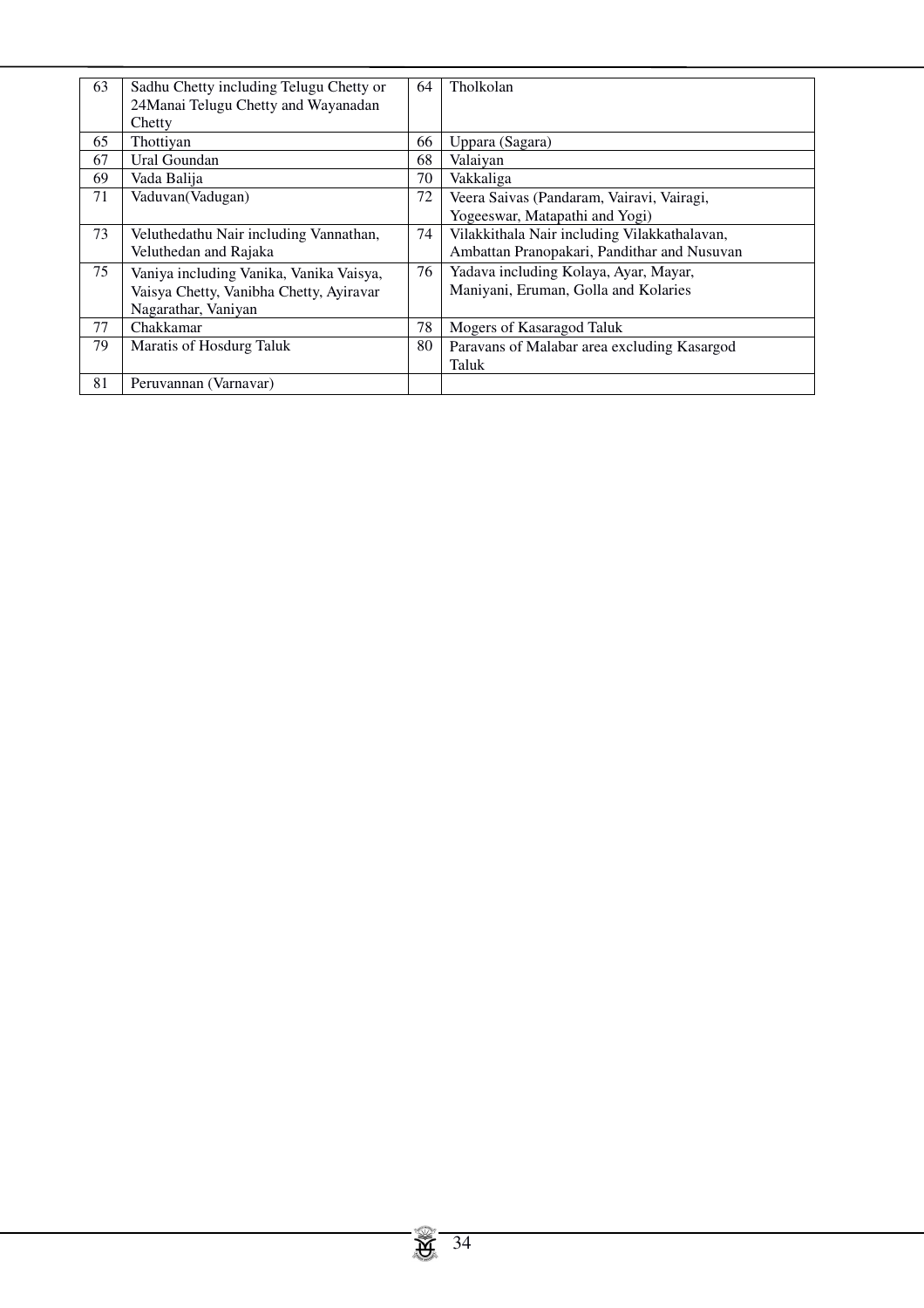| 63 | Sadhu Chetty including Telugu Chetty or<br>24 Manai Telugu Chetty and Wayanadan | 64 | Tholkolan                                    |
|----|---------------------------------------------------------------------------------|----|----------------------------------------------|
|    | Chetty                                                                          |    |                                              |
| 65 | Thottivan                                                                       | 66 | Uppara (Sagara)                              |
| 67 | Ural Goundan                                                                    | 68 | Valaiyan                                     |
| 69 | Vada Balija                                                                     | 70 | Vakkaliga                                    |
| 71 | Vaduvan(Vadugan)                                                                | 72 | Veera Saivas (Pandaram, Vairavi, Vairagi,    |
|    |                                                                                 |    | Yogeeswar, Matapathi and Yogi)               |
| 73 | Veluthedathu Nair including Vannathan,                                          | 74 | Vilakkithala Nair including Vilakkathalavan, |
|    | Veluthedan and Rajaka                                                           |    | Ambattan Pranopakari, Pandithar and Nusuvan  |
| 75 | Vaniya including Vanika, Vanika Vaisya,                                         | 76 | Yadava including Kolaya, Ayar, Mayar,        |
|    | Vaisya Chetty, Vanibha Chetty, Ayiravar                                         |    | Maniyani, Eruman, Golla and Kolaries         |
|    | Nagarathar, Vaniyan                                                             |    |                                              |
| 77 | Chakkamar                                                                       | 78 | Mogers of Kasaragod Taluk                    |
| 79 | Maratis of Hosdurg Taluk                                                        | 80 | Paravans of Malabar area excluding Kasargod  |
|    |                                                                                 |    | Taluk                                        |
| 81 | Peruvannan (Varnavar)                                                           |    |                                              |